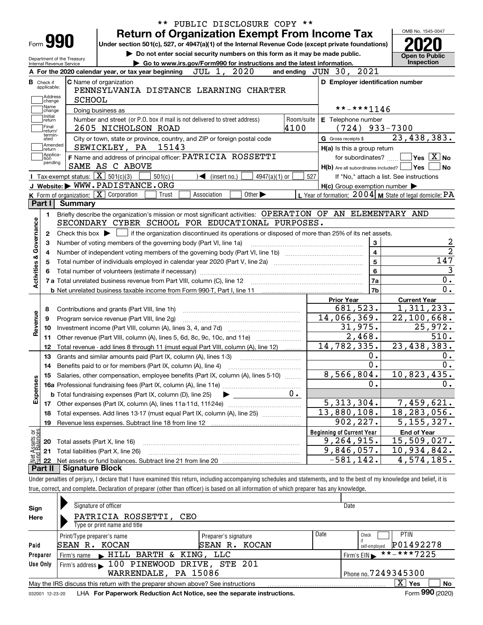| Form 990                                               | <b>Return of Organization Exempt From Income Tax</b><br>Under section 501(c), 527, or 4947(a)(1) of the Internal Revenue Code (except private foundations)<br>Do not enter social security numbers on this form as it may be made public. | PUBLIC DISCLOSURE COPY ** |                                                     | OMB No. 1545-0047<br><b>Open to Public</b>                |
|--------------------------------------------------------|-------------------------------------------------------------------------------------------------------------------------------------------------------------------------------------------------------------------------------------------|---------------------------|-----------------------------------------------------|-----------------------------------------------------------|
| Department of the Treasury<br>Internal Revenue Service | Go to www.irs.gov/Form990 for instructions and the latest information.                                                                                                                                                                    |                           |                                                     | Inspection                                                |
|                                                        | 2020<br>JUL 1,<br>A For the 2020 calendar year, or tax year beginning                                                                                                                                                                     |                           | and ending JUN 30, 2021                             |                                                           |
| <b>B</b> Check if<br>applicable:<br>Address<br>change  | C Name of organization<br>PENNSYLVANIA DISTANCE LEARNING CHARTER<br><b>SCHOOL</b>                                                                                                                                                         |                           | D Employer identification number                    |                                                           |
| Name<br>change                                         | Doing business as                                                                                                                                                                                                                         |                           | **-***1146                                          |                                                           |
| Initial<br>return<br> Final<br>return/                 | Number and street (or P.O. box if mail is not delivered to street address)<br>2605 NICHOLSON ROAD                                                                                                                                         | Room/suite<br>4100        | E Telephone number<br>$(724)$ 933-7300              |                                                           |
| termin-<br>ated                                        | City or town, state or province, country, and ZIP or foreign postal code                                                                                                                                                                  |                           | G Gross receipts \$                                 | 23,438,383.                                               |
| Amended<br> return                                     | 15143<br>SEWICKLEY, PA                                                                                                                                                                                                                    |                           | H(a) Is this a group return                         |                                                           |
| Applica-<br>tion                                       | F Name and address of principal officer: PATRICIA ROSSETTI                                                                                                                                                                                |                           | for subordinates?                                   | $\boxed{\phantom{1}}$ Yes $\boxed{\mathrm{X}}$ No         |
| pending                                                | SAME AS C ABOVE                                                                                                                                                                                                                           |                           | H(b) Are all subordinates included?   Yes           |                                                           |
|                                                        | Tax-exempt status: $\boxed{\mathbf{X}}$ 501(c)(3)<br>$501(c)$ (<br>$4947(a)(1)$ or<br>$\triangleleft$ (insert no.)                                                                                                                        | 527                       |                                                     | If "No," attach a list. See instructions                  |
|                                                        | J Website: WWW.PADISTANCE.ORG                                                                                                                                                                                                             |                           | $H(c)$ Group exemption number $\blacktriangleright$ |                                                           |
|                                                        | K Form of organization: X Corporation<br>Association<br>Other $\blacktriangleright$<br>Trust                                                                                                                                              |                           |                                                     | L Year of formation: $2004$ M State of legal domicile: PA |
| Part I                                                 | <b>Summary</b>                                                                                                                                                                                                                            |                           |                                                     |                                                           |
| 1.                                                     | Briefly describe the organization's mission or most significant activities: OPERATION OF AN ELEMENTARY AND<br>SECONDARY CYBER SCHOOL FOR EDUCATIONAL PURPOSES.                                                                            |                           |                                                     |                                                           |
| Activities & Governance<br>5                           |                                                                                                                                                                                                                                           |                           | 5<br>6<br>7a                                        | $\overline{147}$                                          |
|                                                        |                                                                                                                                                                                                                                           |                           | 7b                                                  |                                                           |
|                                                        |                                                                                                                                                                                                                                           |                           | <b>Prior Year</b>                                   | <b>Current Year</b>                                       |
| 8                                                      | Contributions and grants (Part VIII, line 1h)                                                                                                                                                                                             |                           | 681,523.                                            | 1,311,233.                                                |
| 9                                                      | Program service revenue (Part VIII, line 2g)                                                                                                                                                                                              |                           | 14,066,369.                                         | $\overline{22,100,668}$ .                                 |
| Revenue<br>10                                          |                                                                                                                                                                                                                                           |                           | 31,975.                                             | 25,972.                                                   |
| 11                                                     | Other revenue (Part VIII, column (A), lines 5, 6d, 8c, 9c, 10c, and 11e)                                                                                                                                                                  |                           | 2,468.                                              | 510.                                                      |
| 12                                                     | Total revenue - add lines 8 through 11 (must equal Part VIII, column (A), line 12)                                                                                                                                                        |                           | 14, 782, 335.                                       | 23,438,383.                                               |
| 13                                                     | Grants and similar amounts paid (Part IX, column (A), lines 1-3)                                                                                                                                                                          |                           | $0$ .                                               |                                                           |
| 14                                                     |                                                                                                                                                                                                                                           |                           | $0$ .                                               |                                                           |
|                                                        | 15 Salaries, other compensation, employee benefits (Part IX, column (A), lines 5-10)                                                                                                                                                      |                           | 8,566,804.                                          | 10,823,435.                                               |
| Expenses                                               |                                                                                                                                                                                                                                           |                           | Ο.                                                  |                                                           |
|                                                        | <b>b</b> Total fundraising expenses (Part IX, column (D), line 25)                                                                                                                                                                        | 0.                        |                                                     |                                                           |
| 17                                                     | Other expenses (Part IX, column (A), lines 11a-11d, 11f-24e)                                                                                                                                                                              |                           | 5,313,304.                                          | 7,459,621.                                                |
| 18                                                     | Total expenses. Add lines 13-17 (must equal Part IX, column (A), line 25)                                                                                                                                                                 |                           | 13,880,108.                                         | 18,283,056.                                               |
| 19                                                     | Revenue less expenses. Subtract line 18 from line 12                                                                                                                                                                                      |                           | 902, 227.                                           | 5, 155, 327.                                              |
|                                                        |                                                                                                                                                                                                                                           |                           | <b>Beginning of Current Year</b>                    | <b>End of Year</b>                                        |
| 20                                                     | Total assets (Part X, line 16)                                                                                                                                                                                                            |                           | 9,264,915.                                          | 15,509,027.                                               |
|                                                        | Total liabilities (Part X, line 26)                                                                                                                                                                                                       |                           |                                                     | 10,934,842.                                               |
| 21                                                     |                                                                                                                                                                                                                                           |                           | 9,846,057.                                          |                                                           |
| -22                                                    |                                                                                                                                                                                                                                           |                           | $-581, 142.$                                        | 4,574,185.                                                |
| t Assets or<br>d Balances<br>Part II                   | <b>Signature Block</b><br>Under penalties of perjury, I declare that I have examined this return, including accompanying schedules and statements, and to the best of my knowledge and belief, it is                                      |                           |                                                     |                                                           |

| Sign     | Signature of officer                                                            |                      |      |                            |  |  |  |  |  |  |  |
|----------|---------------------------------------------------------------------------------|----------------------|------|----------------------------|--|--|--|--|--|--|--|
| Here     | PATRICIA ROSSETTI,<br>CEO                                                       |                      |      |                            |  |  |  |  |  |  |  |
|          | Type or print name and title                                                    |                      |      |                            |  |  |  |  |  |  |  |
|          | Print/Type preparer's name                                                      | Preparer's signature | Date | <b>PTIN</b><br>Check       |  |  |  |  |  |  |  |
| Paid     | <b>SEAN R. KOCAN</b><br>SEAN R. KOCAN<br>self-emploved                          |                      |      |                            |  |  |  |  |  |  |  |
| Preparer | Firm's name FillL BARTH & KING, LLC                                             |                      |      | **-***7225<br>Firm's $EIN$ |  |  |  |  |  |  |  |
| Use Only | Firm's address 100 PINEWOOD DRIVE, STE 201                                      |                      |      |                            |  |  |  |  |  |  |  |
|          | WARRENDALE, PA 15086<br>Phone no. $7249345300$                                  |                      |      |                            |  |  |  |  |  |  |  |
|          | May the IRS discuss this return with the preparer shown above? See instructions |                      |      | x<br>Yes<br>No.            |  |  |  |  |  |  |  |
|          |                                                                                 |                      |      | $000 \leq x \leq 1$        |  |  |  |  |  |  |  |

032001 12-23-20 LHA **For Paperwork Reduction Act Notice, see the separate instructions. Form 990 (2020)** 

**990**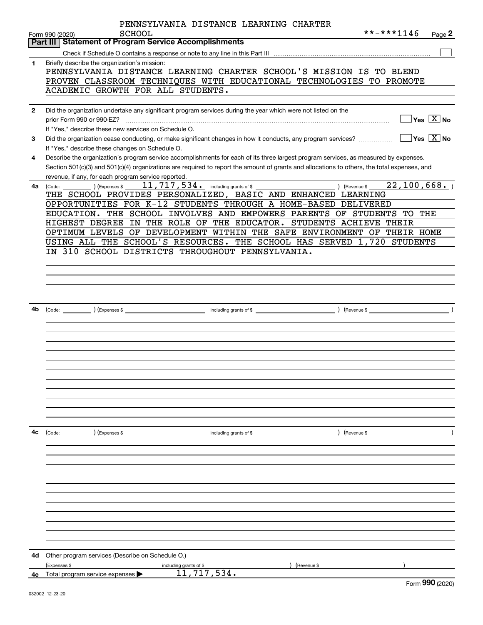|              | PENNSYLVANIA DISTANCE LEARNING CHARTER<br>**-***1146                                                                                         |
|--------------|----------------------------------------------------------------------------------------------------------------------------------------------|
|              | SCHOOL<br>Page 2<br>Form 990 (2020)<br><b>Statement of Program Service Accomplishments</b><br>Part III                                       |
|              |                                                                                                                                              |
| $\mathbf{1}$ | Briefly describe the organization's mission:                                                                                                 |
|              | PENNSYLVANIA DISTANCE LEARNING CHARTER SCHOOL'S MISSION IS TO BLEND                                                                          |
|              | PROVEN CLASSROOM TECHNIQUES WITH EDUCATIONAL TECHNOLOGIES TO PROMOTE                                                                         |
|              | ACADEMIC GROWTH FOR ALL STUDENTS.                                                                                                            |
|              |                                                                                                                                              |
| $\mathbf{2}$ | Did the organization undertake any significant program services during the year which were not listed on the                                 |
|              | $\overline{\ }$ Yes $\overline{\phantom{X}}$ No<br>prior Form 990 or 990-EZ?                                                                 |
|              | If "Yes," describe these new services on Schedule O.                                                                                         |
| 3            | $ Yes X $ No<br>Did the organization cease conducting, or make significant changes in how it conducts, any program services?                 |
|              | If "Yes," describe these changes on Schedule O.                                                                                              |
| 4            | Describe the organization's program service accomplishments for each of its three largest program services, as measured by expenses.         |
|              | Section 501(c)(3) and 501(c)(4) organizations are required to report the amount of grants and allocations to others, the total expenses, and |
|              | revenue, if any, for each program service reported.                                                                                          |
| 4a           | $\overline{22,100},668.$<br>11,717,534. including grants of \$<br>) (Expenses \$<br>) (Revenue \$<br>(Code:                                  |
|              | THE SCHOOL PROVIDES PERSONALIZED, BASIC AND ENHANCED LEARNING                                                                                |
|              | OPPORTUNITIES FOR K-12 STUDENTS THROUGH A HOME-BASED DELIVERED                                                                               |
|              | EDUCATION. THE SCHOOL INVOLVES AND EMPOWERS PARENTS OF STUDENTS TO THE                                                                       |
|              | IN THE ROLE OF THE EDUCATOR. STUDENTS ACHIEVE THEIR<br>HIGHEST DEGREE                                                                        |
|              | OPTIMUM LEVELS OF DEVELOPMENT WITHIN THE SAFE ENVIRONMENT OF THEIR HOME                                                                      |
|              | USING ALL THE SCHOOL'S RESOURCES. THE SCHOOL HAS SERVED 1,720 STUDENTS                                                                       |
|              | IN 310 SCHOOL DISTRICTS THROUGHOUT PENNSYLVANIA.                                                                                             |
|              |                                                                                                                                              |
|              |                                                                                                                                              |
|              |                                                                                                                                              |
|              |                                                                                                                                              |
| 4b           | $($ Revenue \$                                                                                                                               |
|              |                                                                                                                                              |
|              |                                                                                                                                              |
|              |                                                                                                                                              |
|              |                                                                                                                                              |
|              |                                                                                                                                              |
|              |                                                                                                                                              |
|              |                                                                                                                                              |
|              |                                                                                                                                              |
|              |                                                                                                                                              |
|              |                                                                                                                                              |
|              |                                                                                                                                              |
|              |                                                                                                                                              |
| 4с           | $\left(\text{Code:}\right)$ $\left(\text{Expenses $}\right)$<br>including grants of $$$<br>$\angle$ (Revenue \$                              |
|              |                                                                                                                                              |
|              |                                                                                                                                              |
|              |                                                                                                                                              |
|              |                                                                                                                                              |
|              |                                                                                                                                              |
|              |                                                                                                                                              |
|              |                                                                                                                                              |
|              |                                                                                                                                              |
|              |                                                                                                                                              |
|              |                                                                                                                                              |
|              |                                                                                                                                              |
|              |                                                                                                                                              |
| 4d           | Other program services (Describe on Schedule O.)                                                                                             |
|              | (Expenses \$<br>including grants of \$<br>(Revenue \$<br>11,717,534.                                                                         |
|              | 4e Total program service expenses<br>$\sim$                                                                                                  |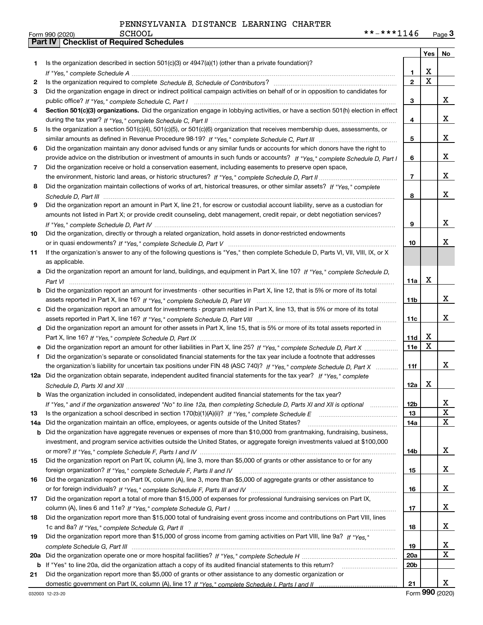|     |                                                                                                                                  |                 |             | Yes   No |
|-----|----------------------------------------------------------------------------------------------------------------------------------|-----------------|-------------|----------|
| 1   | Is the organization described in section $501(c)(3)$ or $4947(a)(1)$ (other than a private foundation)?                          |                 |             |          |
|     |                                                                                                                                  | 1.              | Χ           |          |
| 2   |                                                                                                                                  | $\overline{2}$  | $\mathbf X$ |          |
| 3   | Did the organization engage in direct or indirect political campaign activities on behalf of or in opposition to candidates for  |                 |             |          |
|     |                                                                                                                                  | 3               |             | x        |
| 4   | Section 501(c)(3) organizations. Did the organization engage in lobbying activities, or have a section 501(h) election in effect |                 |             |          |
|     |                                                                                                                                  | 4               |             | x        |
| 5.  | Is the organization a section 501(c)(4), 501(c)(5), or 501(c)(6) organization that receives membership dues, assessments, or     |                 |             |          |
|     |                                                                                                                                  | 5               |             | x        |
| 6   | Did the organization maintain any donor advised funds or any similar funds or accounts for which donors have the right to        |                 |             |          |
|     | provide advice on the distribution or investment of amounts in such funds or accounts? If "Yes," complete Schedule D, Part I     | 6               |             | x        |
| 7   | Did the organization receive or hold a conservation easement, including easements to preserve open space,                        |                 |             |          |
|     |                                                                                                                                  | $\overline{7}$  |             | x        |
| 8   | Did the organization maintain collections of works of art, historical treasures, or other similar assets? If "Yes," complete     |                 |             |          |
|     |                                                                                                                                  | 8               |             | x        |
| 9   | Did the organization report an amount in Part X, line 21, for escrow or custodial account liability, serve as a custodian for    |                 |             |          |
|     | amounts not listed in Part X; or provide credit counseling, debt management, credit repair, or debt negotiation services?        |                 |             |          |
|     |                                                                                                                                  | 9               |             | x        |
| 10  | Did the organization, directly or through a related organization, hold assets in donor-restricted endowments                     |                 |             |          |
|     |                                                                                                                                  | 10              |             | x        |
| 11  | If the organization's answer to any of the following questions is "Yes," then complete Schedule D, Parts VI, VII, VIII, IX, or X |                 |             |          |
|     | as applicable.                                                                                                                   |                 |             |          |
| a   | Did the organization report an amount for land, buildings, and equipment in Part X, line 10? If "Yes," complete Schedule D.      |                 | X           |          |
|     |                                                                                                                                  | 11a             |             |          |
| b   | Did the organization report an amount for investments - other securities in Part X, line 12, that is 5% or more of its total     |                 |             | x        |
|     |                                                                                                                                  | 11b             |             |          |
| c   | Did the organization report an amount for investments - program related in Part X, line 13, that is 5% or more of its total      | 11c             |             | x        |
|     | d Did the organization report an amount for other assets in Part X, line 15, that is 5% or more of its total assets reported in  |                 |             |          |
|     |                                                                                                                                  | 11d             | х           |          |
|     | Did the organization report an amount for other liabilities in Part X, line 25? If "Yes," complete Schedule D, Part X            | 11e             | $\mathbf X$ |          |
| f   | Did the organization's separate or consolidated financial statements for the tax year include a footnote that addresses          |                 |             |          |
|     | the organization's liability for uncertain tax positions under FIN 48 (ASC 740)? If "Yes," complete Schedule D, Part X           | 11f             |             | x        |
|     | 12a Did the organization obtain separate, independent audited financial statements for the tax year? If "Yes," complete          |                 |             |          |
|     |                                                                                                                                  | 12a             | x           |          |
|     | <b>b</b> Was the organization included in consolidated, independent audited financial statements for the tax year?               |                 |             |          |
|     | If "Yes," and if the organization answered "No" to line 12a, then completing Schedule D, Parts XI and XII is optional            | 12 <sub>b</sub> |             | 4        |
| 13  |                                                                                                                                  | 13              |             | X        |
| 14a | Did the organization maintain an office, employees, or agents outside of the United States?                                      | 14a             |             | X        |
| b   | Did the organization have aggregate revenues or expenses of more than \$10,000 from grantmaking, fundraising, business,          |                 |             |          |
|     | investment, and program service activities outside the United States, or aggregate foreign investments valued at \$100,000       |                 |             |          |
|     |                                                                                                                                  | 14b             |             | x        |
| 15  | Did the organization report on Part IX, column (A), line 3, more than \$5,000 of grants or other assistance to or for any        |                 |             |          |
|     |                                                                                                                                  | 15              |             | x        |
| 16  | Did the organization report on Part IX, column (A), line 3, more than \$5,000 of aggregate grants or other assistance to         |                 |             |          |
|     |                                                                                                                                  | 16              |             | x        |
| 17  | Did the organization report a total of more than \$15,000 of expenses for professional fundraising services on Part IX,          |                 |             |          |
|     |                                                                                                                                  | 17              |             | x        |
| 18  | Did the organization report more than \$15,000 total of fundraising event gross income and contributions on Part VIII, lines     |                 |             |          |
|     |                                                                                                                                  | 18              |             | x        |
| 19  | Did the organization report more than \$15,000 of gross income from gaming activities on Part VIII, line 9a? If "Yes."           |                 |             |          |
|     |                                                                                                                                  | 19              |             | x        |
| 20a |                                                                                                                                  | 20a             |             | X        |
|     | <b>b</b> If "Yes" to line 20a, did the organization attach a copy of its audited financial statements to this return?            | 20 <sub>b</sub> |             |          |
| 21  | Did the organization report more than \$5,000 of grants or other assistance to any domestic organization or                      |                 |             |          |
|     |                                                                                                                                  | 21              |             | x        |

Form (2020) **990**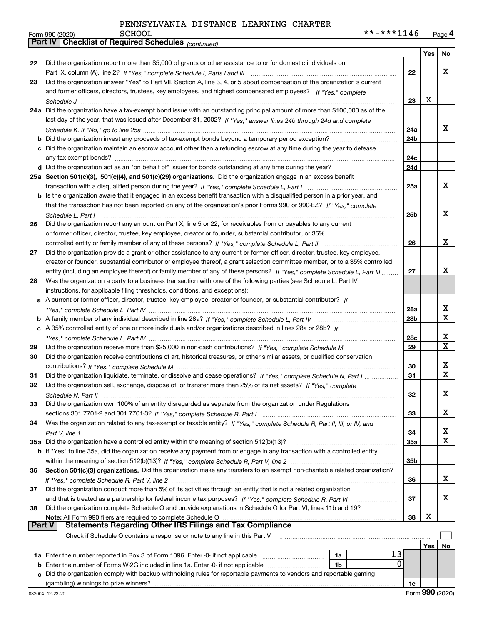| **-***1146 | Page 4 |
|------------|--------|
|------------|--------|

|               | SCHOOL<br>**-***1146<br>Form 990 (2020)                                                                                      |                 |     | Page 4                       |
|---------------|------------------------------------------------------------------------------------------------------------------------------|-----------------|-----|------------------------------|
|               | <b>Part IV   Checklist of Required Schedules</b> (continued)                                                                 |                 |     |                              |
|               |                                                                                                                              |                 | Yes | No                           |
| 22            | Did the organization report more than \$5,000 of grants or other assistance to or for domestic individuals on                |                 |     |                              |
|               |                                                                                                                              | 22              |     | x                            |
| 23            | Did the organization answer "Yes" to Part VII, Section A, line 3, 4, or 5 about compensation of the organization's current   |                 |     |                              |
|               | and former officers, directors, trustees, key employees, and highest compensated employees? If "Yes," complete               |                 |     |                              |
|               |                                                                                                                              | 23              | x   |                              |
|               | 24a Did the organization have a tax-exempt bond issue with an outstanding principal amount of more than \$100,000 as of the  |                 |     |                              |
|               |                                                                                                                              |                 |     |                              |
|               | last day of the year, that was issued after December 31, 2002? If "Yes," answer lines 24b through 24d and complete           |                 |     |                              |
|               |                                                                                                                              | 24a             |     | x                            |
|               | <b>b</b> Did the organization invest any proceeds of tax-exempt bonds beyond a temporary period exception?                   | 24b             |     |                              |
|               | c Did the organization maintain an escrow account other than a refunding escrow at any time during the year to defease       |                 |     |                              |
|               |                                                                                                                              | 24c             |     |                              |
|               |                                                                                                                              | 24d             |     |                              |
|               | 25a Section 501(c)(3), 501(c)(4), and 501(c)(29) organizations. Did the organization engage in an excess benefit             |                 |     |                              |
|               |                                                                                                                              | 25a             |     | x                            |
|               | b Is the organization aware that it engaged in an excess benefit transaction with a disqualified person in a prior year, and |                 |     |                              |
|               | that the transaction has not been reported on any of the organization's prior Forms 990 or 990-EZ? If "Yes," complete        |                 |     |                              |
|               | Schedule L, Part I                                                                                                           | 25 <sub>b</sub> |     | X                            |
| 26            | Did the organization report any amount on Part X, line 5 or 22, for receivables from or payables to any current              |                 |     |                              |
|               | or former officer, director, trustee, key employee, creator or founder, substantial contributor, or 35%                      |                 |     |                              |
|               | controlled entity or family member of any of these persons? If "Yes," complete Schedule L, Part II                           | 26              |     | X                            |
| 27            | Did the organization provide a grant or other assistance to any current or former officer, director, trustee, key employee,  |                 |     |                              |
|               | creator or founder, substantial contributor or employee thereof, a grant selection committee member, or to a 35% controlled  |                 |     |                              |
|               | entity (including an employee thereof) or family member of any of these persons? If "Yes," complete Schedule L, Part III     | 27              |     | x                            |
|               | Was the organization a party to a business transaction with one of the following parties (see Schedule L, Part IV            |                 |     |                              |
| 28            |                                                                                                                              |                 |     |                              |
|               | instructions, for applicable filing thresholds, conditions, and exceptions):                                                 |                 |     |                              |
|               | a A current or former officer, director, trustee, key employee, creator or founder, or substantial contributor? If           |                 |     |                              |
|               |                                                                                                                              | 28a             |     | x<br>$\overline{\mathtt{x}}$ |
|               |                                                                                                                              | 28b             |     |                              |
|               | c A 35% controlled entity of one or more individuals and/or organizations described in lines 28a or 28b? If                  |                 |     |                              |
|               |                                                                                                                              | 28c             |     | x                            |
| 29            |                                                                                                                              | 29              |     | $\overline{\mathbf{x}}$      |
| 30            | Did the organization receive contributions of art, historical treasures, or other similar assets, or qualified conservation  |                 |     |                              |
|               |                                                                                                                              | 30              |     | $\overline{\mathbf{x}}$      |
| 31            | Did the organization liquidate, terminate, or dissolve and cease operations? If "Yes," complete Schedule N, Part I           | 31              |     | $\overline{\mathtt{x}}$      |
| 32            | Did the organization sell, exchange, dispose of, or transfer more than 25% of its net assets? If "Yes," complete             |                 |     |                              |
|               |                                                                                                                              | 32              |     | x                            |
| 33            | Did the organization own 100% of an entity disregarded as separate from the organization under Regulations                   |                 |     |                              |
|               |                                                                                                                              | 33              |     | x                            |
| 34            | Was the organization related to any tax-exempt or taxable entity? If "Yes," complete Schedule R, Part II, III, or IV, and    |                 |     |                              |
|               |                                                                                                                              | 34              |     | X                            |
|               | 35a Did the organization have a controlled entity within the meaning of section 512(b)(13)?                                  | <b>35a</b>      |     | $\overline{\mathbf{x}}$      |
|               | b If "Yes" to line 35a, did the organization receive any payment from or engage in any transaction with a controlled entity  |                 |     |                              |
|               |                                                                                                                              |                 |     |                              |
|               |                                                                                                                              | 35b             |     |                              |
| 36            | Section 501(c)(3) organizations. Did the organization make any transfers to an exempt non-charitable related organization?   |                 |     |                              |
|               |                                                                                                                              | 36              |     | x                            |
| 37            | Did the organization conduct more than 5% of its activities through an entity that is not a related organization             |                 |     |                              |
|               |                                                                                                                              | 37              |     | x                            |
| 38            | Did the organization complete Schedule O and provide explanations in Schedule O for Part VI, lines 11b and 19?               |                 |     |                              |
|               | Note: All Form 990 filers are required to complete Schedule O                                                                | 38              | х   |                              |
| <b>Part V</b> | <b>Statements Regarding Other IRS Filings and Tax Compliance</b>                                                             |                 |     |                              |
|               | Check if Schedule O contains a response or note to any line in this Part V                                                   |                 |     |                              |
|               |                                                                                                                              |                 | Yes | No                           |
|               | 13<br>1a                                                                                                                     |                 |     |                              |
| b             | 0<br>Enter the number of Forms W-2G included in line 1a. Enter -0- if not applicable<br>1b                                   |                 |     |                              |
| c             | Did the organization comply with backup withholding rules for reportable payments to vendors and reportable gaming           |                 |     |                              |
|               |                                                                                                                              | 1c              |     |                              |

Form 990 (2020)

SCHOOL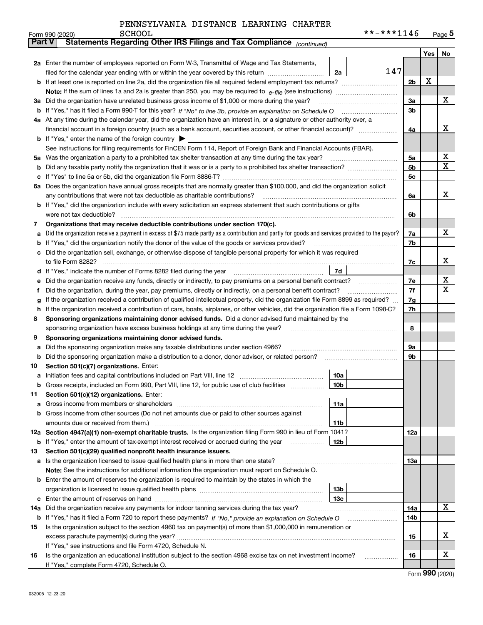|         | <b>SCHOOL</b><br>Form 990 (2020)                                                                                                                                                                                                                 |                 | **-***1146 |     |     | Page $5$ |
|---------|--------------------------------------------------------------------------------------------------------------------------------------------------------------------------------------------------------------------------------------------------|-----------------|------------|-----|-----|----------|
| Part V  | Statements Regarding Other IRS Filings and Tax Compliance (continued)                                                                                                                                                                            |                 |            |     |     |          |
|         |                                                                                                                                                                                                                                                  |                 |            |     | Yes | No       |
|         | 2a Enter the number of employees reported on Form W-3, Transmittal of Wage and Tax Statements,                                                                                                                                                   |                 |            |     |     |          |
|         | filed for the calendar year ending with or within the year covered by this return                                                                                                                                                                | 2a              | 147        |     |     |          |
|         |                                                                                                                                                                                                                                                  |                 |            | 2b  | х   |          |
|         |                                                                                                                                                                                                                                                  |                 |            |     |     |          |
| За      | Did the organization have unrelated business gross income of \$1,000 or more during the year?                                                                                                                                                    |                 |            | 3a  |     | х        |
|         |                                                                                                                                                                                                                                                  |                 |            | 3b  |     |          |
|         | 4a At any time during the calendar year, did the organization have an interest in, or a signature or other authority over, a                                                                                                                     |                 |            |     |     |          |
|         |                                                                                                                                                                                                                                                  |                 |            | 4a  |     | х        |
|         | <b>b</b> If "Yes," enter the name of the foreign country $\blacktriangleright$                                                                                                                                                                   |                 |            |     |     |          |
|         | See instructions for filing requirements for FinCEN Form 114, Report of Foreign Bank and Financial Accounts (FBAR).                                                                                                                              |                 |            |     |     |          |
| 5a      | Was the organization a party to a prohibited tax shelter transaction at any time during the tax year?                                                                                                                                            |                 |            | 5a  |     | х        |
| b       |                                                                                                                                                                                                                                                  |                 |            | 5b  |     | Χ        |
| с       |                                                                                                                                                                                                                                                  |                 |            | 5c  |     |          |
|         | 6a Does the organization have annual gross receipts that are normally greater than \$100,000, and did the organization solicit                                                                                                                   |                 |            |     |     |          |
|         | any contributions that were not tax deductible as charitable contributions?                                                                                                                                                                      |                 |            | 6a  |     | x        |
|         | <b>b</b> If "Yes," did the organization include with every solicitation an express statement that such contributions or gifts                                                                                                                    |                 |            |     |     |          |
|         | were not tax deductible?                                                                                                                                                                                                                         |                 |            | 6b  |     |          |
| 7       | Organizations that may receive deductible contributions under section 170(c).                                                                                                                                                                    |                 |            |     |     |          |
| a       | Did the organization receive a payment in excess of \$75 made partly as a contribution and partly for goods and services provided to the payor?                                                                                                  |                 |            | 7a  |     | х        |
| b       | If "Yes," did the organization notify the donor of the value of the goods or services provided?                                                                                                                                                  |                 |            | 7b  |     |          |
|         | Did the organization sell, exchange, or otherwise dispose of tangible personal property for which it was required                                                                                                                                |                 |            |     |     | x        |
|         |                                                                                                                                                                                                                                                  | 7d              |            | 7c  |     |          |
| d       |                                                                                                                                                                                                                                                  |                 |            | 7e  |     | х        |
| е       | Did the organization receive any funds, directly or indirectly, to pay premiums on a personal benefit contract?                                                                                                                                  |                 |            | 7f  |     | х        |
| f       | Did the organization, during the year, pay premiums, directly or indirectly, on a personal benefit contract?<br>If the organization received a contribution of qualified intellectual property, did the organization file Form 8899 as required? |                 |            | 7g  |     |          |
| g<br>h. | If the organization received a contribution of cars, boats, airplanes, or other vehicles, did the organization file a Form 1098-C?                                                                                                               |                 |            | 7h  |     |          |
| 8       | Sponsoring organizations maintaining donor advised funds. Did a donor advised fund maintained by the                                                                                                                                             |                 |            |     |     |          |
|         | sponsoring organization have excess business holdings at any time during the year?                                                                                                                                                               |                 |            | 8   |     |          |
| 9       | Sponsoring organizations maintaining donor advised funds.                                                                                                                                                                                        |                 |            |     |     |          |
| a       | Did the sponsoring organization make any taxable distributions under section 4966?                                                                                                                                                               |                 |            | 9а  |     |          |
| b       | Did the sponsoring organization make a distribution to a donor, donor advisor, or related person?                                                                                                                                                |                 |            | 9b  |     |          |
| 10      | Section 501(c)(7) organizations. Enter:                                                                                                                                                                                                          |                 |            |     |     |          |
|         |                                                                                                                                                                                                                                                  | 10a             |            |     |     |          |
|         | Gross receipts, included on Form 990, Part VIII, line 12, for public use of club facilities                                                                                                                                                      | 10 <sub>b</sub> |            |     |     |          |
| 11      | Section 501(c)(12) organizations. Enter:                                                                                                                                                                                                         |                 |            |     |     |          |
| а       | Gross income from members or shareholders                                                                                                                                                                                                        | 11a             |            |     |     |          |
| b       | Gross income from other sources (Do not net amounts due or paid to other sources against                                                                                                                                                         |                 |            |     |     |          |
|         | amounts due or received from them.)                                                                                                                                                                                                              | 11b             |            |     |     |          |
|         | 12a Section 4947(a)(1) non-exempt charitable trusts. Is the organization filing Form 990 in lieu of Form 1041?                                                                                                                                   |                 |            | 12a |     |          |
|         | <b>b</b> If "Yes," enter the amount of tax-exempt interest received or accrued during the year                                                                                                                                                   | 12b             |            |     |     |          |
| 13      | Section 501(c)(29) qualified nonprofit health insurance issuers.                                                                                                                                                                                 |                 |            |     |     |          |
|         | a Is the organization licensed to issue qualified health plans in more than one state?                                                                                                                                                           |                 |            | 13a |     |          |
|         | Note: See the instructions for additional information the organization must report on Schedule O.                                                                                                                                                |                 |            |     |     |          |
|         | <b>b</b> Enter the amount of reserves the organization is required to maintain by the states in which the                                                                                                                                        |                 |            |     |     |          |
|         |                                                                                                                                                                                                                                                  | 13 <sub>b</sub> |            |     |     |          |
| c       |                                                                                                                                                                                                                                                  | 13с             |            |     |     |          |
| 14a     | Did the organization receive any payments for indoor tanning services during the tax year?                                                                                                                                                       |                 |            | 14a |     | х        |
|         | <b>b</b> If "Yes," has it filed a Form 720 to report these payments? If "No," provide an explanation on Schedule O                                                                                                                               |                 |            | 14b |     |          |
| 15      | Is the organization subject to the section 4960 tax on payment(s) of more than \$1,000,000 in remuneration or                                                                                                                                    |                 |            |     |     |          |
|         |                                                                                                                                                                                                                                                  |                 |            | 15  |     | X        |
|         | If "Yes," see instructions and file Form 4720, Schedule N.                                                                                                                                                                                       |                 |            |     |     |          |
| 16      | Is the organization an educational institution subject to the section 4968 excise tax on net investment income?                                                                                                                                  |                 |            | 16  |     | X        |
|         | If "Yes," complete Form 4720, Schedule O.                                                                                                                                                                                                        |                 |            |     |     |          |

Form (2020) **990**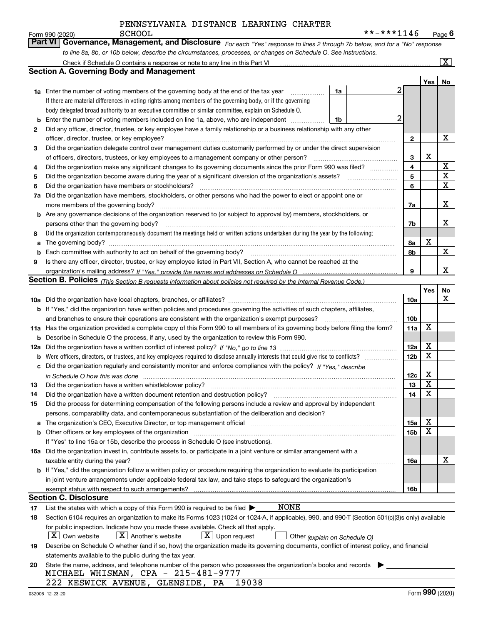|    | **-***1146<br><b>SCHOOL</b><br>Form 990 (2020)                                                                                                                                                                                 |                 |                 | <u>Page</u> 6           |
|----|--------------------------------------------------------------------------------------------------------------------------------------------------------------------------------------------------------------------------------|-----------------|-----------------|-------------------------|
|    | <b>Part VI</b><br>Governance, Management, and Disclosure For each "Yes" response to lines 2 through 7b below, and for a "No" response                                                                                          |                 |                 |                         |
|    | to line 8a, 8b, or 10b below, describe the circumstances, processes, or changes on Schedule O. See instructions.                                                                                                               |                 |                 |                         |
|    | Check if Schedule O contains a response or note to any line in this Part VI                                                                                                                                                    |                 |                 | $\overline{\mathbf{x}}$ |
|    | <b>Section A. Governing Body and Management</b>                                                                                                                                                                                |                 |                 |                         |
|    |                                                                                                                                                                                                                                |                 | Yes             | No                      |
|    | <b>1a</b> Enter the number of voting members of the governing body at the end of the tax year<br>1a                                                                                                                            | 2               |                 |                         |
|    | If there are material differences in voting rights among members of the governing body, or if the governing                                                                                                                    |                 |                 |                         |
|    | body delegated broad authority to an executive committee or similar committee, explain on Schedule O.                                                                                                                          |                 |                 |                         |
| b  | Enter the number of voting members included on line 1a, above, who are independent<br>1b                                                                                                                                       | 2               |                 |                         |
| 2  | Did any officer, director, trustee, or key employee have a family relationship or a business relationship with any other                                                                                                       |                 |                 |                         |
|    | officer, director, trustee, or key employee?<br>.                                                                                                                                                                              | 2               |                 | х                       |
| З  | Did the organization delegate control over management duties customarily performed by or under the direct supervision                                                                                                          |                 |                 |                         |
|    | of officers, directors, trustees, or key employees to a management company or other person?                                                                                                                                    | 3               | х               |                         |
| 4  | Did the organization make any significant changes to its governing documents since the prior Form 990 was filed?                                                                                                               | 4               |                 | X                       |
| 5  |                                                                                                                                                                                                                                | 5               |                 | X                       |
| 6  | Did the organization have members or stockholders?                                                                                                                                                                             | 6               |                 | X                       |
| 7a | Did the organization have members, stockholders, or other persons who had the power to elect or appoint one or                                                                                                                 |                 |                 |                         |
|    | more members of the governing body?                                                                                                                                                                                            | 7a              |                 | х                       |
|    | <b>b</b> Are any governance decisions of the organization reserved to (or subject to approval by) members, stockholders, or                                                                                                    |                 |                 |                         |
|    | persons other than the governing body?                                                                                                                                                                                         | 7b              |                 | x                       |
| 8  | Did the organization contemporaneously document the meetings held or written actions undertaken during the vear by the following:                                                                                              |                 |                 |                         |
| a  | The governing body?                                                                                                                                                                                                            | 8a              | х               |                         |
| b  | Each committee with authority to act on behalf of the governing body? [11] manufactures manufactures with authority to act on behalf of the governing body? [11] manufactures manufactures with authority of the state with an | 8b              |                 | X                       |
| 9  | Is there any officer, director, trustee, or key employee listed in Part VII, Section A, who cannot be reached at the                                                                                                           |                 |                 |                         |
|    |                                                                                                                                                                                                                                | 9               |                 | X                       |
|    | Section B. Policies <i>(This Section B requests information about policies not required by the Internal Revenue Code.)</i>                                                                                                     |                 |                 |                         |
|    |                                                                                                                                                                                                                                |                 | Yes             | No                      |
|    |                                                                                                                                                                                                                                | 10a             |                 | х                       |
|    | b If "Yes," did the organization have written policies and procedures governing the activities of such chapters, affiliates,                                                                                                   |                 |                 |                         |
|    | and branches to ensure their operations are consistent with the organization's exempt purposes?                                                                                                                                | 10 <sub>b</sub> |                 |                         |
|    | 11a Has the organization provided a complete copy of this Form 990 to all members of its governing body before filing the form?                                                                                                | 11a             | X               |                         |
|    | <b>b</b> Describe in Schedule O the process, if any, used by the organization to review this Form 990.                                                                                                                         |                 |                 |                         |
|    |                                                                                                                                                                                                                                | 12a             | х               |                         |
|    |                                                                                                                                                                                                                                | 12 <sub>b</sub> | X               |                         |
|    | c Did the organization regularly and consistently monitor and enforce compliance with the policy? If "Yes," describe                                                                                                           |                 |                 |                         |
|    | in Schedule O how this was done measured and contain an according to the state of the state of how this was done                                                                                                               | 12c             | х               |                         |
|    |                                                                                                                                                                                                                                | 13              | $\mathbf X$     |                         |
| 14 | Did the organization have a written document retention and destruction policy?                                                                                                                                                 | 14              | X               |                         |
| 15 | Did the process for determining compensation of the following persons include a review and approval by independent                                                                                                             |                 |                 |                         |
|    | persons, comparability data, and contemporaneous substantiation of the deliberation and decision?                                                                                                                              |                 |                 |                         |
|    | a The organization's CEO, Executive Director, or top management official manufactured content content of the organization's CEO, Executive Director, or top management official manufactured content of the state of the state | 15a             | х               |                         |
|    |                                                                                                                                                                                                                                | 15b             | x               |                         |
|    | If "Yes" to line 15a or 15b, describe the process in Schedule O (see instructions).                                                                                                                                            |                 |                 |                         |
|    | 16a Did the organization invest in, contribute assets to, or participate in a joint venture or similar arrangement with a                                                                                                      |                 |                 |                         |
|    | taxable entity during the year?                                                                                                                                                                                                | 16a             |                 | x                       |
|    | b If "Yes," did the organization follow a written policy or procedure requiring the organization to evaluate its participation                                                                                                 |                 |                 |                         |
|    | in joint venture arrangements under applicable federal tax law, and take steps to safeguard the organization's                                                                                                                 |                 |                 |                         |
|    | <b>Section C. Disclosure</b>                                                                                                                                                                                                   | 16b             |                 |                         |
|    | NONE                                                                                                                                                                                                                           |                 |                 |                         |
| 17 | List the states with which a copy of this Form 990 is required to be filed $\blacktriangleright$                                                                                                                               |                 |                 |                         |
| 18 | Section 6104 requires an organization to make its Forms 1023 (1024 or 1024-A, if applicable), 990, and 990-T (Section 501(c)(3)s only) available                                                                               |                 |                 |                         |
|    | for public inspection. Indicate how you made these available. Check all that apply.                                                                                                                                            |                 |                 |                         |
|    | $X$ Own website<br>$X$ Another's website<br>$\lfloor x \rfloor$ Upon request<br>Other (explain on Schedule O)                                                                                                                  |                 |                 |                         |
| 19 | Describe on Schedule O whether (and if so, how) the organization made its governing documents, conflict of interest policy, and financial                                                                                      |                 |                 |                         |
|    | statements available to the public during the tax year.<br>State the name, address, and telephone number of the person who possesses the organization's books and records                                                      |                 |                 |                         |
| 20 | MICHAEL WHISMAN, CPA - 215-481-9777                                                                                                                                                                                            |                 |                 |                         |
|    | 19038<br>222 KESWICK AVENUE, GLENSIDE, PA                                                                                                                                                                                      |                 |                 |                         |
|    | 032006 12-23-20                                                                                                                                                                                                                |                 | Form 990 (2020) |                         |
|    |                                                                                                                                                                                                                                |                 |                 |                         |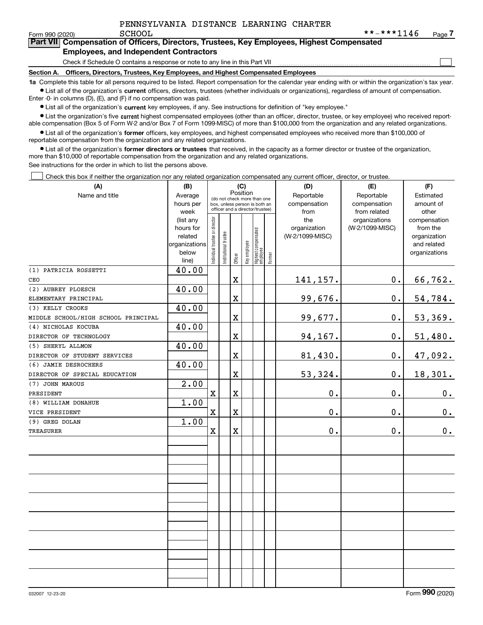$\mathcal{L}^{\text{max}}$ 

| Form 990 (2020) | SCHOOL                                        | **-***1146                                                                                 | Page $\prime$ |
|-----------------|-----------------------------------------------|--------------------------------------------------------------------------------------------|---------------|
|                 |                                               | Part VII Compensation of Officers, Directors, Trustees, Key Employees, Highest Compensated |               |
|                 | <b>Employees, and Independent Contractors</b> |                                                                                            |               |

### Check if Schedule O contains a response or note to any line in this Part VII

**Section A. Officers, Directors, Trustees, Key Employees, and Highest Compensated Employees**

**1a**  Complete this table for all persons required to be listed. Report compensation for the calendar year ending with or within the organization's tax year. **•** List all of the organization's current officers, directors, trustees (whether individuals or organizations), regardless of amount of compensation.

Enter -0- in columns (D), (E), and (F) if no compensation was paid.

 $\bullet$  List all of the organization's  $\,$ current key employees, if any. See instructions for definition of "key employee."

**•** List the organization's five current highest compensated employees (other than an officer, director, trustee, or key employee) who received reportable compensation (Box 5 of Form W-2 and/or Box 7 of Form 1099-MISC) of more than \$100,000 from the organization and any related organizations.

**•** List all of the organization's former officers, key employees, and highest compensated employees who received more than \$100,000 of reportable compensation from the organization and any related organizations.

**former directors or trustees**  ¥ List all of the organization's that received, in the capacity as a former director or trustee of the organization, more than \$10,000 of reportable compensation from the organization and any related organizations.

See instructions for the order in which to list the persons above.

Check this box if neither the organization nor any related organization compensated any current officer, director, or trustee.  $\mathcal{L}^{\text{max}}$ 

| (A)                                 | (B)                  |                                |                                                                  | (C)                     |              |                                   |        | (D)                             | (E)             | (F)                         |
|-------------------------------------|----------------------|--------------------------------|------------------------------------------------------------------|-------------------------|--------------|-----------------------------------|--------|---------------------------------|-----------------|-----------------------------|
| Name and title                      | Average              |                                | (do not check more than one                                      | Position                |              |                                   |        | Reportable                      | Reportable      | Estimated                   |
|                                     | hours per            |                                | box, unless person is both an<br>officer and a director/trustee) |                         |              |                                   |        | compensation                    | compensation    | amount of                   |
|                                     | week                 |                                |                                                                  |                         |              |                                   | from   | from related                    | other           |                             |
|                                     | (list any            |                                |                                                                  |                         |              |                                   |        | the                             | organizations   | compensation                |
|                                     | hours for<br>related |                                |                                                                  |                         |              |                                   |        | organization<br>(W-2/1099-MISC) | (W-2/1099-MISC) | from the                    |
|                                     | organizations        |                                |                                                                  |                         |              |                                   |        |                                 |                 | organization<br>and related |
|                                     | below                |                                |                                                                  |                         |              |                                   |        |                                 |                 | organizations               |
|                                     | line)                | Individual trustee or director | Institutional trustee                                            | Officer                 | Key employee | Highest compensated<br>  employee | Former |                                 |                 |                             |
| (1) PATRICIA ROSSETTI               | 40.00                |                                |                                                                  |                         |              |                                   |        |                                 |                 |                             |
| CEO                                 |                      |                                |                                                                  | X                       |              |                                   |        | 141,157.                        | $0$ .           | 66,762.                     |
| (2) AUBREY PLOESCH                  | 40.00                |                                |                                                                  |                         |              |                                   |        |                                 |                 |                             |
| ELEMENTARY PRINCIPAL                |                      |                                |                                                                  | X                       |              |                                   |        | 99,676.                         | 0.              | 54,784.                     |
| (3) KELLY CROOKS                    | 40.00                |                                |                                                                  |                         |              |                                   |        |                                 |                 |                             |
| MIDDLE SCHOOL/HIGH SCHOOL PRINCIPAL |                      |                                |                                                                  | X                       |              |                                   |        | 99,677.                         | $0$ .           | 53,369.                     |
| (4) NICHOLAS KOCUBA                 | 40.00                |                                |                                                                  |                         |              |                                   |        |                                 |                 |                             |
| DIRECTOR OF TECHNOLOGY              |                      |                                |                                                                  | $\overline{\textbf{X}}$ |              |                                   |        | 94,167.                         | 0.              | 51,480.                     |
| (5) SHERYL ALLMON                   | 40.00                |                                |                                                                  |                         |              |                                   |        |                                 |                 |                             |
| DIRECTOR OF STUDENT SERVICES        |                      |                                |                                                                  | X                       |              |                                   |        | 81,430.                         | 0.              | 47,092.                     |
| (6) JAMIE DESROCHERS                | 40.00                |                                |                                                                  |                         |              |                                   |        |                                 |                 |                             |
| DIRECTOR OF SPECIAL EDUCATION       |                      |                                |                                                                  | X                       |              |                                   |        | 53,324.                         | 0.              | 18,301.                     |
| (7) JOHN MAROUS                     | $\overline{2.00}$    |                                |                                                                  |                         |              |                                   |        |                                 |                 |                             |
| PRESIDENT                           |                      | $\mathbf X$                    |                                                                  | X                       |              |                                   |        | 0.                              | $0$ .           | $\mathbf 0$ .               |
| (8) WILLIAM DONAHUE                 | 1.00                 |                                |                                                                  |                         |              |                                   |        |                                 |                 |                             |
| VICE PRESIDENT                      |                      | $\mathbf x$                    |                                                                  | X                       |              |                                   |        | $0$ .                           | 0.              | $0_{.}$                     |
| (9) GREG DOLAN                      | 1.00                 |                                |                                                                  |                         |              |                                   |        |                                 |                 |                             |
| TREASURER                           |                      | $\mathbf X$                    |                                                                  | $\mathbf X$             |              |                                   |        | 0.                              | 0.              | 0.                          |
|                                     |                      |                                |                                                                  |                         |              |                                   |        |                                 |                 |                             |
|                                     |                      |                                |                                                                  |                         |              |                                   |        |                                 |                 |                             |
|                                     |                      |                                |                                                                  |                         |              |                                   |        |                                 |                 |                             |
|                                     |                      |                                |                                                                  |                         |              |                                   |        |                                 |                 |                             |
|                                     |                      |                                |                                                                  |                         |              |                                   |        |                                 |                 |                             |
|                                     |                      |                                |                                                                  |                         |              |                                   |        |                                 |                 |                             |
|                                     |                      |                                |                                                                  |                         |              |                                   |        |                                 |                 |                             |
|                                     |                      |                                |                                                                  |                         |              |                                   |        |                                 |                 |                             |
|                                     |                      |                                |                                                                  |                         |              |                                   |        |                                 |                 |                             |
|                                     |                      |                                |                                                                  |                         |              |                                   |        |                                 |                 |                             |
|                                     |                      |                                |                                                                  |                         |              |                                   |        |                                 |                 |                             |
|                                     |                      |                                |                                                                  |                         |              |                                   |        |                                 |                 |                             |
|                                     |                      |                                |                                                                  |                         |              |                                   |        |                                 |                 |                             |
|                                     |                      |                                |                                                                  |                         |              |                                   |        |                                 |                 |                             |
|                                     |                      |                                |                                                                  |                         |              |                                   |        |                                 |                 |                             |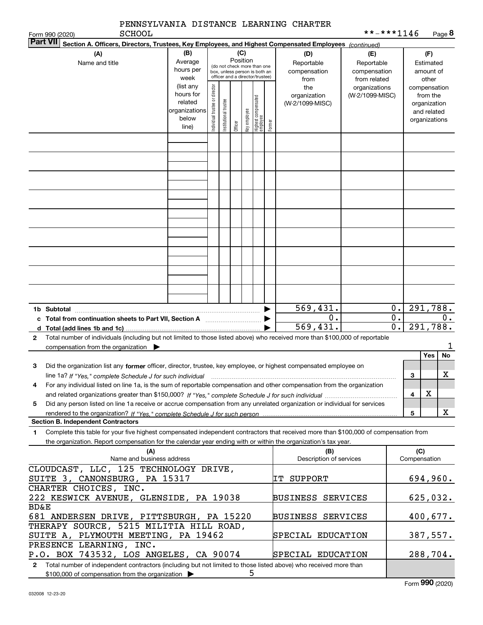| <b>SCHOOL</b><br>Form 990 (2020)                                                                                                                                                                                                                                                                         |                                                                      |                                |                       |                                                                                                             |              |                                 |        | PENNSYLVANIA DISTANCE LEARNING CHARTER    | **-***1146                                        |                           |                     |                                                                          | Page 8         |
|----------------------------------------------------------------------------------------------------------------------------------------------------------------------------------------------------------------------------------------------------------------------------------------------------------|----------------------------------------------------------------------|--------------------------------|-----------------------|-------------------------------------------------------------------------------------------------------------|--------------|---------------------------------|--------|-------------------------------------------|---------------------------------------------------|---------------------------|---------------------|--------------------------------------------------------------------------|----------------|
| Part VII<br>Section A. Officers, Directors, Trustees, Key Employees, and Highest Compensated Employees (continued)                                                                                                                                                                                       |                                                                      |                                |                       |                                                                                                             |              |                                 |        |                                           |                                                   |                           |                     |                                                                          |                |
| (A)<br>Name and title                                                                                                                                                                                                                                                                                    | (B)<br>Average<br>hours per<br>week                                  |                                |                       | Position<br>(do not check more than one<br>box, unless person is both an<br>officer and a director/trustee) | (C)          |                                 |        | (D)<br>Reportable<br>compensation<br>from | (E)<br>Reportable<br>compensation<br>from related |                           |                     | (F)<br>Estimated<br>amount of<br>other                                   |                |
|                                                                                                                                                                                                                                                                                                          | (list any<br>hours for<br>related<br>organizations<br>below<br>line) | Individual trustee or director | Institutional trustee | Officer                                                                                                     | Key employee | Highest compensated<br>employee | Former | the<br>organization<br>(W-2/1099-MISC)    | organizations<br>(W-2/1099-MISC)                  |                           |                     | compensation<br>from the<br>organization<br>and related<br>organizations |                |
|                                                                                                                                                                                                                                                                                                          |                                                                      |                                |                       |                                                                                                             |              |                                 |        |                                           |                                                   |                           |                     |                                                                          |                |
|                                                                                                                                                                                                                                                                                                          |                                                                      |                                |                       |                                                                                                             |              |                                 |        |                                           |                                                   |                           |                     |                                                                          |                |
|                                                                                                                                                                                                                                                                                                          |                                                                      |                                |                       |                                                                                                             |              |                                 |        |                                           |                                                   |                           |                     |                                                                          |                |
|                                                                                                                                                                                                                                                                                                          |                                                                      |                                |                       |                                                                                                             |              |                                 |        |                                           |                                                   |                           |                     |                                                                          |                |
|                                                                                                                                                                                                                                                                                                          |                                                                      |                                |                       |                                                                                                             |              |                                 |        |                                           |                                                   |                           |                     |                                                                          |                |
|                                                                                                                                                                                                                                                                                                          |                                                                      |                                |                       |                                                                                                             |              |                                 |        |                                           |                                                   |                           |                     |                                                                          |                |
| 1b Subtotal                                                                                                                                                                                                                                                                                              |                                                                      |                                |                       |                                                                                                             |              |                                 |        | 569, 431.<br>0.                           |                                                   | $0$ .<br>$\overline{0}$ . |                     |                                                                          | 291,788.<br>0. |
| d Total (add lines 1b and 1c).<br>Total number of individuals (including but not limited to those listed above) who received more than \$100,000 of reportable<br>2                                                                                                                                      |                                                                      |                                |                       |                                                                                                             |              |                                 |        | 569, 431.                                 |                                                   | $\overline{0}$ .          |                     |                                                                          | 291,788.       |
| compensation from the organization $\blacktriangleright$                                                                                                                                                                                                                                                 |                                                                      |                                |                       |                                                                                                             |              |                                 |        |                                           |                                                   |                           |                     | Yes                                                                      | No             |
| Did the organization list any former officer, director, trustee, key employee, or highest compensated employee on<br>з<br>line 1a? If "Yes," complete Schedule J for such individual manufactured contained and the Yes," complete Schedule J for such individual                                        |                                                                      |                                |                       |                                                                                                             |              |                                 |        |                                           |                                                   |                           | 3                   |                                                                          | X              |
| For any individual listed on line 1a, is the sum of reportable compensation and other compensation from the organization<br>4                                                                                                                                                                            |                                                                      |                                |                       |                                                                                                             |              |                                 |        |                                           |                                                   |                           | 4                   | х                                                                        |                |
| Did any person listed on line 1a receive or accrue compensation from any unrelated organization or individual for services<br>5                                                                                                                                                                          |                                                                      |                                |                       |                                                                                                             |              |                                 |        |                                           |                                                   |                           | 5                   |                                                                          | X              |
| <b>Section B. Independent Contractors</b><br>Complete this table for your five highest compensated independent contractors that received more than \$100,000 of compensation from<br>1<br>the organization. Report compensation for the calendar year ending with or within the organization's tax year. |                                                                      |                                |                       |                                                                                                             |              |                                 |        |                                           |                                                   |                           |                     |                                                                          |                |
| (A)<br>Name and business address                                                                                                                                                                                                                                                                         |                                                                      |                                |                       |                                                                                                             |              |                                 |        | (B)<br>Description of services            |                                                   |                           | (C)<br>Compensation |                                                                          |                |
| CLOUDCAST, LLC, 125 TECHNOLOGY DRIVE,<br>SUITE 3, CANONSBURG, PA 15317                                                                                                                                                                                                                                   |                                                                      |                                |                       |                                                                                                             |              |                                 |        | IT SUPPORT                                |                                                   |                           |                     |                                                                          | 694,960.       |
| CHARTER CHOICES, INC.<br>222 KESWICK AVENUE, GLENSIDE, PA 19038<br><b>BD&amp;E</b>                                                                                                                                                                                                                       |                                                                      |                                |                       |                                                                                                             |              |                                 |        | BUSINESS SERVICES                         |                                                   |                           |                     |                                                                          | 625,032.       |
| 681 ANDERSEN DRIVE, PITTSBURGH, PA 15220<br>THERAPY SOURCE, 5215 MILITIA HILL ROAD,                                                                                                                                                                                                                      |                                                                      |                                |                       |                                                                                                             |              |                                 |        | <b>BUSINESS SERVICES</b>                  |                                                   |                           |                     |                                                                          | 400,677.       |
| SUITE A, PLYMOUTH MEETING, PA 19462<br>PRESENCE LEARNING, INC.                                                                                                                                                                                                                                           |                                                                      |                                |                       |                                                                                                             |              |                                 |        | SPECIAL EDUCATION                         |                                                   |                           |                     |                                                                          | 387,557.       |
| P.O. BOX 743532, LOS ANGELES, CA 90074<br>Total number of independent contractors (including but not limited to those listed above) who received more than<br>$\mathbf{2}$                                                                                                                               |                                                                      |                                |                       |                                                                                                             |              |                                 |        | SPECIAL EDUCATION                         |                                                   |                           |                     |                                                                          | 288,704.       |
| \$100,000 of compensation from the organization >                                                                                                                                                                                                                                                        |                                                                      |                                |                       |                                                                                                             | 5            |                                 |        |                                           |                                                   |                           |                     |                                                                          |                |

| $$100,000$ of compensation from the organization $\triangleright$ |  |
|-------------------------------------------------------------------|--|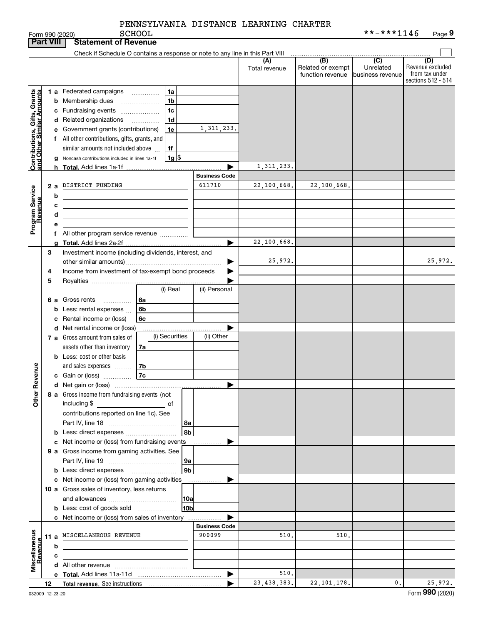SCHOOL

|                                               | <b>Part VIII</b> |   | <b>Statement of Revenue</b>                                                   |                                |                      |                                              |                                                   |                                                                 |
|-----------------------------------------------|------------------|---|-------------------------------------------------------------------------------|--------------------------------|----------------------|----------------------------------------------|---------------------------------------------------|-----------------------------------------------------------------|
|                                               |                  |   | Check if Schedule O contains a response or note to any line in this Part VIII |                                |                      |                                              |                                                   |                                                                 |
|                                               |                  |   |                                                                               |                                | (A)<br>Total revenue | (B)<br>Related or exempt<br>function revenue | $\overline{(C)}$<br>Unrelated<br>business revenue | (D)<br>Revenue excluded<br>from tax under<br>sections 512 - 514 |
|                                               |                  |   | <b>1 a</b> Federated campaigns<br>1a                                          |                                |                      |                                              |                                                   |                                                                 |
| , Grants<br>mounts                            |                  |   | 1 <sub>b</sub><br><b>b</b> Membership dues                                    |                                |                      |                                              |                                                   |                                                                 |
|                                               |                  |   | 1c<br>c Fundraising events                                                    |                                |                      |                                              |                                                   |                                                                 |
|                                               |                  |   | 1 <sub>d</sub><br>d Related organizations<br>.                                |                                |                      |                                              |                                                   |                                                                 |
|                                               |                  |   | 1e<br>e Government grants (contributions)                                     | 1, 311, 233.                   |                      |                                              |                                                   |                                                                 |
|                                               |                  |   | f All other contributions, gifts, grants, and                                 |                                |                      |                                              |                                                   |                                                                 |
|                                               |                  |   | similar amounts not included above<br>1f                                      |                                |                      |                                              |                                                   |                                                                 |
| Contributions, Gifts,<br>and Other Similar Ar |                  |   | $1g$ $\frac{1}{3}$<br>Noncash contributions included in lines 1a-1f           |                                |                      |                                              |                                                   |                                                                 |
|                                               |                  |   |                                                                               |                                | 1, 311, 233.         |                                              |                                                   |                                                                 |
|                                               |                  |   |                                                                               | <b>Business Code</b>           |                      |                                              |                                                   |                                                                 |
|                                               |                  |   | 2 a DISTRICT FUNDING                                                          | 611710                         | 22,100,668.          | 22,100,668.                                  |                                                   |                                                                 |
| Program Service<br>Revenue                    |                  | b |                                                                               |                                |                      |                                              |                                                   |                                                                 |
|                                               |                  | c | <u> 1980 - Johann John Stone, markin fizikar (h. 1980).</u>                   |                                |                      |                                              |                                                   |                                                                 |
|                                               |                  | d | <u> 1989 - Johann Barn, amerikansk politiker (d. 1989)</u>                    |                                |                      |                                              |                                                   |                                                                 |
|                                               |                  | е |                                                                               |                                |                      |                                              |                                                   |                                                                 |
|                                               |                  |   | f All other program service revenue                                           |                                |                      |                                              |                                                   |                                                                 |
|                                               |                  | a |                                                                               | ▶                              | 22,100,668.          |                                              |                                                   |                                                                 |
|                                               | 3                |   | Investment income (including dividends, interest, and                         |                                |                      |                                              |                                                   |                                                                 |
|                                               |                  |   |                                                                               |                                | 25,972.              |                                              |                                                   | 25,972.                                                         |
|                                               | 4                |   | Income from investment of tax-exempt bond proceeds                            |                                |                      |                                              |                                                   |                                                                 |
|                                               | 5                |   | (i) Real                                                                      | (ii) Personal                  |                      |                                              |                                                   |                                                                 |
|                                               |                  |   |                                                                               |                                |                      |                                              |                                                   |                                                                 |
|                                               |                  |   | <b>6 a</b> Gross rents<br>6a<br>.<br><b>b</b> Less: rental expenses<br>6b     |                                |                      |                                              |                                                   |                                                                 |
|                                               |                  |   | 6c<br>c Rental income or (loss)                                               |                                |                      |                                              |                                                   |                                                                 |
|                                               |                  |   | d Net rental income or (loss)                                                 |                                |                      |                                              |                                                   |                                                                 |
|                                               |                  |   | (i) Securities<br>7 a Gross amount from sales of                              | (ii) Other                     |                      |                                              |                                                   |                                                                 |
|                                               |                  |   | assets other than inventory<br>7a                                             |                                |                      |                                              |                                                   |                                                                 |
|                                               |                  |   | <b>b</b> Less: cost or other basis                                            |                                |                      |                                              |                                                   |                                                                 |
|                                               |                  |   | and sales expenses<br>7b                                                      |                                |                      |                                              |                                                   |                                                                 |
| Revenue                                       |                  |   | 7c <br>c Gain or (loss)                                                       |                                |                      |                                              |                                                   |                                                                 |
|                                               |                  |   |                                                                               | ▶                              |                      |                                              |                                                   |                                                                 |
| <b>Othe</b>                                   |                  |   | 8 a Gross income from fundraising events (not<br>including \$                 |                                |                      |                                              |                                                   |                                                                 |
|                                               |                  |   | contributions reported on line 1c). See                                       |                                |                      |                                              |                                                   |                                                                 |
|                                               |                  |   | 8a                                                                            |                                |                      |                                              |                                                   |                                                                 |
|                                               |                  |   | 8b                                                                            |                                |                      |                                              |                                                   |                                                                 |
|                                               |                  |   | c Net income or (loss) from fundraising events                                |                                |                      |                                              |                                                   |                                                                 |
|                                               |                  |   | 9 a Gross income from gaming activities. See                                  |                                |                      |                                              |                                                   |                                                                 |
|                                               |                  |   | 9a                                                                            |                                |                      |                                              |                                                   |                                                                 |
|                                               |                  |   | 9 <sub>b</sub><br><b>b</b> Less: direct expenses <b>manually</b>              |                                |                      |                                              |                                                   |                                                                 |
|                                               |                  |   | c Net income or (loss) from gaming activities                                 | .                              |                      |                                              |                                                   |                                                                 |
|                                               |                  |   | 10 a Gross sales of inventory, less returns                                   |                                |                      |                                              |                                                   |                                                                 |
|                                               |                  |   | 10a                                                                           |                                |                      |                                              |                                                   |                                                                 |
|                                               |                  |   | 10bl<br><b>b</b> Less: cost of goods sold                                     |                                |                      |                                              |                                                   |                                                                 |
|                                               |                  |   | c Net income or (loss) from sales of inventory                                |                                |                      |                                              |                                                   |                                                                 |
|                                               |                  |   | 11 a MISCELLANEOUS REVENUE                                                    | <b>Business Code</b><br>900099 | 510.                 | 510.                                         |                                                   |                                                                 |
|                                               |                  |   |                                                                               |                                |                      |                                              |                                                   |                                                                 |
| Miscellaneous<br>Revenue                      |                  | b |                                                                               |                                |                      |                                              |                                                   |                                                                 |
|                                               |                  | c |                                                                               |                                |                      |                                              |                                                   |                                                                 |
|                                               |                  |   |                                                                               | ▶                              | 510.                 |                                              |                                                   |                                                                 |
|                                               | 12               |   |                                                                               |                                | 23, 438, 383.        | 22, 101, 178.                                | $\mathbf{0}$ .                                    | 25,972.                                                         |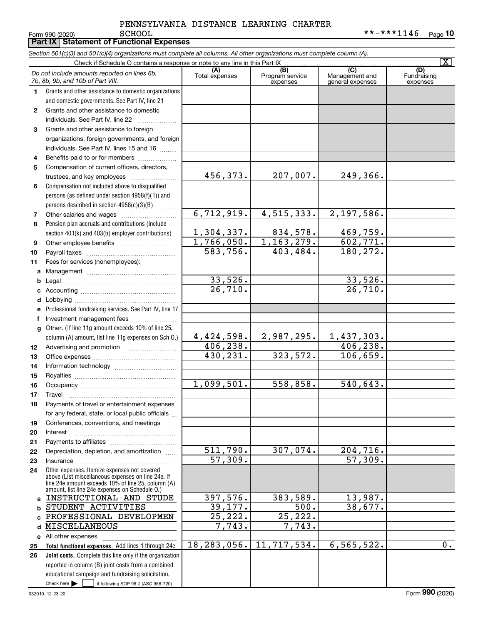|              | Form 990 (2020)<br><b>PCHOOT</b><br><b>Part IX   Statement of Functional Expenses</b>                                                                                                                      |                                  |                                    |                                           | * * - * * * 1146<br>Page 10    |
|--------------|------------------------------------------------------------------------------------------------------------------------------------------------------------------------------------------------------------|----------------------------------|------------------------------------|-------------------------------------------|--------------------------------|
|              | Section 501(c)(3) and 501(c)(4) organizations must complete all columns. All other organizations must complete column (A).                                                                                 |                                  |                                    |                                           |                                |
|              | Check if Schedule O contains a response or note to any line in this Part IX                                                                                                                                |                                  |                                    |                                           | $\overline{\mathbf{x}}$        |
|              | Do not include amounts reported on lines 6b,<br>7b, 8b, 9b, and 10b of Part VIII.                                                                                                                          | (A)<br>Total expenses            | (B)<br>Program service<br>expenses | (C)<br>Management and<br>general expenses | (D)<br>Fundraising<br>expenses |
| 1.           | Grants and other assistance to domestic organizations                                                                                                                                                      |                                  |                                    |                                           |                                |
|              | and domestic governments. See Part IV, line 21<br>$\mathbb{R}$                                                                                                                                             |                                  |                                    |                                           |                                |
| $\mathbf{2}$ | Grants and other assistance to domestic                                                                                                                                                                    |                                  |                                    |                                           |                                |
|              | individuals. See Part IV, line 22                                                                                                                                                                          |                                  |                                    |                                           |                                |
| 3            | Grants and other assistance to foreign                                                                                                                                                                     |                                  |                                    |                                           |                                |
|              | organizations, foreign governments, and foreign                                                                                                                                                            |                                  |                                    |                                           |                                |
|              | individuals. See Part IV, lines 15 and 16                                                                                                                                                                  |                                  |                                    |                                           |                                |
| 4            | Benefits paid to or for members                                                                                                                                                                            |                                  |                                    |                                           |                                |
| 5            | Compensation of current officers, directors,                                                                                                                                                               |                                  |                                    |                                           |                                |
|              |                                                                                                                                                                                                            | 456,373.                         | 207,007.                           | 249,366.                                  |                                |
| 6            | Compensation not included above to disqualified                                                                                                                                                            |                                  |                                    |                                           |                                |
|              | persons (as defined under section 4958(f)(1)) and                                                                                                                                                          |                                  |                                    |                                           |                                |
|              | persons described in section 4958(c)(3)(B)                                                                                                                                                                 |                                  |                                    |                                           |                                |
| 7            |                                                                                                                                                                                                            | 6, 712, 919.                     | 4, 515, 333.                       | 2,197,586.                                |                                |
| 8            | Pension plan accruals and contributions (include                                                                                                                                                           |                                  |                                    |                                           |                                |
|              | section 401(k) and 403(b) employer contributions)                                                                                                                                                          | 1,304,337.                       | 834,578.                           | 469,759.                                  |                                |
| 9            |                                                                                                                                                                                                            | 1,766,050.                       | 1, 163, 279.                       | 602,771.                                  |                                |
| 10           |                                                                                                                                                                                                            | 583,756.                         | 403,484.                           | 180,272.                                  |                                |
| 11           | Fees for services (nonemployees):                                                                                                                                                                          |                                  |                                    |                                           |                                |
| a            |                                                                                                                                                                                                            |                                  |                                    |                                           |                                |
| b            |                                                                                                                                                                                                            | 33,526.<br>$\overline{26,710}$ . |                                    | 33,526.<br>26,710.                        |                                |
| c            |                                                                                                                                                                                                            |                                  |                                    |                                           |                                |
| d            |                                                                                                                                                                                                            |                                  |                                    |                                           |                                |
| е            | Professional fundraising services. See Part IV, line 17                                                                                                                                                    |                                  |                                    |                                           |                                |
| f            | Investment management fees                                                                                                                                                                                 |                                  |                                    |                                           |                                |
| $\mathbf{q}$ | Other. (If line 11g amount exceeds 10% of line 25,                                                                                                                                                         | 4,424,598.                       | 2,987,295.                         | 1,437,303.                                |                                |
|              | column (A) amount, list line 11g expenses on Sch O.)                                                                                                                                                       | 406, 238.                        |                                    | 406,238.                                  |                                |
| 12<br>13     |                                                                                                                                                                                                            | 430,231.                         | 323,572.                           | 106,659.                                  |                                |
| 14           |                                                                                                                                                                                                            |                                  |                                    |                                           |                                |
| 15           |                                                                                                                                                                                                            |                                  |                                    |                                           |                                |
| 16           | Occupancy                                                                                                                                                                                                  | 1,099,501.                       | 558,858.                           | 540,643.                                  |                                |
| 17           | Travel                                                                                                                                                                                                     |                                  |                                    |                                           |                                |
| 18           | Payments of travel or entertainment expenses                                                                                                                                                               |                                  |                                    |                                           |                                |
|              | for any federal, state, or local public officials                                                                                                                                                          |                                  |                                    |                                           |                                |
| 19           | Conferences, conventions, and meetings                                                                                                                                                                     |                                  |                                    |                                           |                                |
| 20           | Interest                                                                                                                                                                                                   |                                  |                                    |                                           |                                |
| 21           |                                                                                                                                                                                                            |                                  |                                    |                                           |                                |
| 22           | Depreciation, depletion, and amortization                                                                                                                                                                  | 511,790.                         | 307,074.                           | 204,716.                                  |                                |
| 23           | Insurance                                                                                                                                                                                                  | 57,309.                          |                                    | 57,309.                                   |                                |
| 24           | Other expenses. Itemize expenses not covered<br>above (List miscellaneous expenses on line 24e. If<br>line 24e amount exceeds 10% of line 25, column (A)<br>amount, list line 24e expenses on Schedule O.) |                                  |                                    |                                           |                                |
| a            | INSTRUCTIONAL AND STUDE                                                                                                                                                                                    | 397,576.                         | 383,589.                           | 13,987.                                   |                                |
| b            | STUDENT ACTIVITIES                                                                                                                                                                                         | 39,177.                          | 500.                               | 38,677.                                   |                                |
|              | PROFESSIONAL DEVELOPMEN                                                                                                                                                                                    | 25,222.                          | 25,222.                            |                                           |                                |
| d            | MISCELLANEOUS                                                                                                                                                                                              | 7,743.                           | 7,743.                             |                                           |                                |
| е            | All other expenses                                                                                                                                                                                         |                                  |                                    |                                           |                                |
| 25           | Total functional expenses. Add lines 1 through 24e                                                                                                                                                         | 18, 283, 056.                    | 11,717,534.                        | 6, 565, 522.                              | $0$ .                          |
| 26           | Joint costs. Complete this line only if the organization                                                                                                                                                   |                                  |                                    |                                           |                                |
|              | reported in column (B) joint costs from a combined<br>educational campaign and fundraising solicitation.                                                                                                   |                                  |                                    |                                           |                                |
|              | Check here $\blacktriangleright$<br>if following SOP 98-2 (ASC 958-720)                                                                                                                                    |                                  |                                    |                                           |                                |
|              |                                                                                                                                                                                                            |                                  |                                    |                                           |                                |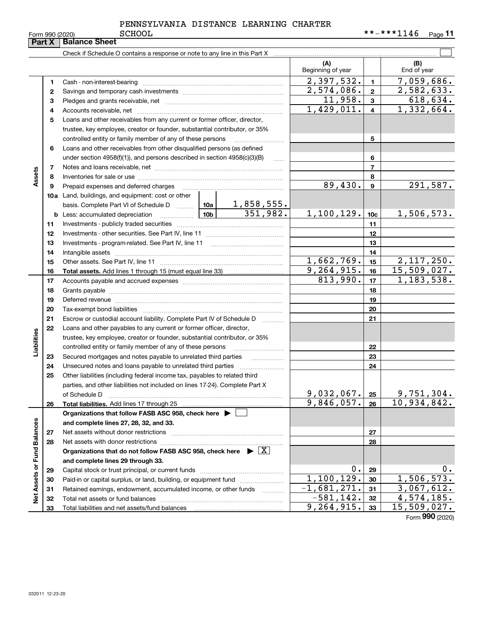| PENNSYLVANIA DISTANCE LEARNING CHARTER |  |  |
|----------------------------------------|--|--|
|                                        |  |  |

Form 990 (2020) Page **11** SCHOOL \*\*-\*\*\*1146

|                             | Part X | <b>Balance Sheet</b>                                                                                                                                                                                                           |                 |                             |                          |                 |                         |
|-----------------------------|--------|--------------------------------------------------------------------------------------------------------------------------------------------------------------------------------------------------------------------------------|-----------------|-----------------------------|--------------------------|-----------------|-------------------------|
|                             |        | Check if Schedule O contains a response or note to any line in this Part X                                                                                                                                                     |                 |                             |                          |                 |                         |
|                             |        |                                                                                                                                                                                                                                |                 |                             | (A)<br>Beginning of year |                 | (B)<br>End of year      |
|                             | 1.     |                                                                                                                                                                                                                                |                 |                             | 2,397,532.               | 1               | 7,059,686.              |
|                             | 2      |                                                                                                                                                                                                                                |                 |                             | 2,574,086.               | $\mathbf{2}$    | 2,582,633.              |
|                             | з      |                                                                                                                                                                                                                                |                 |                             | 11,958.                  | 3               | 618,634.                |
|                             | 4      |                                                                                                                                                                                                                                |                 | 1,429,011.                  | 4                        | 1,332,664.      |                         |
|                             | 5      | Loans and other receivables from any current or former officer, director,                                                                                                                                                      |                 |                             |                          |                 |                         |
|                             |        | trustee, key employee, creator or founder, substantial contributor, or 35%                                                                                                                                                     |                 |                             |                          |                 |                         |
|                             |        | controlled entity or family member of any of these persons                                                                                                                                                                     |                 |                             |                          | 5               |                         |
|                             | 6      | Loans and other receivables from other disqualified persons (as defined                                                                                                                                                        |                 |                             |                          |                 |                         |
|                             |        | under section 4958(f)(1)), and persons described in section 4958(c)(3)(B)                                                                                                                                                      |                 | 1.1.1.1                     |                          | 6               |                         |
|                             | 7      |                                                                                                                                                                                                                                |                 |                             |                          | 7               |                         |
| Assets                      | 8      |                                                                                                                                                                                                                                |                 |                             |                          | 8               |                         |
|                             | 9      | Prepaid expenses and deferred charges                                                                                                                                                                                          |                 |                             | 89,430.                  | 9               | 291,587.                |
|                             |        | <b>10a</b> Land, buildings, and equipment: cost or other                                                                                                                                                                       |                 |                             |                          |                 |                         |
|                             |        | basis. Complete Part VI of Schedule D                                                                                                                                                                                          | 10a             | $\frac{1,858,555}{351,982}$ |                          |                 |                         |
|                             |        |                                                                                                                                                                                                                                | 10 <sub>b</sub> |                             | 1,100,129.               | 10 <sub>c</sub> | 1,506,573.              |
|                             | 11     |                                                                                                                                                                                                                                |                 |                             |                          | 11              |                         |
|                             | 12     |                                                                                                                                                                                                                                |                 |                             |                          | 12              |                         |
|                             | 13     |                                                                                                                                                                                                                                |                 |                             | 13                       |                 |                         |
|                             | 14     |                                                                                                                                                                                                                                |                 | 14                          |                          |                 |                         |
|                             | 15     |                                                                                                                                                                                                                                | 1,662,769.      | 15                          | 2,117,250.               |                 |                         |
|                             | 16     |                                                                                                                                                                                                                                |                 |                             | 9,264,915.               | 16              | 15,509,027.             |
|                             | 17     |                                                                                                                                                                                                                                |                 | 813,990.                    | 17                       | 1,183,538.      |                         |
|                             | 18     |                                                                                                                                                                                                                                |                 |                             |                          | 18              |                         |
|                             | 19     | Deferred revenue manual contracts and contracts are all the contracts and contracts are contracted and contracts are contracted and contract are contracted and contract are contracted and contract are contracted and contra |                 |                             |                          | 19              |                         |
|                             | 20     |                                                                                                                                                                                                                                |                 |                             |                          | 20              |                         |
|                             | 21     | Escrow or custodial account liability. Complete Part IV of Schedule D                                                                                                                                                          |                 |                             |                          | 21              |                         |
|                             | 22     | Loans and other payables to any current or former officer, director,                                                                                                                                                           |                 |                             |                          |                 |                         |
| Liabilities                 |        | trustee, key employee, creator or founder, substantial contributor, or 35%                                                                                                                                                     |                 |                             |                          |                 |                         |
|                             |        | controlled entity or family member of any of these persons                                                                                                                                                                     |                 |                             |                          | 22              |                         |
|                             | 23     | Secured mortgages and notes payable to unrelated third parties                                                                                                                                                                 |                 |                             |                          | 23              |                         |
|                             | 24     |                                                                                                                                                                                                                                |                 |                             |                          | 24              |                         |
|                             | 25     | Other liabilities (including federal income tax, payables to related third                                                                                                                                                     |                 |                             |                          |                 |                         |
|                             |        | parties, and other liabilities not included on lines 17-24). Complete Part X<br>of Schedule D                                                                                                                                  |                 |                             | 9,032,067.               | 25              | <u>9,751,304.</u>       |
|                             | 26     | Total liabilities. Add lines 17 through 25                                                                                                                                                                                     |                 |                             | 9,846,057.               | 26              | 10,934,842.             |
|                             |        | Organizations that follow FASB ASC 958, check here ▶ │                                                                                                                                                                         |                 |                             |                          |                 |                         |
|                             |        | and complete lines 27, 28, 32, and 33.                                                                                                                                                                                         |                 |                             |                          |                 |                         |
|                             | 27     | Net assets without donor restrictions                                                                                                                                                                                          |                 |                             |                          | 27              |                         |
|                             | 28     |                                                                                                                                                                                                                                |                 |                             |                          | 28              |                         |
|                             |        | Organizations that do not follow FASB ASC 958, check here $\triangleright \boxed{X}$                                                                                                                                           |                 |                             |                          |                 |                         |
|                             |        | and complete lines 29 through 33.                                                                                                                                                                                              |                 |                             |                          |                 |                         |
|                             | 29     |                                                                                                                                                                                                                                |                 |                             | ο.                       | 29              | υ.                      |
|                             | 30     | Paid-in or capital surplus, or land, building, or equipment fund                                                                                                                                                               |                 |                             | 1,100,129.               | 30              | 1,506,573.              |
| Net Assets or Fund Balances | 31     | Retained earnings, endowment, accumulated income, or other funds                                                                                                                                                               |                 |                             | $-1,681,271.$            | 31              | 3,067,612.              |
|                             | 32     |                                                                                                                                                                                                                                |                 |                             | $-581, 142.$             | 32              | $\overline{4,}574,185.$ |
|                             | 33     |                                                                                                                                                                                                                                | 9, 264, 915.    | 33                          | 15,509,027.              |                 |                         |

Form (2020) **990**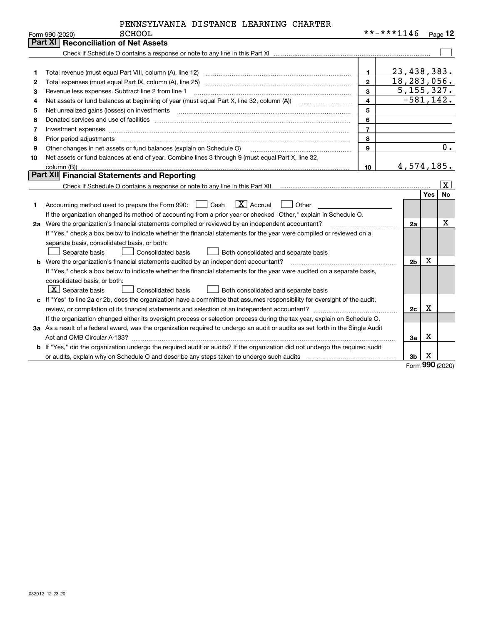| PENNSYLVANIA DISTANCE LEARNING CHARTER |  |  |
|----------------------------------------|--|--|
|                                        |  |  |

|    | <b>SCHOOL</b><br>Form 990 (2020)                                                                                                | **-***1146              |                |             | $Page$ 12 |
|----|---------------------------------------------------------------------------------------------------------------------------------|-------------------------|----------------|-------------|-----------|
|    | Part XI   Reconciliation of Net Assets                                                                                          |                         |                |             |           |
|    |                                                                                                                                 |                         |                |             |           |
|    |                                                                                                                                 |                         |                |             |           |
| 1  | Total revenue (must equal Part VIII, column (A), line 12)                                                                       | $\mathbf{1}$            | 23, 438, 383.  |             |           |
| 2  |                                                                                                                                 | $\mathbf{2}$            | 18,283,056.    |             |           |
| З  | Revenue less expenses. Subtract line 2 from line 1                                                                              | $\mathbf{3}$            | 5, 155, 327.   |             |           |
| 4  |                                                                                                                                 | $\overline{\mathbf{4}}$ | $-581, 142.$   |             |           |
| 5  | Net unrealized gains (losses) on investments                                                                                    | 5                       |                |             |           |
| 6  |                                                                                                                                 | 6                       |                |             |           |
| 7  | Investment expenses www.communication.communication.com/www.communication.com/www.communication.com                             | $\overline{7}$          |                |             |           |
| 8  | Prior period adjustments www.communication.communication.com/news/communications/communications/communications                  | 8                       |                |             |           |
| 9  | Other changes in net assets or fund balances (explain on Schedule O)                                                            | $\mathbf{q}$            |                |             | 0.        |
| 10 | Net assets or fund balances at end of year. Combine lines 3 through 9 (must equal Part X, line 32,                              |                         |                |             |           |
|    | column (B)).                                                                                                                    | 10                      | 4,574,185.     |             |           |
|    | Part XII Financial Statements and Reporting                                                                                     |                         |                |             |           |
|    |                                                                                                                                 |                         |                |             | X         |
|    |                                                                                                                                 |                         |                | <b>Yes</b>  | No        |
| 1  | $ \mathbf{X} $ Accrual<br>Accounting method used to prepare the Form 990: <u>June</u> Cash<br>Other                             |                         |                |             |           |
|    | If the organization changed its method of accounting from a prior year or checked "Other," explain in Schedule O.               |                         |                |             |           |
|    | 2a Were the organization's financial statements compiled or reviewed by an independent accountant?                              |                         | 2a             |             | х         |
|    | If "Yes," check a box below to indicate whether the financial statements for the year were compiled or reviewed on a            |                         |                |             |           |
|    | separate basis, consolidated basis, or both:                                                                                    |                         |                |             |           |
|    | Separate basis<br><b>Consolidated basis</b><br>Both consolidated and separate basis                                             |                         |                |             |           |
|    | <b>b</b> Were the organization's financial statements audited by an independent accountant?                                     |                         | 2 <sub>b</sub> | $\mathbf X$ |           |
|    | If "Yes," check a box below to indicate whether the financial statements for the year were audited on a separate basis,         |                         |                |             |           |
|    | consolidated basis, or both:                                                                                                    |                         |                |             |           |
|    | $\boxed{\textbf{X}}$ Separate basis<br>Consolidated basis<br><b>Both consolidated and separate basis</b>                        |                         |                |             |           |
|    | c If "Yes" to line 2a or 2b, does the organization have a committee that assumes responsibility for oversight of the audit,     |                         |                |             |           |
|    |                                                                                                                                 |                         | 2c             | х           |           |
|    | If the organization changed either its oversight process or selection process during the tax year, explain on Schedule O.       |                         |                |             |           |
|    | 3a As a result of a federal award, was the organization required to undergo an audit or audits as set forth in the Single Audit |                         |                |             |           |
|    |                                                                                                                                 |                         | За             | X           |           |
|    | b If "Yes," did the organization undergo the required audit or audits? If the organization did not undergo the required audit   |                         |                |             |           |
|    |                                                                                                                                 |                         | 3 <sub>b</sub> | x           |           |

Form (2020) **990**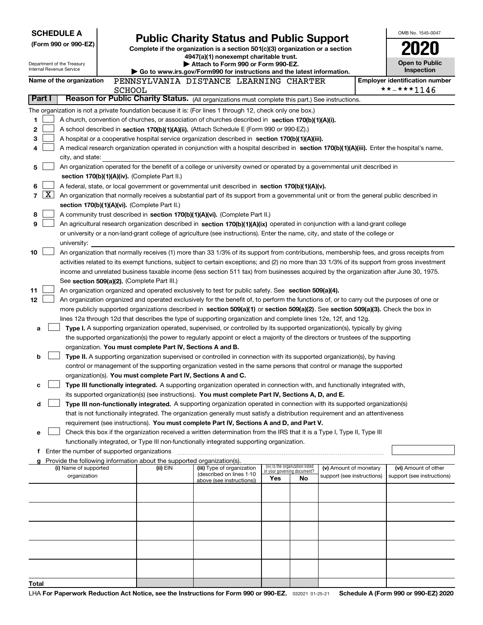| <b>SCHEDULE A</b>                                      |              |                                             |               |                                                                                                                                  |                                                                                                                                                                                                                                                    |                                                                                                                      |                                                                |                                                      | OMB No. 1545-0047 |                                                    |  |
|--------------------------------------------------------|--------------|---------------------------------------------|---------------|----------------------------------------------------------------------------------------------------------------------------------|----------------------------------------------------------------------------------------------------------------------------------------------------------------------------------------------------------------------------------------------------|----------------------------------------------------------------------------------------------------------------------|----------------------------------------------------------------|------------------------------------------------------|-------------------|----------------------------------------------------|--|
| (Form 990 or 990-EZ)                                   |              |                                             |               | <b>Public Charity Status and Public Support</b><br>Complete if the organization is a section 501(c)(3) organization or a section |                                                                                                                                                                                                                                                    |                                                                                                                      |                                                                |                                                      |                   |                                                    |  |
|                                                        |              |                                             |               |                                                                                                                                  | 4947(a)(1) nonexempt charitable trust.                                                                                                                                                                                                             |                                                                                                                      |                                                                |                                                      |                   |                                                    |  |
| Department of the Treasury<br>Internal Revenue Service |              |                                             |               |                                                                                                                                  | Attach to Form 990 or Form 990-EZ.<br>Go to www.irs.gov/Form990 for instructions and the latest information.                                                                                                                                       |                                                                                                                      |                                                                |                                                      |                   | <b>Open to Public</b><br>Inspection                |  |
|                                                        |              | Name of the organization                    |               |                                                                                                                                  | PENNSYLVANIA DISTANCE LEARNING CHARTER                                                                                                                                                                                                             |                                                                                                                      |                                                                |                                                      |                   | <b>Employer identification number</b>              |  |
|                                                        |              |                                             | <b>SCHOOL</b> |                                                                                                                                  |                                                                                                                                                                                                                                                    |                                                                                                                      |                                                                |                                                      |                   | **-***1146                                         |  |
| Part I                                                 |              |                                             |               |                                                                                                                                  | Reason for Public Charity Status. (All organizations must complete this part.) See instructions.                                                                                                                                                   |                                                                                                                      |                                                                |                                                      |                   |                                                    |  |
|                                                        |              |                                             |               |                                                                                                                                  | The organization is not a private foundation because it is: (For lines 1 through 12, check only one box.)                                                                                                                                          |                                                                                                                      |                                                                |                                                      |                   |                                                    |  |
| 1                                                      |              |                                             |               |                                                                                                                                  | A church, convention of churches, or association of churches described in section 170(b)(1)(A)(i).                                                                                                                                                 |                                                                                                                      |                                                                |                                                      |                   |                                                    |  |
| 2                                                      |              |                                             |               |                                                                                                                                  | A school described in section 170(b)(1)(A)(ii). (Attach Schedule E (Form 990 or 990-EZ).)                                                                                                                                                          |                                                                                                                      |                                                                |                                                      |                   |                                                    |  |
| 3                                                      |              |                                             |               |                                                                                                                                  | A hospital or a cooperative hospital service organization described in section 170(b)(1)(A)(iii).<br>A medical research organization operated in conjunction with a hospital described in section 170(b)(1)(A)(iii). Enter the hospital's name,    |                                                                                                                      |                                                                |                                                      |                   |                                                    |  |
| 4                                                      |              | city, and state:                            |               |                                                                                                                                  |                                                                                                                                                                                                                                                    |                                                                                                                      |                                                                |                                                      |                   |                                                    |  |
| 5                                                      |              |                                             |               |                                                                                                                                  | An organization operated for the benefit of a college or university owned or operated by a governmental unit described in                                                                                                                          |                                                                                                                      |                                                                |                                                      |                   |                                                    |  |
|                                                        |              |                                             |               | section 170(b)(1)(A)(iv). (Complete Part II.)                                                                                    |                                                                                                                                                                                                                                                    |                                                                                                                      |                                                                |                                                      |                   |                                                    |  |
| 6                                                      |              |                                             |               |                                                                                                                                  | A federal, state, or local government or governmental unit described in section 170(b)(1)(A)(v).                                                                                                                                                   |                                                                                                                      |                                                                |                                                      |                   |                                                    |  |
| $\overline{7}$                                         | $\mathbf{X}$ |                                             |               |                                                                                                                                  | An organization that normally receives a substantial part of its support from a governmental unit or from the general public described in                                                                                                          |                                                                                                                      |                                                                |                                                      |                   |                                                    |  |
|                                                        |              |                                             |               | section 170(b)(1)(A)(vi). (Complete Part II.)                                                                                    |                                                                                                                                                                                                                                                    |                                                                                                                      |                                                                |                                                      |                   |                                                    |  |
| 8<br>9                                                 |              |                                             |               |                                                                                                                                  | A community trust described in section 170(b)(1)(A)(vi). (Complete Part II.)<br>An agricultural research organization described in section 170(b)(1)(A)(ix) operated in conjunction with a land-grant college                                      |                                                                                                                      |                                                                |                                                      |                   |                                                    |  |
|                                                        |              |                                             |               |                                                                                                                                  | or university or a non-land-grant college of agriculture (see instructions). Enter the name, city, and state of the college or                                                                                                                     |                                                                                                                      |                                                                |                                                      |                   |                                                    |  |
|                                                        |              | university:                                 |               |                                                                                                                                  |                                                                                                                                                                                                                                                    |                                                                                                                      |                                                                |                                                      |                   |                                                    |  |
| 10                                                     |              |                                             |               |                                                                                                                                  | An organization that normally receives (1) more than 33 1/3% of its support from contributions, membership fees, and gross receipts from                                                                                                           |                                                                                                                      |                                                                |                                                      |                   |                                                    |  |
|                                                        |              |                                             |               |                                                                                                                                  | activities related to its exempt functions, subject to certain exceptions; and (2) no more than 33 1/3% of its support from gross investment                                                                                                       |                                                                                                                      |                                                                |                                                      |                   |                                                    |  |
|                                                        |              |                                             |               |                                                                                                                                  | income and unrelated business taxable income (less section 511 tax) from businesses acquired by the organization after June 30, 1975.                                                                                                              |                                                                                                                      |                                                                |                                                      |                   |                                                    |  |
|                                                        |              |                                             |               | See section 509(a)(2). (Complete Part III.)                                                                                      |                                                                                                                                                                                                                                                    |                                                                                                                      |                                                                |                                                      |                   |                                                    |  |
| 11<br>12                                               |              |                                             |               |                                                                                                                                  | An organization organized and operated exclusively to test for public safety. See section 509(a)(4).<br>An organization organized and operated exclusively for the benefit of, to perform the functions of, or to carry out the purposes of one or |                                                                                                                      |                                                                |                                                      |                   |                                                    |  |
|                                                        |              |                                             |               |                                                                                                                                  | more publicly supported organizations described in section 509(a)(1) or section 509(a)(2). See section 509(a)(3). Check the box in                                                                                                                 |                                                                                                                      |                                                                |                                                      |                   |                                                    |  |
|                                                        |              |                                             |               |                                                                                                                                  | lines 12a through 12d that describes the type of supporting organization and complete lines 12e, 12f, and 12g.                                                                                                                                     |                                                                                                                      |                                                                |                                                      |                   |                                                    |  |
| a                                                      |              |                                             |               |                                                                                                                                  | Type I. A supporting organization operated, supervised, or controlled by its supported organization(s), typically by giving                                                                                                                        |                                                                                                                      |                                                                |                                                      |                   |                                                    |  |
|                                                        |              |                                             |               |                                                                                                                                  | the supported organization(s) the power to regularly appoint or elect a majority of the directors or trustees of the supporting                                                                                                                    |                                                                                                                      |                                                                |                                                      |                   |                                                    |  |
|                                                        |              |                                             |               | organization. You must complete Part IV, Sections A and B.                                                                       |                                                                                                                                                                                                                                                    |                                                                                                                      |                                                                |                                                      |                   |                                                    |  |
| b                                                      |              |                                             |               |                                                                                                                                  | Type II. A supporting organization supervised or controlled in connection with its supported organization(s), by having                                                                                                                            |                                                                                                                      |                                                                |                                                      |                   |                                                    |  |
|                                                        |              |                                             |               | organization(s). You must complete Part IV, Sections A and C.                                                                    |                                                                                                                                                                                                                                                    | control or management of the supporting organization vested in the same persons that control or manage the supported |                                                                |                                                      |                   |                                                    |  |
| с                                                      |              |                                             |               |                                                                                                                                  | Type III functionally integrated. A supporting organization operated in connection with, and functionally integrated with,                                                                                                                         |                                                                                                                      |                                                                |                                                      |                   |                                                    |  |
|                                                        |              |                                             |               |                                                                                                                                  | its supported organization(s) (see instructions). You must complete Part IV, Sections A, D, and E.                                                                                                                                                 |                                                                                                                      |                                                                |                                                      |                   |                                                    |  |
| d                                                      |              |                                             |               |                                                                                                                                  | Type III non-functionally integrated. A supporting organization operated in connection with its supported organization(s)                                                                                                                          |                                                                                                                      |                                                                |                                                      |                   |                                                    |  |
|                                                        |              |                                             |               |                                                                                                                                  | that is not functionally integrated. The organization generally must satisfy a distribution requirement and an attentiveness                                                                                                                       |                                                                                                                      |                                                                |                                                      |                   |                                                    |  |
|                                                        |              |                                             |               |                                                                                                                                  | requirement (see instructions). You must complete Part IV, Sections A and D, and Part V.                                                                                                                                                           |                                                                                                                      |                                                                |                                                      |                   |                                                    |  |
| е                                                      |              |                                             |               |                                                                                                                                  | Check this box if the organization received a written determination from the IRS that it is a Type I, Type II, Type III<br>functionally integrated, or Type III non-functionally integrated supporting organization.                               |                                                                                                                      |                                                                |                                                      |                   |                                                    |  |
|                                                        |              | Enter the number of supported organizations |               |                                                                                                                                  |                                                                                                                                                                                                                                                    |                                                                                                                      |                                                                |                                                      |                   |                                                    |  |
|                                                        |              |                                             |               | Provide the following information about the supported organization(s).                                                           |                                                                                                                                                                                                                                                    |                                                                                                                      |                                                                |                                                      |                   |                                                    |  |
|                                                        |              | (i) Name of supported<br>organization       |               | (ii) EIN                                                                                                                         | (iii) Type of organization<br>(described on lines 1-10                                                                                                                                                                                             |                                                                                                                      | (iv) Is the organization listed<br>in your governing document? | (v) Amount of monetary<br>support (see instructions) |                   | (vi) Amount of other<br>support (see instructions) |  |
|                                                        |              |                                             |               |                                                                                                                                  | above (see instructions))                                                                                                                                                                                                                          | Yes                                                                                                                  | No                                                             |                                                      |                   |                                                    |  |
|                                                        |              |                                             |               |                                                                                                                                  |                                                                                                                                                                                                                                                    |                                                                                                                      |                                                                |                                                      |                   |                                                    |  |
|                                                        |              |                                             |               |                                                                                                                                  |                                                                                                                                                                                                                                                    |                                                                                                                      |                                                                |                                                      |                   |                                                    |  |
|                                                        |              |                                             |               |                                                                                                                                  |                                                                                                                                                                                                                                                    |                                                                                                                      |                                                                |                                                      |                   |                                                    |  |
|                                                        |              |                                             |               |                                                                                                                                  |                                                                                                                                                                                                                                                    |                                                                                                                      |                                                                |                                                      |                   |                                                    |  |
|                                                        |              |                                             |               |                                                                                                                                  |                                                                                                                                                                                                                                                    |                                                                                                                      |                                                                |                                                      |                   |                                                    |  |
|                                                        |              |                                             |               |                                                                                                                                  |                                                                                                                                                                                                                                                    |                                                                                                                      |                                                                |                                                      |                   |                                                    |  |
|                                                        |              |                                             |               |                                                                                                                                  |                                                                                                                                                                                                                                                    |                                                                                                                      |                                                                |                                                      |                   |                                                    |  |
|                                                        |              |                                             |               |                                                                                                                                  |                                                                                                                                                                                                                                                    |                                                                                                                      |                                                                |                                                      |                   |                                                    |  |
| Total                                                  |              |                                             |               |                                                                                                                                  |                                                                                                                                                                                                                                                    |                                                                                                                      |                                                                |                                                      |                   |                                                    |  |
|                                                        |              |                                             |               |                                                                                                                                  |                                                                                                                                                                                                                                                    |                                                                                                                      |                                                                |                                                      |                   |                                                    |  |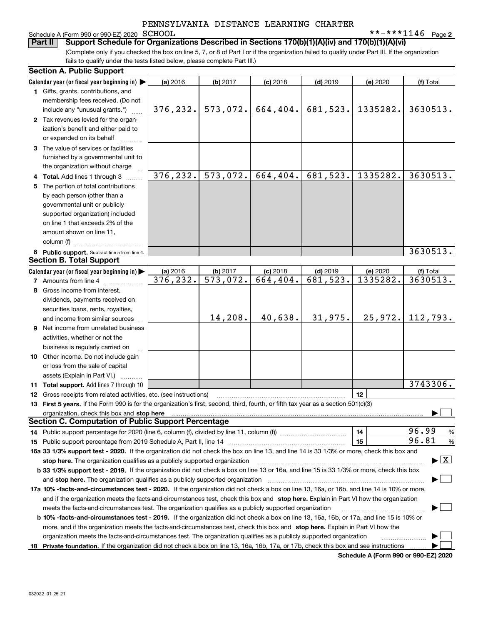# Schedule A (Form 990 or 990-EZ) 2020 SCHOOL<br>**Part II** Support Schedule for Organiz

**2** SCHOOL \*\*-\*\*\*1146

(Complete only if you checked the box on line 5, 7, or 8 of Part I or if the organization failed to qualify under Part III. If the organization fails to qualify under the tests listed below, please complete Part III.) **Bupport Schedule for Organizations Described in Sections 170(b)(1)(A)(iv) and 170(b)(1)(A)(vi)** 

| <b>Section A. Public Support</b>                                                                                                               |           |                        |                         |            |          |                                          |
|------------------------------------------------------------------------------------------------------------------------------------------------|-----------|------------------------|-------------------------|------------|----------|------------------------------------------|
| Calendar year (or fiscal year beginning in) $\blacktriangleright$                                                                              | (a) 2016  | $(b)$ 2017             | $(c)$ 2018              | $(d)$ 2019 | (e) 2020 | (f) Total                                |
| 1 Gifts, grants, contributions, and                                                                                                            |           |                        |                         |            |          |                                          |
| membership fees received. (Do not                                                                                                              |           |                        |                         |            |          |                                          |
| include any "unusual grants.")                                                                                                                 | 376, 232. | 573,072.               | 664, 404.               | 681,523.   | 1335282. | 3630513.                                 |
| 2 Tax revenues levied for the organ-                                                                                                           |           |                        |                         |            |          |                                          |
| ization's benefit and either paid to                                                                                                           |           |                        |                         |            |          |                                          |
| or expended on its behalf                                                                                                                      |           |                        |                         |            |          |                                          |
| 3 The value of services or facilities                                                                                                          |           |                        |                         |            |          |                                          |
| furnished by a governmental unit to                                                                                                            |           |                        |                         |            |          |                                          |
| the organization without charge                                                                                                                |           |                        |                         |            |          |                                          |
| 4 Total. Add lines 1 through 3                                                                                                                 | 376,232.  | 573,072.               | 664,404.                | 681,523.   | 1335282. | 3630513.                                 |
| 5 The portion of total contributions                                                                                                           |           |                        |                         |            |          |                                          |
| by each person (other than a                                                                                                                   |           |                        |                         |            |          |                                          |
| governmental unit or publicly                                                                                                                  |           |                        |                         |            |          |                                          |
| supported organization) included                                                                                                               |           |                        |                         |            |          |                                          |
| on line 1 that exceeds 2% of the                                                                                                               |           |                        |                         |            |          |                                          |
| amount shown on line 11,                                                                                                                       |           |                        |                         |            |          |                                          |
| column (f)                                                                                                                                     |           |                        |                         |            |          |                                          |
| 6 Public support. Subtract line 5 from line 4.                                                                                                 |           |                        |                         |            |          | 3630513.                                 |
| <b>Section B. Total Support</b>                                                                                                                |           |                        |                         |            |          |                                          |
| Calendar year (or fiscal year beginning in)                                                                                                    | (a) 2016  | $(b)$ 2017             | $(c)$ 2018              | $(d)$ 2019 | (e) 2020 | (f) Total                                |
| <b>7</b> Amounts from line 4                                                                                                                   | 376, 232. | $\overline{573,072}$ . | $\overline{664}$ , 404. | 681,523.   | 1335282. | 3630513.                                 |
| 8 Gross income from interest,                                                                                                                  |           |                        |                         |            |          |                                          |
| dividends, payments received on                                                                                                                |           |                        |                         |            |          |                                          |
| securities loans, rents, royalties,                                                                                                            |           |                        |                         |            |          |                                          |
| and income from similar sources                                                                                                                |           | 14,208.                | 40,638.                 | 31,975.    | 25,972.  | 112,793.                                 |
| 9 Net income from unrelated business                                                                                                           |           |                        |                         |            |          |                                          |
| activities, whether or not the                                                                                                                 |           |                        |                         |            |          |                                          |
| business is regularly carried on                                                                                                               |           |                        |                         |            |          |                                          |
| 10 Other income. Do not include gain                                                                                                           |           |                        |                         |            |          |                                          |
| or loss from the sale of capital                                                                                                               |           |                        |                         |            |          |                                          |
| assets (Explain in Part VI.) <b>Constant</b>                                                                                                   |           |                        |                         |            |          |                                          |
| 11 Total support. Add lines 7 through 10                                                                                                       |           |                        |                         |            |          | 3743306.                                 |
| 12 Gross receipts from related activities, etc. (see instructions)                                                                             |           |                        |                         |            | 12       |                                          |
| 13 First 5 years. If the Form 990 is for the organization's first, second, third, fourth, or fifth tax year as a section 501(c)(3)             |           |                        |                         |            |          |                                          |
| organization, check this box and <b>stop here</b> www.communically.communications.communications.communications.communi                        |           |                        |                         |            |          |                                          |
| <b>Section C. Computation of Public Support Percentage</b>                                                                                     |           |                        |                         |            |          |                                          |
|                                                                                                                                                |           |                        |                         |            | 14       | 96.99<br>%                               |
|                                                                                                                                                |           |                        |                         |            | 15       | 96.81<br>%                               |
| 16a 33 1/3% support test - 2020. If the organization did not check the box on line 13, and line 14 is 33 1/3% or more, check this box and      |           |                        |                         |            |          |                                          |
| stop here. The organization qualifies as a publicly supported organization                                                                     |           |                        |                         |            |          | $\blacktriangleright$ $\boxed{\text{X}}$ |
| b 33 1/3% support test - 2019. If the organization did not check a box on line 13 or 16a, and line 15 is 33 1/3% or more, check this box       |           |                        |                         |            |          |                                          |
| and stop here. The organization qualifies as a publicly supported organization                                                                 |           |                        |                         |            |          |                                          |
| 17a 10% -facts-and-circumstances test - 2020. If the organization did not check a box on line 13, 16a, or 16b, and line 14 is 10% or more,     |           |                        |                         |            |          |                                          |
| and if the organization meets the facts and circumstances test, check this box and stop here. Explain in Part VI how the organization          |           |                        |                         |            |          |                                          |
| meets the facts-and-circumstances test. The organization qualifies as a publicly supported organization                                        |           |                        |                         |            |          |                                          |
| <b>b 10% -facts-and-circumstances test - 2019.</b> If the organization did not check a box on line 13, 16a, 16b, or 17a, and line 15 is 10% or |           |                        |                         |            |          |                                          |
| more, and if the organization meets the facts-and-circumstances test, check this box and stop here. Explain in Part VI how the                 |           |                        |                         |            |          |                                          |
| organization meets the facts-and-circumstances test. The organization qualifies as a publicly supported organization                           |           |                        |                         |            |          |                                          |
| 18 Private foundation. If the organization did not check a box on line 13, 16a, 16b, 17a, or 17b, check this box and see instructions          |           |                        |                         |            |          |                                          |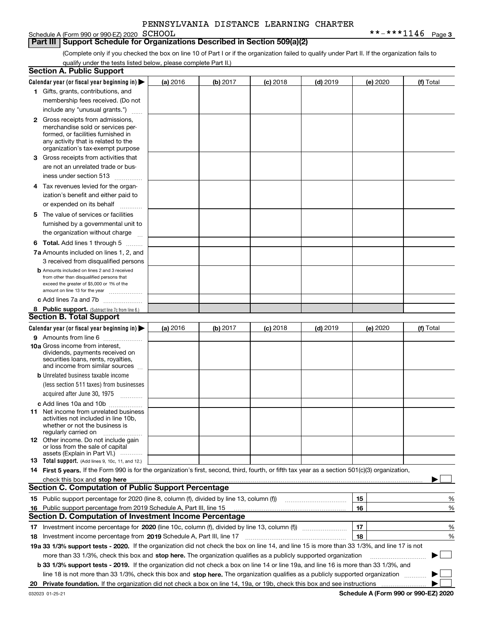# Schedule A (Form 990 or 990-EZ) 2020 SCHOOL

### **Part III Support Schedule for Organizations Described in Section 509(a)(2)**

**3** SCHOOL \*\*-\*\*\*1146

(Complete only if you checked the box on line 10 of Part I or if the organization failed to qualify under Part II. If the organization fails to qualify under the tests listed below, please complete Part II.)

|    | <b>Section A. Public Support</b>                                                                                                                 |          |          |                 |                                                      |          |           |
|----|--------------------------------------------------------------------------------------------------------------------------------------------------|----------|----------|-----------------|------------------------------------------------------|----------|-----------|
|    | Calendar year (or fiscal year beginning in) $\blacktriangleright$                                                                                | (a) 2016 | (b) 2017 | <b>(c)</b> 2018 | $(d)$ 2019                                           | (e) 2020 | (f) Total |
|    | 1 Gifts, grants, contributions, and                                                                                                              |          |          |                 |                                                      |          |           |
|    | membership fees received. (Do not                                                                                                                |          |          |                 |                                                      |          |           |
|    | include any "unusual grants.")                                                                                                                   |          |          |                 |                                                      |          |           |
|    | <b>2</b> Gross receipts from admissions,                                                                                                         |          |          |                 |                                                      |          |           |
|    | merchandise sold or services per-                                                                                                                |          |          |                 |                                                      |          |           |
|    | formed, or facilities furnished in                                                                                                               |          |          |                 |                                                      |          |           |
|    | any activity that is related to the<br>organization's tax-exempt purpose                                                                         |          |          |                 |                                                      |          |           |
|    | 3 Gross receipts from activities that                                                                                                            |          |          |                 |                                                      |          |           |
|    | are not an unrelated trade or bus-                                                                                                               |          |          |                 |                                                      |          |           |
|    | iness under section 513                                                                                                                          |          |          |                 |                                                      |          |           |
|    |                                                                                                                                                  |          |          |                 |                                                      |          |           |
|    | 4 Tax revenues levied for the organ-                                                                                                             |          |          |                 |                                                      |          |           |
|    | ization's benefit and either paid to                                                                                                             |          |          |                 |                                                      |          |           |
|    | or expended on its behalf<br>.                                                                                                                   |          |          |                 |                                                      |          |           |
|    | 5 The value of services or facilities                                                                                                            |          |          |                 |                                                      |          |           |
|    | furnished by a governmental unit to                                                                                                              |          |          |                 |                                                      |          |           |
|    | the organization without charge                                                                                                                  |          |          |                 |                                                      |          |           |
|    | <b>6 Total.</b> Add lines 1 through 5                                                                                                            |          |          |                 |                                                      |          |           |
|    | 7a Amounts included on lines 1, 2, and                                                                                                           |          |          |                 |                                                      |          |           |
|    | 3 received from disqualified persons                                                                                                             |          |          |                 |                                                      |          |           |
|    | <b>b</b> Amounts included on lines 2 and 3 received                                                                                              |          |          |                 |                                                      |          |           |
|    | from other than disqualified persons that<br>exceed the greater of \$5,000 or 1% of the                                                          |          |          |                 |                                                      |          |           |
|    | amount on line 13 for the year                                                                                                                   |          |          |                 |                                                      |          |           |
|    | c Add lines 7a and 7b                                                                                                                            |          |          |                 |                                                      |          |           |
|    | 8 Public support. (Subtract line 7c from line 6.)                                                                                                |          |          |                 |                                                      |          |           |
|    | <b>Section B. Total Support</b>                                                                                                                  |          |          |                 |                                                      |          |           |
|    | Calendar year (or fiscal year beginning in) $\blacktriangleright$                                                                                | (a) 2016 | (b) 2017 | $(c)$ 2018      | $(d)$ 2019                                           | (e) 2020 | (f) Total |
|    | 9 Amounts from line 6                                                                                                                            |          |          |                 |                                                      |          |           |
|    | 10a Gross income from interest,                                                                                                                  |          |          |                 |                                                      |          |           |
|    | dividends, payments received on                                                                                                                  |          |          |                 |                                                      |          |           |
|    | securities loans, rents, royalties,<br>and income from similar sources                                                                           |          |          |                 |                                                      |          |           |
|    | <b>b</b> Unrelated business taxable income                                                                                                       |          |          |                 |                                                      |          |           |
|    | (less section 511 taxes) from businesses                                                                                                         |          |          |                 |                                                      |          |           |
|    | acquired after June 30, 1975                                                                                                                     |          |          |                 |                                                      |          |           |
|    |                                                                                                                                                  |          |          |                 |                                                      |          |           |
|    | c Add lines 10a and 10b<br>11 Net income from unrelated business                                                                                 |          |          |                 |                                                      |          |           |
|    | activities not included in line 10b.                                                                                                             |          |          |                 |                                                      |          |           |
|    | whether or not the business is                                                                                                                   |          |          |                 |                                                      |          |           |
|    | regularly carried on                                                                                                                             |          |          |                 |                                                      |          |           |
|    | 12 Other income. Do not include gain<br>or loss from the sale of capital                                                                         |          |          |                 |                                                      |          |           |
|    | assets (Explain in Part VI.)                                                                                                                     |          |          |                 |                                                      |          |           |
|    | <b>13</b> Total support. (Add lines 9, 10c, 11, and 12.)                                                                                         |          |          |                 |                                                      |          |           |
|    | 14 First 5 years. If the Form 990 is for the organization's first, second, third, fourth, or fifth tax year as a section 501(c)(3) organization, |          |          |                 |                                                      |          |           |
|    | check this box and stop here measurements are constructed as the state of the state of the state of the state o                                  |          |          |                 |                                                      |          |           |
|    | <b>Section C. Computation of Public Support Percentage</b>                                                                                       |          |          |                 |                                                      |          |           |
|    | 15 Public support percentage for 2020 (line 8, column (f), divided by line 13, column (f))                                                       |          |          |                 | <u> 1986 - Johann Stoff, Amerikaansk politiker (</u> | 15       | %         |
|    | 16 Public support percentage from 2019 Schedule A, Part III, line 15                                                                             |          |          |                 |                                                      | 16       | %         |
|    | <b>Section D. Computation of Investment Income Percentage</b>                                                                                    |          |          |                 |                                                      |          |           |
|    |                                                                                                                                                  |          |          |                 |                                                      | 17       | %         |
|    | <b>18</b> Investment income percentage from <b>2019</b> Schedule A, Part III, line 17                                                            |          |          |                 |                                                      | 18       | %         |
|    | 19a 33 1/3% support tests - 2020. If the organization did not check the box on line 14, and line 15 is more than 33 1/3%, and line 17 is not     |          |          |                 |                                                      |          |           |
|    | more than 33 1/3%, check this box and stop here. The organization qualifies as a publicly supported organization                                 |          |          |                 |                                                      |          | ▶         |
|    | b 33 1/3% support tests - 2019. If the organization did not check a box on line 14 or line 19a, and line 16 is more than 33 1/3%, and            |          |          |                 |                                                      |          |           |
|    | line 18 is not more than 33 1/3%, check this box and stop here. The organization qualifies as a publicly supported organization                  |          |          |                 |                                                      |          |           |
| 20 |                                                                                                                                                  |          |          |                 |                                                      |          |           |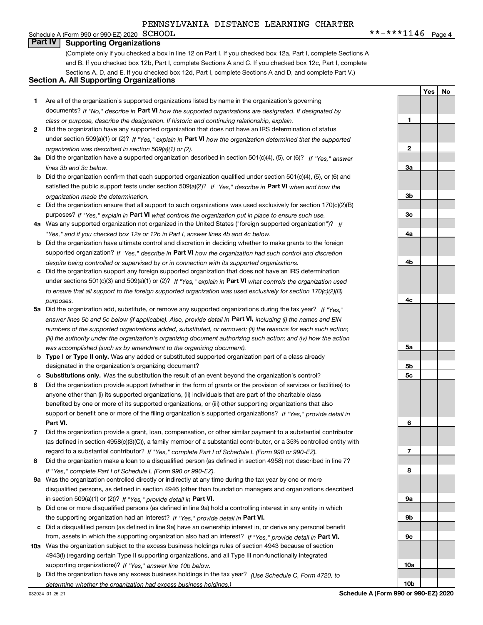Schedule A (Form 990 or 990-EZ) 2020  $\text{SCHOOL}$ **Part IV Supporting Organizations**

(Complete only if you checked a box in line 12 on Part I. If you checked box 12a, Part I, complete Sections A and B. If you checked box 12b, Part I, complete Sections A and C. If you checked box 12c, Part I, complete Sections A, D, and E. If you checked box 12d, Part I, complete Sections A and D, and complete Part V.)

### **Section A. All Supporting Organizations**

- **1** Are all of the organization's supported organizations listed by name in the organization's governing documents? If "No," describe in **Part VI** how the supported organizations are designated. If designated by *class or purpose, describe the designation. If historic and continuing relationship, explain.*
- **2** Did the organization have any supported organization that does not have an IRS determination of status under section 509(a)(1) or (2)? If "Yes," explain in Part VI how the organization determined that the supported *organization was described in section 509(a)(1) or (2).*
- **3a** Did the organization have a supported organization described in section 501(c)(4), (5), or (6)? If "Yes," answer *lines 3b and 3c below.*
- **b** Did the organization confirm that each supported organization qualified under section 501(c)(4), (5), or (6) and satisfied the public support tests under section 509(a)(2)? If "Yes," describe in **Part VI** when and how the *organization made the determination.*
- **c**Did the organization ensure that all support to such organizations was used exclusively for section 170(c)(2)(B) purposes? If "Yes," explain in **Part VI** what controls the organization put in place to ensure such use.
- **4a***If* Was any supported organization not organized in the United States ("foreign supported organization")? *"Yes," and if you checked box 12a or 12b in Part I, answer lines 4b and 4c below.*
- **b** Did the organization have ultimate control and discretion in deciding whether to make grants to the foreign supported organization? If "Yes," describe in **Part VI** how the organization had such control and discretion *despite being controlled or supervised by or in connection with its supported organizations.*
- **c** Did the organization support any foreign supported organization that does not have an IRS determination under sections 501(c)(3) and 509(a)(1) or (2)? If "Yes," explain in **Part VI** what controls the organization used *to ensure that all support to the foreign supported organization was used exclusively for section 170(c)(2)(B) purposes.*
- **5a***If "Yes,"* Did the organization add, substitute, or remove any supported organizations during the tax year? answer lines 5b and 5c below (if applicable). Also, provide detail in **Part VI,** including (i) the names and EIN *numbers of the supported organizations added, substituted, or removed; (ii) the reasons for each such action; (iii) the authority under the organization's organizing document authorizing such action; and (iv) how the action was accomplished (such as by amendment to the organizing document).*
- **b** Type I or Type II only. Was any added or substituted supported organization part of a class already designated in the organization's organizing document?
- **cSubstitutions only.**  Was the substitution the result of an event beyond the organization's control?
- **6** Did the organization provide support (whether in the form of grants or the provision of services or facilities) to **Part VI.** *If "Yes," provide detail in* support or benefit one or more of the filing organization's supported organizations? anyone other than (i) its supported organizations, (ii) individuals that are part of the charitable class benefited by one or more of its supported organizations, or (iii) other supporting organizations that also
- **7**Did the organization provide a grant, loan, compensation, or other similar payment to a substantial contributor *If "Yes," complete Part I of Schedule L (Form 990 or 990-EZ).* regard to a substantial contributor? (as defined in section 4958(c)(3)(C)), a family member of a substantial contributor, or a 35% controlled entity with
- **8** Did the organization make a loan to a disqualified person (as defined in section 4958) not described in line 7? *If "Yes," complete Part I of Schedule L (Form 990 or 990-EZ).*
- **9a** Was the organization controlled directly or indirectly at any time during the tax year by one or more in section 509(a)(1) or (2))? If "Yes," *provide detail in* <code>Part VI.</code> disqualified persons, as defined in section 4946 (other than foundation managers and organizations described
- **b** Did one or more disqualified persons (as defined in line 9a) hold a controlling interest in any entity in which the supporting organization had an interest? If "Yes," provide detail in P**art VI**.
- **c**Did a disqualified person (as defined in line 9a) have an ownership interest in, or derive any personal benefit from, assets in which the supporting organization also had an interest? If "Yes," provide detail in P**art VI.**
- **10a** Was the organization subject to the excess business holdings rules of section 4943 because of section supporting organizations)? If "Yes," answer line 10b below. 4943(f) (regarding certain Type II supporting organizations, and all Type III non-functionally integrated
- **b** Did the organization have any excess business holdings in the tax year? (Use Schedule C, Form 4720, to *determine whether the organization had excess business holdings.)*

**5a5b5c6789a 9b9c10a10bSchedule A (Form 990 or 990-EZ) 2020**

**1**

**2**

**3a**

**3b**

**3c**

**4a**

**4b**

**4c**

**YesNo**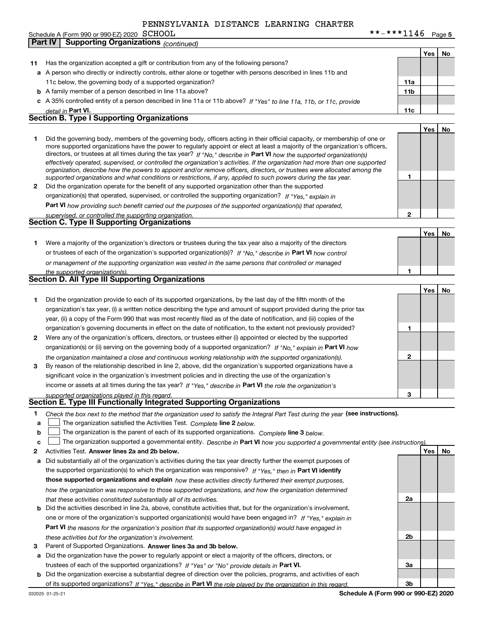|  | Schedule A (Form 990 or 990-EZ) 2020 $SCHOOL$ |  | **-***1146 | Page 5 |
|--|-----------------------------------------------|--|------------|--------|
|--|-----------------------------------------------|--|------------|--------|

|    | $300$ requie A (Form $330$ or $330$ -EZ) 2020 $\sim$ D C1100 $\pm$<br><b>Supporting Organizations (continued)</b><br><b>Part IV</b>                                                                                                                         | ∸∸≖∨            |     | r aye J |
|----|-------------------------------------------------------------------------------------------------------------------------------------------------------------------------------------------------------------------------------------------------------------|-----------------|-----|---------|
|    |                                                                                                                                                                                                                                                             |                 |     |         |
|    |                                                                                                                                                                                                                                                             |                 | Yes | No      |
| 11 | Has the organization accepted a gift or contribution from any of the following persons?                                                                                                                                                                     |                 |     |         |
|    | a A person who directly or indirectly controls, either alone or together with persons described in lines 11b and                                                                                                                                            |                 |     |         |
|    | 11c below, the governing body of a supported organization?                                                                                                                                                                                                  | 11a             |     |         |
|    | <b>b</b> A family member of a person described in line 11a above?                                                                                                                                                                                           | 11 <sub>b</sub> |     |         |
|    | c A 35% controlled entity of a person described in line 11a or 11b above? If "Yes" to line 11a, 11b, or 11c, provide                                                                                                                                        |                 |     |         |
|    | detail in Part VI.<br><b>Section B. Type I Supporting Organizations</b>                                                                                                                                                                                     | 11c             |     |         |
|    |                                                                                                                                                                                                                                                             |                 |     |         |
|    |                                                                                                                                                                                                                                                             |                 | Yes | No      |
| 1  | Did the governing body, members of the governing body, officers acting in their official capacity, or membership of one or<br>more supported organizations have the power to regularly appoint or elect at least a majority of the organization's officers, |                 |     |         |
|    | directors, or trustees at all times during the tax year? If "No," describe in Part VI how the supported organization(s)                                                                                                                                     |                 |     |         |
|    | effectively operated, supervised, or controlled the organization's activities. If the organization had more than one supported                                                                                                                              |                 |     |         |
|    | organization, describe how the powers to appoint and/or remove officers, directors, or trustees were allocated among the                                                                                                                                    | 1               |     |         |
| 2  | supported organizations and what conditions or restrictions, if any, applied to such powers during the tax year.<br>Did the organization operate for the benefit of any supported organization other than the supported                                     |                 |     |         |
|    | organization(s) that operated, supervised, or controlled the supporting organization? If "Yes," explain in                                                                                                                                                  |                 |     |         |
|    | <b>Part VI</b> how providing such benefit carried out the purposes of the supported organization(s) that operated.                                                                                                                                          |                 |     |         |
|    |                                                                                                                                                                                                                                                             | $\mathbf{2}$    |     |         |
|    | supervised, or controlled the supporting organization.<br><b>Section C. Type II Supporting Organizations</b>                                                                                                                                                |                 |     |         |
|    |                                                                                                                                                                                                                                                             |                 | Yes | No      |
| 1. | Were a majority of the organization's directors or trustees during the tax year also a majority of the directors                                                                                                                                            |                 |     |         |
|    | or trustees of each of the organization's supported organization(s)? If "No," describe in Part VI how control                                                                                                                                               |                 |     |         |
|    | or management of the supporting organization was vested in the same persons that controlled or managed                                                                                                                                                      |                 |     |         |
|    | the supported organization(s).                                                                                                                                                                                                                              | 1               |     |         |
|    | <b>Section D. All Type III Supporting Organizations</b>                                                                                                                                                                                                     |                 |     |         |
|    |                                                                                                                                                                                                                                                             |                 | Yes | No      |
| 1  | Did the organization provide to each of its supported organizations, by the last day of the fifth month of the                                                                                                                                              |                 |     |         |
|    | organization's tax year, (i) a written notice describing the type and amount of support provided during the prior tax                                                                                                                                       |                 |     |         |
|    | year, (ii) a copy of the Form 990 that was most recently filed as of the date of notification, and (iii) copies of the                                                                                                                                      |                 |     |         |
|    | organization's governing documents in effect on the date of notification, to the extent not previously provided?                                                                                                                                            | 1               |     |         |
| 2  | Were any of the organization's officers, directors, or trustees either (i) appointed or elected by the supported                                                                                                                                            |                 |     |         |
|    | organization(s) or (ii) serving on the governing body of a supported organization? If "No," explain in Part VI how                                                                                                                                          |                 |     |         |
|    | the organization maintained a close and continuous working relationship with the supported organization(s).                                                                                                                                                 | 2               |     |         |
| 3  | By reason of the relationship described in line 2, above, did the organization's supported organizations have a                                                                                                                                             |                 |     |         |
|    | significant voice in the organization's investment policies and in directing the use of the organization's                                                                                                                                                  |                 |     |         |
|    | income or assets at all times during the tax year? If "Yes," describe in Part VI the role the organization's                                                                                                                                                |                 |     |         |
|    | supported organizations played in this regard.                                                                                                                                                                                                              | 3               |     |         |
|    | Section E. Type III Functionally Integrated Supporting Organizations                                                                                                                                                                                        |                 |     |         |
| 1  | Check the box next to the method that the organization used to satisfy the Integral Part Test during the year (see instructions).                                                                                                                           |                 |     |         |
| a  | The organization satisfied the Activities Test. Complete line 2 below.                                                                                                                                                                                      |                 |     |         |
| b  | The organization is the parent of each of its supported organizations. Complete line 3 below.                                                                                                                                                               |                 |     |         |
| c  | The organization supported a governmental entity. Describe in Part VI how you supported a governmental entity (see instructions).                                                                                                                           |                 |     |         |
| 2  | Activities Test. Answer lines 2a and 2b below.                                                                                                                                                                                                              |                 | Yes | No      |
| а  | Did substantially all of the organization's activities during the tax year directly further the exempt purposes of                                                                                                                                          |                 |     |         |
|    | the supported organization(s) to which the organization was responsive? If "Yes," then in Part VI identify                                                                                                                                                  |                 |     |         |
|    | those supported organizations and explain how these activities directly furthered their exempt purposes,                                                                                                                                                    |                 |     |         |
|    | how the organization was responsive to those supported organizations, and how the organization determined                                                                                                                                                   |                 |     |         |
|    | that these activities constituted substantially all of its activities.                                                                                                                                                                                      | 2a              |     |         |
| b  | Did the activities described in line 2a, above, constitute activities that, but for the organization's involvement,                                                                                                                                         |                 |     |         |
|    | one or more of the organization's supported organization(s) would have been engaged in? If "Yes." explain in                                                                                                                                                |                 |     |         |
|    | Part VI the reasons for the organization's position that its supported organization(s) would have engaged in                                                                                                                                                |                 |     |         |
|    | these activities but for the organization's involvement.                                                                                                                                                                                                    | 2b              |     |         |
| 3  | Parent of Supported Organizations. Answer lines 3a and 3b below.                                                                                                                                                                                            |                 |     |         |
| а  | Did the organization have the power to regularly appoint or elect a majority of the officers, directors, or                                                                                                                                                 |                 |     |         |
|    | trustees of each of the supported organizations? If "Yes" or "No" provide details in Part VI.                                                                                                                                                               | За              |     |         |
| b  | Did the organization exercise a substantial degree of direction over the policies, programs, and activities of each                                                                                                                                         |                 |     |         |
|    | of its supported organizations? If "Yes," describe in Part VI the role played by the organization in this regard.                                                                                                                                           | 3b              |     |         |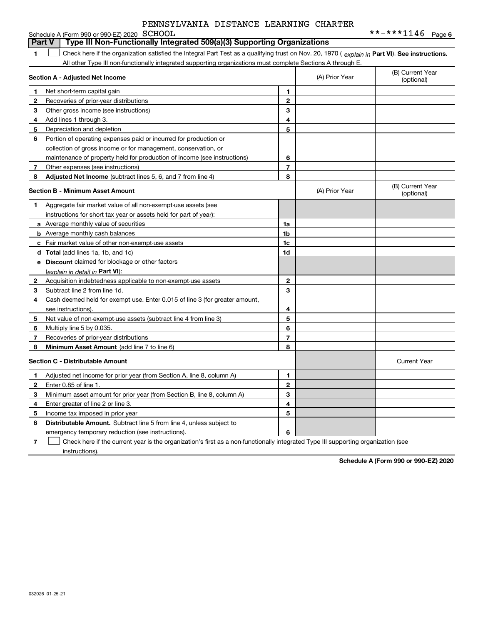|    | Schedule A (Form 990 or 990-EZ) 2020 SCHOOL                                                                                                    |                |                | **-***1146 Page 6              |
|----|------------------------------------------------------------------------------------------------------------------------------------------------|----------------|----------------|--------------------------------|
|    | Type III Non-Functionally Integrated 509(a)(3) Supporting Organizations<br><b>Part V</b>                                                       |                |                |                                |
| 1  | Check here if the organization satisfied the Integral Part Test as a qualifying trust on Nov. 20, 1970 (explain in Part VI). See instructions. |                |                |                                |
|    | All other Type III non-functionally integrated supporting organizations must complete Sections A through E.                                    |                |                |                                |
|    | Section A - Adjusted Net Income                                                                                                                |                | (A) Prior Year | (B) Current Year<br>(optional) |
| 1. | Net short-term capital gain                                                                                                                    | 1              |                |                                |
| 2  | Recoveries of prior-year distributions                                                                                                         | $\mathbf{2}$   |                |                                |
| 3  | Other gross income (see instructions)                                                                                                          | 3              |                |                                |
| 4  | Add lines 1 through 3.                                                                                                                         | 4              |                |                                |
| 5  | Depreciation and depletion                                                                                                                     | 5              |                |                                |
| 6  | Portion of operating expenses paid or incurred for production or                                                                               |                |                |                                |
|    | collection of gross income or for management, conservation, or                                                                                 |                |                |                                |
|    | maintenance of property held for production of income (see instructions)                                                                       | 6              |                |                                |
| 7  | Other expenses (see instructions)                                                                                                              | $\overline{7}$ |                |                                |
| 8  | Adjusted Net Income (subtract lines 5, 6, and 7 from line 4)                                                                                   | 8              |                |                                |
|    | <b>Section B - Minimum Asset Amount</b>                                                                                                        |                | (A) Prior Year | (B) Current Year<br>(optional) |
| 1. | Aggregate fair market value of all non-exempt-use assets (see                                                                                  |                |                |                                |
|    | instructions for short tax year or assets held for part of year):                                                                              |                |                |                                |
|    | a Average monthly value of securities                                                                                                          | 1a             |                |                                |
|    | <b>b</b> Average monthly cash balances                                                                                                         | 1 <sub>b</sub> |                |                                |
|    | c Fair market value of other non-exempt-use assets                                                                                             | 1c             |                |                                |
|    | d Total (add lines 1a, 1b, and 1c)                                                                                                             | 1d             |                |                                |
|    | <b>e</b> Discount claimed for blockage or other factors                                                                                        |                |                |                                |
|    | (explain in detail in Part VI):                                                                                                                |                |                |                                |
| 2  | Acquisition indebtedness applicable to non-exempt-use assets                                                                                   | $\mathbf{2}$   |                |                                |
| 3  | Subtract line 2 from line 1d.                                                                                                                  | 3              |                |                                |
| 4  | Cash deemed held for exempt use. Enter 0.015 of line 3 (for greater amount,                                                                    |                |                |                                |
|    | see instructions).                                                                                                                             | 4              |                |                                |
| 5  | Net value of non-exempt-use assets (subtract line 4 from line 3)                                                                               | 5              |                |                                |
| 6  | Multiply line 5 by 0.035.                                                                                                                      | 6              |                |                                |
| 7  | Recoveries of prior-year distributions                                                                                                         | $\overline{7}$ |                |                                |
| 8  | Minimum Asset Amount (add line 7 to line 6)                                                                                                    | 8              |                |                                |
|    | <b>Section C - Distributable Amount</b>                                                                                                        |                |                | <b>Current Year</b>            |
| 1. | Adjusted net income for prior year (from Section A, line 8, column A)                                                                          | 1              |                |                                |
| 2  | Enter 0.85 of line 1.                                                                                                                          | $\mathbf{2}$   |                |                                |
| 3  | Minimum asset amount for prior year (from Section B, line 8, column A)                                                                         | 3              |                |                                |
| 4  | Enter greater of line 2 or line 3.                                                                                                             | 4              |                |                                |
| 5  | Income tax imposed in prior year                                                                                                               | 5              |                |                                |
| 6  | <b>Distributable Amount.</b> Subtract line 5 from line 4, unless subject to                                                                    |                |                |                                |
|    | emergency temporary reduction (see instructions).                                                                                              | 6              |                |                                |

**7**Check here if the current year is the organization's first as a non-functionally integrated Type III supporting organization (see instructions).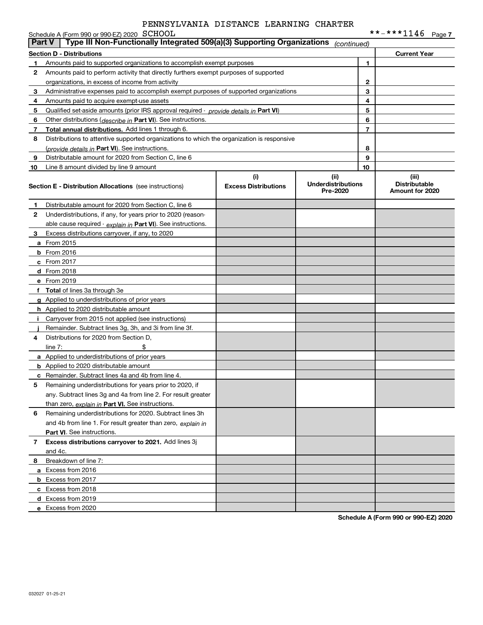|                                                                                                         | Schedule A (Form 990 or 990-EZ) 2020 SCHOOL                                                      |                                    |                                               |    |                                                  |  |  |
|---------------------------------------------------------------------------------------------------------|--------------------------------------------------------------------------------------------------|------------------------------------|-----------------------------------------------|----|--------------------------------------------------|--|--|
| Type III Non-Functionally Integrated 509(a)(3) Supporting Organizations<br><b>Part V</b><br>(continued) |                                                                                                  |                                    |                                               |    |                                                  |  |  |
|                                                                                                         | <b>Section D - Distributions</b>                                                                 |                                    |                                               |    | <b>Current Year</b>                              |  |  |
| 1                                                                                                       | Amounts paid to supported organizations to accomplish exempt purposes                            |                                    |                                               | 1  |                                                  |  |  |
| 2                                                                                                       | Amounts paid to perform activity that directly furthers exempt purposes of supported             |                                    |                                               |    |                                                  |  |  |
|                                                                                                         | organizations, in excess of income from activity                                                 |                                    | $\mathbf{2}$                                  |    |                                                  |  |  |
| 3                                                                                                       | Administrative expenses paid to accomplish exempt purposes of supported organizations            |                                    |                                               | 3  |                                                  |  |  |
| 4                                                                                                       | Amounts paid to acquire exempt-use assets                                                        |                                    |                                               | 4  |                                                  |  |  |
| 5                                                                                                       | Qualified set-aside amounts (prior IRS approval required - provide details in Part VI)           |                                    |                                               | 5  |                                                  |  |  |
| 6                                                                                                       | Other distributions (describe in Part VI). See instructions.                                     |                                    |                                               | 6  |                                                  |  |  |
| 7                                                                                                       | Total annual distributions. Add lines 1 through 6.                                               |                                    |                                               | 7  |                                                  |  |  |
| 8                                                                                                       | Distributions to attentive supported organizations to which the organization is responsive       |                                    |                                               |    |                                                  |  |  |
|                                                                                                         | (provide details in Part VI). See instructions.                                                  |                                    |                                               | 8  |                                                  |  |  |
| 9                                                                                                       | Distributable amount for 2020 from Section C, line 6                                             |                                    |                                               | 9  |                                                  |  |  |
| 10                                                                                                      | Line 8 amount divided by line 9 amount                                                           |                                    |                                               | 10 |                                                  |  |  |
|                                                                                                         | <b>Section E - Distribution Allocations</b> (see instructions)                                   | (i)<br><b>Excess Distributions</b> | (ii)<br><b>Underdistributions</b><br>Pre-2020 |    | (iii)<br><b>Distributable</b><br>Amount for 2020 |  |  |
| 1                                                                                                       | Distributable amount for 2020 from Section C, line 6                                             |                                    |                                               |    |                                                  |  |  |
| 2                                                                                                       | Underdistributions, if any, for years prior to 2020 (reason-                                     |                                    |                                               |    |                                                  |  |  |
|                                                                                                         | able cause required - explain in Part VI). See instructions.                                     |                                    |                                               |    |                                                  |  |  |
| 3                                                                                                       | Excess distributions carryover, if any, to 2020                                                  |                                    |                                               |    |                                                  |  |  |
|                                                                                                         | a From 2015                                                                                      |                                    |                                               |    |                                                  |  |  |
|                                                                                                         | <b>b</b> From 2016                                                                               |                                    |                                               |    |                                                  |  |  |
|                                                                                                         | c From 2017                                                                                      |                                    |                                               |    |                                                  |  |  |
|                                                                                                         | d From 2018                                                                                      |                                    |                                               |    |                                                  |  |  |
|                                                                                                         | e From 2019                                                                                      |                                    |                                               |    |                                                  |  |  |
|                                                                                                         | f Total of lines 3a through 3e                                                                   |                                    |                                               |    |                                                  |  |  |
|                                                                                                         | g Applied to underdistributions of prior years                                                   |                                    |                                               |    |                                                  |  |  |
|                                                                                                         | <b>h</b> Applied to 2020 distributable amount                                                    |                                    |                                               |    |                                                  |  |  |
| Ť.                                                                                                      | Carryover from 2015 not applied (see instructions)                                               |                                    |                                               |    |                                                  |  |  |
|                                                                                                         |                                                                                                  |                                    |                                               |    |                                                  |  |  |
| 4                                                                                                       | Remainder. Subtract lines 3g, 3h, and 3i from line 3f.<br>Distributions for 2020 from Section D, |                                    |                                               |    |                                                  |  |  |
|                                                                                                         |                                                                                                  |                                    |                                               |    |                                                  |  |  |
|                                                                                                         | line $7:$                                                                                        |                                    |                                               |    |                                                  |  |  |
|                                                                                                         | a Applied to underdistributions of prior years                                                   |                                    |                                               |    |                                                  |  |  |
|                                                                                                         | <b>b</b> Applied to 2020 distributable amount                                                    |                                    |                                               |    |                                                  |  |  |
|                                                                                                         | <b>c</b> Remainder. Subtract lines 4a and 4b from line 4.                                        |                                    |                                               |    |                                                  |  |  |
|                                                                                                         | 5 Remaining underdistributions for years prior to 2020, if                                       |                                    |                                               |    |                                                  |  |  |
|                                                                                                         | any. Subtract lines 3g and 4a from line 2. For result greater                                    |                                    |                                               |    |                                                  |  |  |
|                                                                                                         | than zero, explain in Part VI. See instructions.                                                 |                                    |                                               |    |                                                  |  |  |
| 6                                                                                                       | Remaining underdistributions for 2020. Subtract lines 3h                                         |                                    |                                               |    |                                                  |  |  |
|                                                                                                         | and 4b from line 1. For result greater than zero, explain in                                     |                                    |                                               |    |                                                  |  |  |
|                                                                                                         | <b>Part VI.</b> See instructions.                                                                |                                    |                                               |    |                                                  |  |  |
| 7                                                                                                       | Excess distributions carryover to 2021. Add lines 3j                                             |                                    |                                               |    |                                                  |  |  |
|                                                                                                         | and 4c.                                                                                          |                                    |                                               |    |                                                  |  |  |
| 8                                                                                                       | Breakdown of line 7:                                                                             |                                    |                                               |    |                                                  |  |  |
|                                                                                                         | a Excess from 2016                                                                               |                                    |                                               |    |                                                  |  |  |
|                                                                                                         | <b>b</b> Excess from 2017                                                                        |                                    |                                               |    |                                                  |  |  |
|                                                                                                         | c Excess from 2018                                                                               |                                    |                                               |    |                                                  |  |  |
|                                                                                                         | d Excess from 2019                                                                               |                                    |                                               |    |                                                  |  |  |
|                                                                                                         | e Excess from 2020                                                                               |                                    |                                               |    |                                                  |  |  |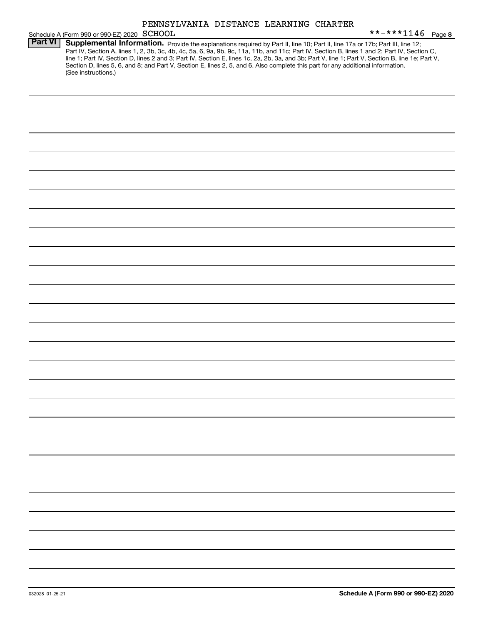| PENNSYLVANIA DISTANCE LEARNING CHARTER |  |  |  |
|----------------------------------------|--|--|--|
|----------------------------------------|--|--|--|

|                | PENNSYLVANIA DISTANCE LEARNING CHARTER                                                                                                                                                                                                                                                                                                                                                                                                                                                                                                                                                      |
|----------------|---------------------------------------------------------------------------------------------------------------------------------------------------------------------------------------------------------------------------------------------------------------------------------------------------------------------------------------------------------------------------------------------------------------------------------------------------------------------------------------------------------------------------------------------------------------------------------------------|
|                | **-***1146 Page 8<br>Schedule A (Form 990 or 990-EZ) 2020 SCHOOL                                                                                                                                                                                                                                                                                                                                                                                                                                                                                                                            |
| <b>Part VI</b> | Supplemental Information. Provide the explanations required by Part II, line 10; Part II, line 17a or 17b; Part III, line 12;<br>Part IV, Section A, lines 1, 2, 3b, 3c, 4b, 4c, 5a, 6, 9a, 9b, 9c, 11a, 11b, and 11c; Part IV, Section B, lines 1 and 2; Part IV, Section C,<br>line 1; Part IV, Section D, lines 2 and 3; Part IV, Section E, lines 1c, 2a, 2b, 3a, and 3b; Part V, line 1; Part V, Section B, line 1e; Part V,<br>Section D, lines 5, 6, and 8; and Part V, Section E, lines 2, 5, and 6. Also complete this part for any additional information.<br>(See instructions.) |
|                |                                                                                                                                                                                                                                                                                                                                                                                                                                                                                                                                                                                             |
|                |                                                                                                                                                                                                                                                                                                                                                                                                                                                                                                                                                                                             |
|                |                                                                                                                                                                                                                                                                                                                                                                                                                                                                                                                                                                                             |
|                |                                                                                                                                                                                                                                                                                                                                                                                                                                                                                                                                                                                             |
|                |                                                                                                                                                                                                                                                                                                                                                                                                                                                                                                                                                                                             |
|                |                                                                                                                                                                                                                                                                                                                                                                                                                                                                                                                                                                                             |
|                |                                                                                                                                                                                                                                                                                                                                                                                                                                                                                                                                                                                             |
|                |                                                                                                                                                                                                                                                                                                                                                                                                                                                                                                                                                                                             |
|                |                                                                                                                                                                                                                                                                                                                                                                                                                                                                                                                                                                                             |
|                |                                                                                                                                                                                                                                                                                                                                                                                                                                                                                                                                                                                             |
|                |                                                                                                                                                                                                                                                                                                                                                                                                                                                                                                                                                                                             |
|                |                                                                                                                                                                                                                                                                                                                                                                                                                                                                                                                                                                                             |
|                |                                                                                                                                                                                                                                                                                                                                                                                                                                                                                                                                                                                             |
|                |                                                                                                                                                                                                                                                                                                                                                                                                                                                                                                                                                                                             |
|                |                                                                                                                                                                                                                                                                                                                                                                                                                                                                                                                                                                                             |
|                |                                                                                                                                                                                                                                                                                                                                                                                                                                                                                                                                                                                             |
|                |                                                                                                                                                                                                                                                                                                                                                                                                                                                                                                                                                                                             |
|                |                                                                                                                                                                                                                                                                                                                                                                                                                                                                                                                                                                                             |
|                |                                                                                                                                                                                                                                                                                                                                                                                                                                                                                                                                                                                             |
|                |                                                                                                                                                                                                                                                                                                                                                                                                                                                                                                                                                                                             |
|                |                                                                                                                                                                                                                                                                                                                                                                                                                                                                                                                                                                                             |
|                |                                                                                                                                                                                                                                                                                                                                                                                                                                                                                                                                                                                             |
|                |                                                                                                                                                                                                                                                                                                                                                                                                                                                                                                                                                                                             |
|                |                                                                                                                                                                                                                                                                                                                                                                                                                                                                                                                                                                                             |
|                |                                                                                                                                                                                                                                                                                                                                                                                                                                                                                                                                                                                             |
|                |                                                                                                                                                                                                                                                                                                                                                                                                                                                                                                                                                                                             |
|                |                                                                                                                                                                                                                                                                                                                                                                                                                                                                                                                                                                                             |
|                |                                                                                                                                                                                                                                                                                                                                                                                                                                                                                                                                                                                             |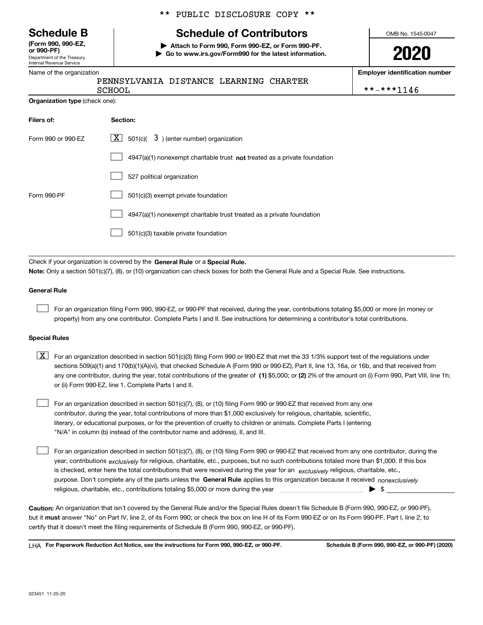Department of the Treasury Internal Revenue Service **(Form 990, 990-EZ, or 990-PF)**

### Name of the organization

### \*\* PUBLIC DISCLOSURE COPY \*\*

# **Schedule B Schedule of Contributors**

**| Attach to Form 990, Form 990-EZ, or Form 990-PF. | Go to www.irs.gov/Form990 for the latest information.** OMB No. 1545-0047

**2020**

**Employer identification number**

| PENNSYLVANIA DISTANCE LEARNING CHARTER |  |  |            |
|----------------------------------------|--|--|------------|
| <b>SCHOOL</b>                          |  |  | **-***1146 |

**Organization type** (check one):

| Filers of:         | Section:                                                                    |
|--------------------|-----------------------------------------------------------------------------|
| Form 990 or 990-EZ | $\boxed{\mathbf{X}}$ 501(c)( 3) (enter number) organization                 |
|                    | $4947(a)(1)$ nonexempt charitable trust not treated as a private foundation |
|                    | 527 political organization                                                  |
| Form 990-PF        | 501(c)(3) exempt private foundation                                         |
|                    | 4947(a)(1) nonexempt charitable trust treated as a private foundation       |
|                    | 501(c)(3) taxable private foundation                                        |

Check if your organization is covered by the **General Rule** or a **Special Rule. Note:**  Only a section 501(c)(7), (8), or (10) organization can check boxes for both the General Rule and a Special Rule. See instructions.

### **General Rule**

 $\mathcal{L}^{\text{max}}$ 

For an organization filing Form 990, 990-EZ, or 990-PF that received, during the year, contributions totaling \$5,000 or more (in money or property) from any one contributor. Complete Parts I and II. See instructions for determining a contributor's total contributions.

### **Special Rules**

any one contributor, during the year, total contributions of the greater of  $\,$  (1) \$5,000; or **(2)** 2% of the amount on (i) Form 990, Part VIII, line 1h;  $\boxed{\textbf{X}}$  For an organization described in section 501(c)(3) filing Form 990 or 990-EZ that met the 33 1/3% support test of the regulations under sections 509(a)(1) and 170(b)(1)(A)(vi), that checked Schedule A (Form 990 or 990-EZ), Part II, line 13, 16a, or 16b, and that received from or (ii) Form 990-EZ, line 1. Complete Parts I and II.

For an organization described in section 501(c)(7), (8), or (10) filing Form 990 or 990-EZ that received from any one contributor, during the year, total contributions of more than \$1,000 exclusively for religious, charitable, scientific, literary, or educational purposes, or for the prevention of cruelty to children or animals. Complete Parts I (entering "N/A" in column (b) instead of the contributor name and address), II, and III.  $\mathcal{L}^{\text{max}}$ 

purpose. Don't complete any of the parts unless the **General Rule** applies to this organization because it received *nonexclusively* year, contributions <sub>exclusively</sub> for religious, charitable, etc., purposes, but no such contributions totaled more than \$1,000. If this box is checked, enter here the total contributions that were received during the year for an  $\;$ exclusively religious, charitable, etc., For an organization described in section 501(c)(7), (8), or (10) filing Form 990 or 990-EZ that received from any one contributor, during the religious, charitable, etc., contributions totaling \$5,000 or more during the year  $\Box$ — $\Box$   $\Box$  $\mathcal{L}^{\text{max}}$ 

**Caution:**  An organization that isn't covered by the General Rule and/or the Special Rules doesn't file Schedule B (Form 990, 990-EZ, or 990-PF),  **must** but it answer "No" on Part IV, line 2, of its Form 990; or check the box on line H of its Form 990-EZ or on its Form 990-PF, Part I, line 2, to certify that it doesn't meet the filing requirements of Schedule B (Form 990, 990-EZ, or 990-PF).

**For Paperwork Reduction Act Notice, see the instructions for Form 990, 990-EZ, or 990-PF. Schedule B (Form 990, 990-EZ, or 990-PF) (2020)** LHA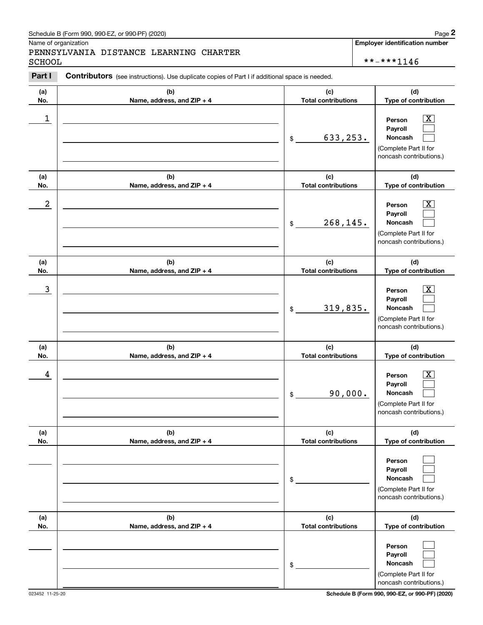### Schedule B (Form 990, 990-EZ, or 990-PF) (2020) **Page 2** Page 2 and the state of the state of the state of the state of the state of the state of the state of the state of the state of the state of the state of the state o

Name of organization

# Chedule B (Form 990, 990-EZ, or 990-PF) (2020)<br>Iame of organization<br>**2PART II CONTIBUTORY DESTANCE LEARNING CHARTER**<br>**2CHOOL**<br>**2PART I** Contributors (see instructions). Use duplicate copies of Part I if additional space is PENNSYLVANIA DISTANCE LEARNING CHARTER SCHOOL \*\*-\*\*\*1146

**Employer identification number**

#### **(a)No.(b)Name, address, and ZIP + 4 (c)Total contributions (d)Type of contribution PersonPayrollNoncash (a)No.(b)Name, address, and ZIP + 4 (c)Total contributions (d)Type of contribution PersonPayrollNoncash (a)No.(b)Name, address, and ZIP + 4 (c)Total contributions (d)Type of contribution PersonPayrollNoncash (a) No.(b) Name, address, and ZIP + 4 (c) Total contributions (d) Type of contribution PersonPayrollNoncash (a) No.(b)Name, address, and ZIP + 4 (c) Total contributions (d) Type of contribution PersonPayrollNoncash (a) No.(b)Name, address, and ZIP + 4 (c) Total contributions (d) Type of contribution PersonPayrollNoncash Contributors** (see instructions). Use duplicate copies of Part I if additional space is needed. \$(Complete Part II for noncash contributions.) \$(Complete Part II for noncash contributions.) \$(Complete Part II for noncash contributions.) \$(Complete Part II for noncash contributions.) \$(Complete Part II for noncash contributions.) \$(Complete Part II for noncash contributions.)  $\lceil \text{X} \rceil$  $\mathcal{L}^{\text{max}}$  $\mathcal{L}^{\text{max}}$  $\boxed{\text{X}}$  $\mathcal{L}^{\text{max}}$  $\mathcal{L}^{\text{max}}$  $|X|$  $\mathcal{L}^{\text{max}}$  $\mathcal{L}^{\text{max}}$  $|X|$  $\mathcal{L}^{\text{max}}$  $\mathcal{L}^{\text{max}}$  $\mathcal{L}^{\text{max}}$  $\mathcal{L}^{\text{max}}$  $\mathcal{L}^{\text{max}}$  $\mathcal{L}^{\text{max}}$  $\mathcal{L}^{\text{max}}$  $\mathcal{L}^{\text{max}}$  $\begin{array}{c|c|c|c|c|c} 1 & \hspace{1.5cm} & \hspace{1.5cm} & \hspace{1.5cm} & \hspace{1.5cm} & \hspace{1.5cm} & \hspace{1.5cm} & \hspace{1.5cm} & \hspace{1.5cm} & \hspace{1.5cm} & \hspace{1.5cm} & \hspace{1.5cm} & \hspace{1.5cm} & \hspace{1.5cm} & \hspace{1.5cm} & \hspace{1.5cm} & \hspace{1.5cm} & \hspace{1.5cm} & \hspace{1.5cm} & \hspace{1.5cm} & \hspace{1.5cm} &$ 633,253.  $2$  | Person  $\overline{\text{X}}$ 268,145.  $\overline{3}$  | Person  $\overline{X}$ 319,835.  $4$  | Person  $\overline{\text{X}}$ 90,000.

023452 11-25-20 **Schedule B (Form 990, 990-EZ, or 990-PF) (2020)**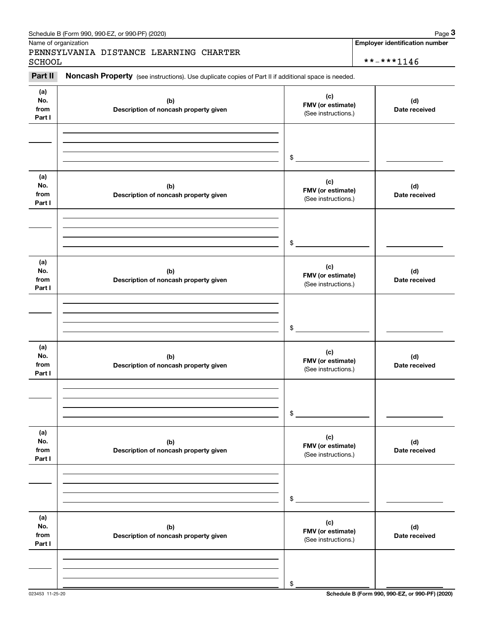|                              | Schedule B (Form 990, 990-EZ, or 990-PF) (2020)                                                     |                                                 | Page 3                                              |
|------------------------------|-----------------------------------------------------------------------------------------------------|-------------------------------------------------|-----------------------------------------------------|
| <b>SCHOOL</b>                | Name of organization<br>PENNSYLVANIA DISTANCE LEARNING CHARTER                                      |                                                 | <b>Employer identification number</b><br>**-***1146 |
| Part II                      | Noncash Property (see instructions). Use duplicate copies of Part II if additional space is needed. |                                                 |                                                     |
| (a)<br>No.<br>from<br>Part I | (b)<br>Description of noncash property given                                                        | (c)<br>FMV (or estimate)<br>(See instructions.) | (d)<br>Date received                                |
|                              |                                                                                                     | \$                                              |                                                     |
| (a)<br>No.<br>from<br>Part I | (b)<br>Description of noncash property given                                                        | (c)<br>FMV (or estimate)<br>(See instructions.) | (d)<br>Date received                                |
|                              |                                                                                                     | \$                                              |                                                     |
| (a)<br>No.<br>from<br>Part I | (b)<br>Description of noncash property given                                                        | (c)<br>FMV (or estimate)<br>(See instructions.) | (d)<br>Date received                                |
|                              |                                                                                                     | \$                                              |                                                     |
| (a)<br>No.<br>from<br>Part I | (b)<br>Description of noncash property given                                                        | (c)<br>FMV (or estimate)<br>(See instructions.) | (d)<br>Date received                                |
|                              |                                                                                                     | \$                                              |                                                     |
| (a)<br>No.<br>from<br>Part I | (b)<br>Description of noncash property given                                                        | (c)<br>FMV (or estimate)<br>(See instructions.) | (d)<br>Date received                                |
|                              |                                                                                                     | \$                                              |                                                     |
| (a)<br>No.<br>from<br>Part I | (b)<br>Description of noncash property given                                                        | (c)<br>FMV (or estimate)<br>(See instructions.) | (d)<br>Date received                                |
|                              |                                                                                                     |                                                 |                                                     |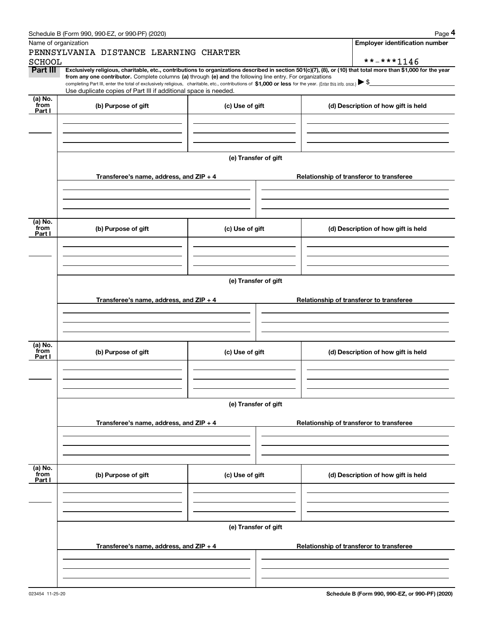|                      | Schedule B (Form 990, 990-EZ, or 990-PF) (2020)                                                                                                                                                                                                                            |                      | Page 4                                                                                                                                                         |  |  |  |  |  |
|----------------------|----------------------------------------------------------------------------------------------------------------------------------------------------------------------------------------------------------------------------------------------------------------------------|----------------------|----------------------------------------------------------------------------------------------------------------------------------------------------------------|--|--|--|--|--|
| Name of organization |                                                                                                                                                                                                                                                                            |                      | <b>Employer identification number</b>                                                                                                                          |  |  |  |  |  |
|                      | PENNSYLVANIA DISTANCE LEARNING CHARTER                                                                                                                                                                                                                                     |                      |                                                                                                                                                                |  |  |  |  |  |
| <b>SCHOOL</b>        |                                                                                                                                                                                                                                                                            |                      | **-***1146                                                                                                                                                     |  |  |  |  |  |
| Part III             |                                                                                                                                                                                                                                                                            |                      | Exclusively religious, charitable, etc., contributions to organizations described in section 501(c)(7), (8), or (10) that total more than \$1,000 for the year |  |  |  |  |  |
|                      | from any one contributor. Complete columns (a) through (e) and the following line entry. For organizations<br>completing Part III, enter the total of exclusively religious, charitable, etc., contributions of \$1,000 or less for the year. (Enter this info. once.) \\$ |                      |                                                                                                                                                                |  |  |  |  |  |
|                      | Use duplicate copies of Part III if additional space is needed.                                                                                                                                                                                                            |                      |                                                                                                                                                                |  |  |  |  |  |
| $(a)$ No.<br>from    |                                                                                                                                                                                                                                                                            |                      |                                                                                                                                                                |  |  |  |  |  |
| Part I               | (b) Purpose of gift                                                                                                                                                                                                                                                        | (c) Use of gift      | (d) Description of how gift is held                                                                                                                            |  |  |  |  |  |
|                      |                                                                                                                                                                                                                                                                            |                      |                                                                                                                                                                |  |  |  |  |  |
|                      |                                                                                                                                                                                                                                                                            |                      |                                                                                                                                                                |  |  |  |  |  |
|                      |                                                                                                                                                                                                                                                                            |                      |                                                                                                                                                                |  |  |  |  |  |
|                      |                                                                                                                                                                                                                                                                            |                      |                                                                                                                                                                |  |  |  |  |  |
|                      |                                                                                                                                                                                                                                                                            | (e) Transfer of gift |                                                                                                                                                                |  |  |  |  |  |
|                      |                                                                                                                                                                                                                                                                            |                      |                                                                                                                                                                |  |  |  |  |  |
|                      | Transferee's name, address, and ZIP + 4                                                                                                                                                                                                                                    |                      | Relationship of transferor to transferee                                                                                                                       |  |  |  |  |  |
|                      |                                                                                                                                                                                                                                                                            |                      |                                                                                                                                                                |  |  |  |  |  |
|                      |                                                                                                                                                                                                                                                                            |                      |                                                                                                                                                                |  |  |  |  |  |
|                      |                                                                                                                                                                                                                                                                            |                      |                                                                                                                                                                |  |  |  |  |  |
| (a) No.              |                                                                                                                                                                                                                                                                            |                      |                                                                                                                                                                |  |  |  |  |  |
| from<br>Part I       | (b) Purpose of gift                                                                                                                                                                                                                                                        | (c) Use of gift      | (d) Description of how gift is held                                                                                                                            |  |  |  |  |  |
|                      |                                                                                                                                                                                                                                                                            |                      |                                                                                                                                                                |  |  |  |  |  |
|                      |                                                                                                                                                                                                                                                                            |                      |                                                                                                                                                                |  |  |  |  |  |
|                      |                                                                                                                                                                                                                                                                            |                      |                                                                                                                                                                |  |  |  |  |  |
|                      |                                                                                                                                                                                                                                                                            |                      |                                                                                                                                                                |  |  |  |  |  |
|                      | (e) Transfer of gift                                                                                                                                                                                                                                                       |                      |                                                                                                                                                                |  |  |  |  |  |
|                      |                                                                                                                                                                                                                                                                            |                      |                                                                                                                                                                |  |  |  |  |  |
|                      | Transferee's name, address, and ZIP + 4                                                                                                                                                                                                                                    |                      | Relationship of transferor to transferee                                                                                                                       |  |  |  |  |  |
|                      |                                                                                                                                                                                                                                                                            |                      |                                                                                                                                                                |  |  |  |  |  |
|                      |                                                                                                                                                                                                                                                                            |                      |                                                                                                                                                                |  |  |  |  |  |
|                      |                                                                                                                                                                                                                                                                            |                      |                                                                                                                                                                |  |  |  |  |  |
| (a) No.              |                                                                                                                                                                                                                                                                            |                      |                                                                                                                                                                |  |  |  |  |  |
| from                 | (b) Purpose of gift<br>(c) Use of gift                                                                                                                                                                                                                                     |                      | (d) Description of how gift is held                                                                                                                            |  |  |  |  |  |
| Part I               |                                                                                                                                                                                                                                                                            |                      |                                                                                                                                                                |  |  |  |  |  |
|                      |                                                                                                                                                                                                                                                                            |                      |                                                                                                                                                                |  |  |  |  |  |
|                      |                                                                                                                                                                                                                                                                            |                      |                                                                                                                                                                |  |  |  |  |  |
|                      |                                                                                                                                                                                                                                                                            |                      |                                                                                                                                                                |  |  |  |  |  |
|                      |                                                                                                                                                                                                                                                                            | (e) Transfer of gift |                                                                                                                                                                |  |  |  |  |  |
|                      |                                                                                                                                                                                                                                                                            |                      |                                                                                                                                                                |  |  |  |  |  |
|                      | Transferee's name, address, and ZIP + 4                                                                                                                                                                                                                                    |                      | Relationship of transferor to transferee                                                                                                                       |  |  |  |  |  |
|                      |                                                                                                                                                                                                                                                                            |                      |                                                                                                                                                                |  |  |  |  |  |
|                      |                                                                                                                                                                                                                                                                            |                      |                                                                                                                                                                |  |  |  |  |  |
|                      |                                                                                                                                                                                                                                                                            |                      |                                                                                                                                                                |  |  |  |  |  |
|                      |                                                                                                                                                                                                                                                                            |                      |                                                                                                                                                                |  |  |  |  |  |
| (a) No.<br>from      | (b) Purpose of gift                                                                                                                                                                                                                                                        | (c) Use of gift      | (d) Description of how gift is held                                                                                                                            |  |  |  |  |  |
| Part I               |                                                                                                                                                                                                                                                                            |                      |                                                                                                                                                                |  |  |  |  |  |
|                      |                                                                                                                                                                                                                                                                            |                      |                                                                                                                                                                |  |  |  |  |  |
|                      |                                                                                                                                                                                                                                                                            |                      |                                                                                                                                                                |  |  |  |  |  |
|                      |                                                                                                                                                                                                                                                                            |                      |                                                                                                                                                                |  |  |  |  |  |
|                      | (e) Transfer of gift                                                                                                                                                                                                                                                       |                      |                                                                                                                                                                |  |  |  |  |  |
|                      |                                                                                                                                                                                                                                                                            |                      |                                                                                                                                                                |  |  |  |  |  |
|                      | Transferee's name, address, and ZIP + 4                                                                                                                                                                                                                                    |                      | Relationship of transferor to transferee                                                                                                                       |  |  |  |  |  |
|                      |                                                                                                                                                                                                                                                                            |                      |                                                                                                                                                                |  |  |  |  |  |
|                      |                                                                                                                                                                                                                                                                            |                      |                                                                                                                                                                |  |  |  |  |  |
|                      |                                                                                                                                                                                                                                                                            |                      |                                                                                                                                                                |  |  |  |  |  |
|                      |                                                                                                                                                                                                                                                                            |                      |                                                                                                                                                                |  |  |  |  |  |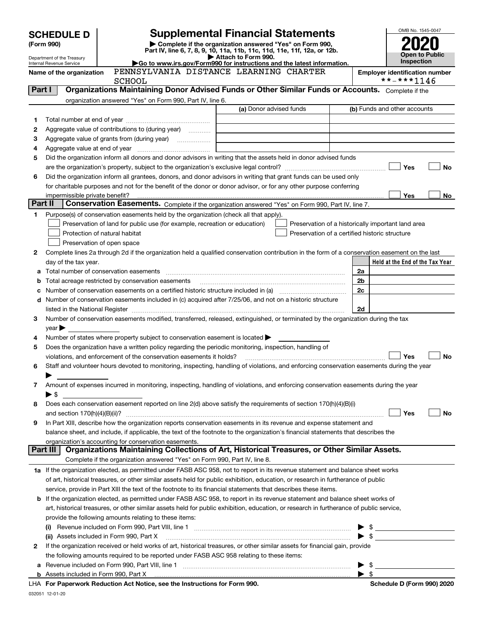|                                                                                                                                                    |                                                                                                                                                                                                                                                          |                                                                                                        |                                                                                                                                                | OMB No. 1545-0047                                   |  |  |  |  |  |  |
|----------------------------------------------------------------------------------------------------------------------------------------------------|----------------------------------------------------------------------------------------------------------------------------------------------------------------------------------------------------------------------------------------------------------|--------------------------------------------------------------------------------------------------------|------------------------------------------------------------------------------------------------------------------------------------------------|-----------------------------------------------------|--|--|--|--|--|--|
| <b>Supplemental Financial Statements</b><br><b>SCHEDULE D</b>                                                                                      |                                                                                                                                                                                                                                                          |                                                                                                        |                                                                                                                                                |                                                     |  |  |  |  |  |  |
| (Form 990)<br>Complete if the organization answered "Yes" on Form 990,<br>Part IV, line 6, 7, 8, 9, 10, 11a, 11b, 11c, 11d, 11e, 11f, 12a, or 12b. |                                                                                                                                                                                                                                                          |                                                                                                        |                                                                                                                                                |                                                     |  |  |  |  |  |  |
|                                                                                                                                                    | <b>Open to Public</b><br>Attach to Form 990.<br>Department of the Treasury<br>Inspection<br>Go to www.irs.gov/Form990 for instructions and the latest information.<br>Internal Revenue Service                                                           |                                                                                                        |                                                                                                                                                |                                                     |  |  |  |  |  |  |
|                                                                                                                                                    | Name of the organization                                                                                                                                                                                                                                 | <b>SCHOOL</b>                                                                                          | PENNSYLVANIA DISTANCE LEARNING CHARTER                                                                                                         | <b>Employer identification number</b><br>**-***1146 |  |  |  |  |  |  |
| Part I                                                                                                                                             |                                                                                                                                                                                                                                                          |                                                                                                        | Organizations Maintaining Donor Advised Funds or Other Similar Funds or Accounts. Complete if the                                              |                                                     |  |  |  |  |  |  |
|                                                                                                                                                    |                                                                                                                                                                                                                                                          | organization answered "Yes" on Form 990, Part IV, line 6.                                              |                                                                                                                                                |                                                     |  |  |  |  |  |  |
|                                                                                                                                                    |                                                                                                                                                                                                                                                          |                                                                                                        | (a) Donor advised funds                                                                                                                        | (b) Funds and other accounts                        |  |  |  |  |  |  |
| 1                                                                                                                                                  |                                                                                                                                                                                                                                                          |                                                                                                        |                                                                                                                                                |                                                     |  |  |  |  |  |  |
| 2                                                                                                                                                  |                                                                                                                                                                                                                                                          | Aggregate value of contributions to (during year)                                                      |                                                                                                                                                |                                                     |  |  |  |  |  |  |
| з                                                                                                                                                  |                                                                                                                                                                                                                                                          |                                                                                                        |                                                                                                                                                |                                                     |  |  |  |  |  |  |
| 4                                                                                                                                                  |                                                                                                                                                                                                                                                          |                                                                                                        |                                                                                                                                                |                                                     |  |  |  |  |  |  |
| 5                                                                                                                                                  |                                                                                                                                                                                                                                                          |                                                                                                        | Did the organization inform all donors and donor advisors in writing that the assets held in donor advised funds                               | Yes<br>No                                           |  |  |  |  |  |  |
| 6                                                                                                                                                  |                                                                                                                                                                                                                                                          |                                                                                                        | Did the organization inform all grantees, donors, and donor advisors in writing that grant funds can be used only                              |                                                     |  |  |  |  |  |  |
|                                                                                                                                                    |                                                                                                                                                                                                                                                          |                                                                                                        | for charitable purposes and not for the benefit of the donor or donor advisor, or for any other purpose conferring                             |                                                     |  |  |  |  |  |  |
|                                                                                                                                                    | impermissible private benefit?                                                                                                                                                                                                                           |                                                                                                        |                                                                                                                                                | Yes<br>No                                           |  |  |  |  |  |  |
| Part II                                                                                                                                            |                                                                                                                                                                                                                                                          |                                                                                                        | Conservation Easements. Complete if the organization answered "Yes" on Form 990, Part IV, line 7.                                              |                                                     |  |  |  |  |  |  |
| 1                                                                                                                                                  |                                                                                                                                                                                                                                                          | Purpose(s) of conservation easements held by the organization (check all that apply).                  |                                                                                                                                                |                                                     |  |  |  |  |  |  |
|                                                                                                                                                    |                                                                                                                                                                                                                                                          | Preservation of land for public use (for example, recreation or education)                             |                                                                                                                                                | Preservation of a historically important land area  |  |  |  |  |  |  |
|                                                                                                                                                    |                                                                                                                                                                                                                                                          | Protection of natural habitat                                                                          | Preservation of a certified historic structure                                                                                                 |                                                     |  |  |  |  |  |  |
|                                                                                                                                                    |                                                                                                                                                                                                                                                          | Preservation of open space                                                                             |                                                                                                                                                |                                                     |  |  |  |  |  |  |
| 2                                                                                                                                                  |                                                                                                                                                                                                                                                          |                                                                                                        | Complete lines 2a through 2d if the organization held a qualified conservation contribution in the form of a conservation easement on the last |                                                     |  |  |  |  |  |  |
|                                                                                                                                                    | day of the tax year.                                                                                                                                                                                                                                     |                                                                                                        |                                                                                                                                                | Held at the End of the Tax Year                     |  |  |  |  |  |  |
| а                                                                                                                                                  |                                                                                                                                                                                                                                                          | Total number of conservation easements                                                                 |                                                                                                                                                | 2a<br>2b                                            |  |  |  |  |  |  |
| b<br>с                                                                                                                                             |                                                                                                                                                                                                                                                          | Total acreage restricted by conservation easements                                                     | Number of conservation easements on a certified historic structure included in (a) manufacture of conservation                                 | 2c                                                  |  |  |  |  |  |  |
| d                                                                                                                                                  |                                                                                                                                                                                                                                                          |                                                                                                        | Number of conservation easements included in (c) acquired after 7/25/06, and not on a historic structure                                       |                                                     |  |  |  |  |  |  |
|                                                                                                                                                    |                                                                                                                                                                                                                                                          |                                                                                                        |                                                                                                                                                | 2d                                                  |  |  |  |  |  |  |
| 3                                                                                                                                                  |                                                                                                                                                                                                                                                          |                                                                                                        | Number of conservation easements modified, transferred, released, extinguished, or terminated by the organization during the tax               |                                                     |  |  |  |  |  |  |
|                                                                                                                                                    | $year \blacktriangleright$                                                                                                                                                                                                                               |                                                                                                        |                                                                                                                                                |                                                     |  |  |  |  |  |  |
| 4                                                                                                                                                  |                                                                                                                                                                                                                                                          | Number of states where property subject to conservation easement is located >                          |                                                                                                                                                |                                                     |  |  |  |  |  |  |
| 5                                                                                                                                                  |                                                                                                                                                                                                                                                          | Does the organization have a written policy regarding the periodic monitoring, inspection, handling of |                                                                                                                                                |                                                     |  |  |  |  |  |  |
|                                                                                                                                                    |                                                                                                                                                                                                                                                          | violations, and enforcement of the conservation easements it holds?                                    |                                                                                                                                                | Yes<br>No                                           |  |  |  |  |  |  |
| 6                                                                                                                                                  |                                                                                                                                                                                                                                                          |                                                                                                        | Staff and volunteer hours devoted to monitoring, inspecting, handling of violations, and enforcing conservation easements during the year      |                                                     |  |  |  |  |  |  |
|                                                                                                                                                    |                                                                                                                                                                                                                                                          |                                                                                                        |                                                                                                                                                |                                                     |  |  |  |  |  |  |
| 7                                                                                                                                                  |                                                                                                                                                                                                                                                          |                                                                                                        | Amount of expenses incurred in monitoring, inspecting, handling of violations, and enforcing conservation easements during the year            |                                                     |  |  |  |  |  |  |
| 8                                                                                                                                                  | $\blacktriangleright$ \$                                                                                                                                                                                                                                 |                                                                                                        | Does each conservation easement reported on line 2(d) above satisfy the requirements of section 170(h)(4)(B)(i)                                |                                                     |  |  |  |  |  |  |
|                                                                                                                                                    |                                                                                                                                                                                                                                                          |                                                                                                        |                                                                                                                                                | Yes<br>No                                           |  |  |  |  |  |  |
| 9                                                                                                                                                  |                                                                                                                                                                                                                                                          |                                                                                                        |                                                                                                                                                |                                                     |  |  |  |  |  |  |
|                                                                                                                                                    | In Part XIII, describe how the organization reports conservation easements in its revenue and expense statement and<br>balance sheet, and include, if applicable, the text of the footnote to the organization's financial statements that describes the |                                                                                                        |                                                                                                                                                |                                                     |  |  |  |  |  |  |
|                                                                                                                                                    |                                                                                                                                                                                                                                                          | organization's accounting for conservation easements.                                                  |                                                                                                                                                |                                                     |  |  |  |  |  |  |
|                                                                                                                                                    | Part III                                                                                                                                                                                                                                                 |                                                                                                        | Organizations Maintaining Collections of Art, Historical Treasures, or Other Similar Assets.                                                   |                                                     |  |  |  |  |  |  |
|                                                                                                                                                    |                                                                                                                                                                                                                                                          | Complete if the organization answered "Yes" on Form 990, Part IV, line 8.                              |                                                                                                                                                |                                                     |  |  |  |  |  |  |
|                                                                                                                                                    | 1a If the organization elected, as permitted under FASB ASC 958, not to report in its revenue statement and balance sheet works                                                                                                                          |                                                                                                        |                                                                                                                                                |                                                     |  |  |  |  |  |  |
|                                                                                                                                                    | of art, historical treasures, or other similar assets held for public exhibition, education, or research in furtherance of public                                                                                                                        |                                                                                                        |                                                                                                                                                |                                                     |  |  |  |  |  |  |
|                                                                                                                                                    |                                                                                                                                                                                                                                                          |                                                                                                        | service, provide in Part XIII the text of the footnote to its financial statements that describes these items.                                 |                                                     |  |  |  |  |  |  |
| b                                                                                                                                                  |                                                                                                                                                                                                                                                          |                                                                                                        | If the organization elected, as permitted under FASB ASC 958, to report in its revenue statement and balance sheet works of                    |                                                     |  |  |  |  |  |  |
|                                                                                                                                                    |                                                                                                                                                                                                                                                          | provide the following amounts relating to these items:                                                 | art, historical treasures, or other similar assets held for public exhibition, education, or research in furtherance of public service,        |                                                     |  |  |  |  |  |  |
|                                                                                                                                                    | (i)                                                                                                                                                                                                                                                      |                                                                                                        |                                                                                                                                                | $\frac{1}{2}$                                       |  |  |  |  |  |  |
|                                                                                                                                                    |                                                                                                                                                                                                                                                          |                                                                                                        | (ii) Assets included in Form 990, Part X [11] [2000] [2010] Assets included in Form 990, Part X [11] [11] [200                                 | $\blacktriangleright$ \$                            |  |  |  |  |  |  |
| 2                                                                                                                                                  |                                                                                                                                                                                                                                                          |                                                                                                        | If the organization received or held works of art, historical treasures, or other similar assets for financial gain, provide                   |                                                     |  |  |  |  |  |  |
|                                                                                                                                                    |                                                                                                                                                                                                                                                          | the following amounts required to be reported under FASB ASC 958 relating to these items:              |                                                                                                                                                |                                                     |  |  |  |  |  |  |
| а                                                                                                                                                  |                                                                                                                                                                                                                                                          |                                                                                                        |                                                                                                                                                |                                                     |  |  |  |  |  |  |
|                                                                                                                                                    | $\blacktriangleright$ s                                                                                                                                                                                                                                  |                                                                                                        |                                                                                                                                                |                                                     |  |  |  |  |  |  |

**For Paperwork Reduction Act Notice, see the Instructions for Form 990. Schedule D (Form 990) 2020** LHA

032051 12-01-20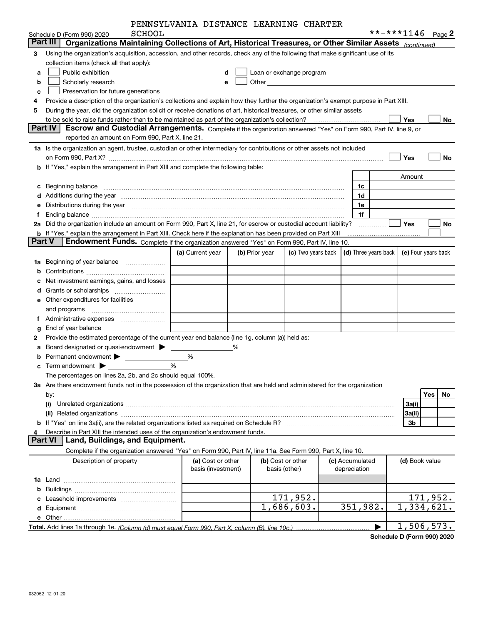|--|

|          | SCHOOL<br>Schedule D (Form 990) 2020                                                                                                                                                                                                                                                                                                                 | FENNSIDVANIA DISIANCE DEARNING CHARIER  |   |                |                                    |  |                                 | **-***1146 |                | Page 2              |
|----------|------------------------------------------------------------------------------------------------------------------------------------------------------------------------------------------------------------------------------------------------------------------------------------------------------------------------------------------------------|-----------------------------------------|---|----------------|------------------------------------|--|---------------------------------|------------|----------------|---------------------|
| Part III | Organizations Maintaining Collections of Art, Historical Treasures, or Other Similar Assets (continued)                                                                                                                                                                                                                                              |                                         |   |                |                                    |  |                                 |            |                |                     |
| 3        | Using the organization's acquisition, accession, and other records, check any of the following that make significant use of its                                                                                                                                                                                                                      |                                         |   |                |                                    |  |                                 |            |                |                     |
|          | collection items (check all that apply):                                                                                                                                                                                                                                                                                                             |                                         |   |                |                                    |  |                                 |            |                |                     |
| a        | Public exhibition                                                                                                                                                                                                                                                                                                                                    |                                         | d |                | Loan or exchange program           |  |                                 |            |                |                     |
| b        | Scholarly research                                                                                                                                                                                                                                                                                                                                   | e                                       |   |                |                                    |  |                                 |            |                |                     |
| C        | Preservation for future generations                                                                                                                                                                                                                                                                                                                  |                                         |   |                |                                    |  |                                 |            |                |                     |
| 4        | Provide a description of the organization's collections and explain how they further the organization's exempt purpose in Part XIII.                                                                                                                                                                                                                 |                                         |   |                |                                    |  |                                 |            |                |                     |
| 5        | During the year, did the organization solicit or receive donations of art, historical treasures, or other similar assets                                                                                                                                                                                                                             |                                         |   |                |                                    |  |                                 |            |                |                     |
|          |                                                                                                                                                                                                                                                                                                                                                      |                                         |   |                |                                    |  |                                 |            | Yes            | No                  |
|          | Part IV I<br>Escrow and Custodial Arrangements. Complete if the organization answered "Yes" on Form 990, Part IV, line 9, or                                                                                                                                                                                                                         |                                         |   |                |                                    |  |                                 |            |                |                     |
|          | reported an amount on Form 990, Part X, line 21.                                                                                                                                                                                                                                                                                                     |                                         |   |                |                                    |  |                                 |            |                |                     |
|          | 1a Is the organization an agent, trustee, custodian or other intermediary for contributions or other assets not included                                                                                                                                                                                                                             |                                         |   |                |                                    |  |                                 |            |                |                     |
|          |                                                                                                                                                                                                                                                                                                                                                      |                                         |   |                |                                    |  |                                 |            | Yes            | <b>No</b>           |
|          | <b>b</b> If "Yes," explain the arrangement in Part XIII and complete the following table:                                                                                                                                                                                                                                                            |                                         |   |                |                                    |  |                                 |            |                |                     |
|          |                                                                                                                                                                                                                                                                                                                                                      |                                         |   |                |                                    |  |                                 |            | Amount         |                     |
| c        | Beginning balance measurements and contain a series of the series of the series of the series of the series of                                                                                                                                                                                                                                       |                                         |   |                |                                    |  | 1c                              |            |                |                     |
|          |                                                                                                                                                                                                                                                                                                                                                      |                                         |   |                |                                    |  | 1d                              |            |                |                     |
|          | Distributions during the year manufactured and contain an account of the year manufactured and the year manufactured and the year manufactured and the year manufactured and the year manufactured and the year manufactured a                                                                                                                       |                                         |   |                |                                    |  | 1e                              |            |                |                     |
| f        | Ending balance manufactured and contact the contract of the contract of the contract of the contract of the contract of the contract of the contract of the contract of the contract of the contract of the contract of the co<br>2a Did the organization include an amount on Form 990, Part X, line 21, for escrow or custodial account liability? |                                         |   |                |                                    |  | 1f                              |            | <b>Yes</b>     | No                  |
|          | <b>b</b> If "Yes," explain the arrangement in Part XIII. Check here if the explanation has been provided on Part XIII                                                                                                                                                                                                                                |                                         |   |                |                                    |  |                                 |            |                |                     |
| Part V   | Endowment Funds. Complete if the organization answered "Yes" on Form 990, Part IV, line 10.                                                                                                                                                                                                                                                          |                                         |   |                |                                    |  |                                 |            |                |                     |
|          |                                                                                                                                                                                                                                                                                                                                                      | (a) Current year                        |   | (b) Prior year | (c) Two years back                 |  | (d) Three years back            |            |                | (e) Four years back |
| 1a       | Beginning of year balance                                                                                                                                                                                                                                                                                                                            |                                         |   |                |                                    |  |                                 |            |                |                     |
| b        |                                                                                                                                                                                                                                                                                                                                                      |                                         |   |                |                                    |  |                                 |            |                |                     |
|          | Net investment earnings, gains, and losses                                                                                                                                                                                                                                                                                                           |                                         |   |                |                                    |  |                                 |            |                |                     |
| d        |                                                                                                                                                                                                                                                                                                                                                      |                                         |   |                |                                    |  |                                 |            |                |                     |
|          | <b>e</b> Other expenditures for facilities                                                                                                                                                                                                                                                                                                           |                                         |   |                |                                    |  |                                 |            |                |                     |
|          | and programs                                                                                                                                                                                                                                                                                                                                         | and the control of the control of       |   |                |                                    |  |                                 |            |                |                     |
| 1.       |                                                                                                                                                                                                                                                                                                                                                      | and the control of the control of the   |   |                |                                    |  |                                 |            |                |                     |
| g        | End of year balance                                                                                                                                                                                                                                                                                                                                  |                                         |   |                |                                    |  |                                 |            |                |                     |
| 2        | Provide the estimated percentage of the current year end balance (line 1g, column (a)) held as:                                                                                                                                                                                                                                                      |                                         |   |                |                                    |  |                                 |            |                |                     |
| а        | Board designated or quasi-endowment                                                                                                                                                                                                                                                                                                                  |                                         |   |                |                                    |  |                                 |            |                |                     |
| b        | Permanent endowment $\blacktriangleright$                                                                                                                                                                                                                                                                                                            | %                                       |   |                |                                    |  |                                 |            |                |                     |
|          | Term endowment $\blacktriangleright$                                                                                                                                                                                                                                                                                                                 | %                                       |   |                |                                    |  |                                 |            |                |                     |
|          | The percentages on lines 2a, 2b, and 2c should equal 100%.                                                                                                                                                                                                                                                                                           |                                         |   |                |                                    |  |                                 |            |                |                     |
|          | 3a Are there endowment funds not in the possession of the organization that are held and administered for the organization                                                                                                                                                                                                                           |                                         |   |                |                                    |  |                                 |            |                |                     |
|          | Yes<br>No<br>by:                                                                                                                                                                                                                                                                                                                                     |                                         |   |                |                                    |  |                                 |            |                |                     |
|          | 3a(i)<br>(i)                                                                                                                                                                                                                                                                                                                                         |                                         |   |                |                                    |  |                                 |            |                |                     |
|          | 3a(ii)<br>(ii) Related organizations <b>constructions</b> and construction of the construction of the construction of the construction of the construction of the construction of the construction of the construction of the construction of                                                                                                        |                                         |   |                |                                    |  |                                 |            |                |                     |
|          | 3b                                                                                                                                                                                                                                                                                                                                                   |                                         |   |                |                                    |  |                                 |            |                |                     |
|          | Describe in Part XIII the intended uses of the organization's endowment funds.<br><b>Part VI</b><br>Land, Buildings, and Equipment.                                                                                                                                                                                                                  |                                         |   |                |                                    |  |                                 |            |                |                     |
|          |                                                                                                                                                                                                                                                                                                                                                      |                                         |   |                |                                    |  |                                 |            |                |                     |
|          | Complete if the organization answered "Yes" on Form 990, Part IV, line 11a. See Form 990, Part X, line 10.                                                                                                                                                                                                                                           |                                         |   |                |                                    |  |                                 |            |                |                     |
|          | Description of property                                                                                                                                                                                                                                                                                                                              | (a) Cost or other<br>basis (investment) |   |                | (b) Cost or other<br>basis (other) |  | (c) Accumulated<br>depreciation |            | (d) Book value |                     |
|          |                                                                                                                                                                                                                                                                                                                                                      |                                         |   |                |                                    |  |                                 |            |                |                     |
| b        |                                                                                                                                                                                                                                                                                                                                                      |                                         |   |                |                                    |  |                                 |            |                |                     |
|          | Leasehold improvements                                                                                                                                                                                                                                                                                                                               |                                         |   |                | 171,952.                           |  |                                 |            |                | 171,952.            |
|          |                                                                                                                                                                                                                                                                                                                                                      |                                         |   |                | 1,686,603.                         |  | 351,982.                        |            |                | 1,334,621.          |
|          |                                                                                                                                                                                                                                                                                                                                                      |                                         |   |                |                                    |  |                                 |            |                |                     |
|          |                                                                                                                                                                                                                                                                                                                                                      |                                         |   |                |                                    |  |                                 |            |                | 1,506,573.          |
|          |                                                                                                                                                                                                                                                                                                                                                      |                                         |   |                |                                    |  |                                 |            |                |                     |

**Schedule D (Form 990) 2020**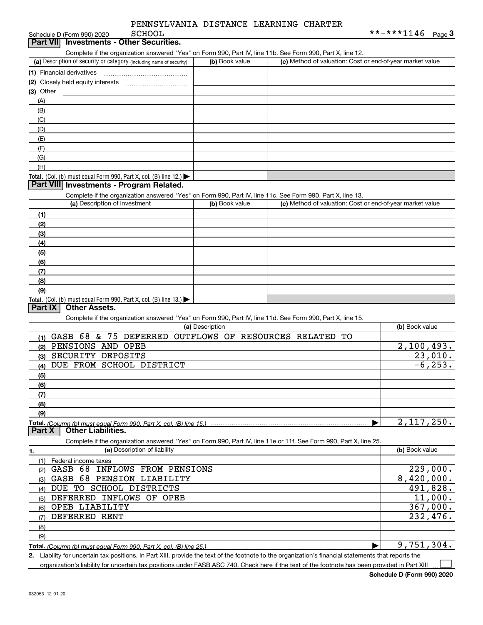Schedule D (Form 990) 2020 SCHOOL

# Complete if the organization answered "Yes" on Form 990, Part IV, line 11b. See Form 990, Part X, line 12. **Part VII Investments - Other Securities.**

| (a) Description of security or category (including name of security) | (b) Book value | (c) Method of valuation: Cost or end-of-year market value |
|----------------------------------------------------------------------|----------------|-----------------------------------------------------------|
| (1) Financial derivatives                                            |                |                                                           |
| (2) Closely held equity interests                                    |                |                                                           |
| $(3)$ Other                                                          |                |                                                           |
| (A)                                                                  |                |                                                           |
| (B)                                                                  |                |                                                           |
| (C)                                                                  |                |                                                           |
| (D)                                                                  |                |                                                           |
| (E)                                                                  |                |                                                           |
| (F)                                                                  |                |                                                           |
| (G)                                                                  |                |                                                           |
| (H)                                                                  |                |                                                           |
| Total. (Col. (b) must equal Form 990, Part X, col. (B) line $12$ .)  |                |                                                           |

### **Part VIII Investments - Program Related.**

Complete if the organization answered "Yes" on Form 990, Part IV, line 11c. See Form 990, Part X, line 13.

| (a) Description of investment                                       | (b) Book value | (c) Method of valuation: Cost or end-of-year market value |
|---------------------------------------------------------------------|----------------|-----------------------------------------------------------|
| (1)                                                                 |                |                                                           |
| (2)                                                                 |                |                                                           |
| (3)                                                                 |                |                                                           |
| (4)                                                                 |                |                                                           |
| $\frac{1}{2}$                                                       |                |                                                           |
| (6)                                                                 |                |                                                           |
| (7)                                                                 |                |                                                           |
| (8)                                                                 |                |                                                           |
| (9)                                                                 |                |                                                           |
| Total. (Col. (b) must equal Form 990, Part X, col. (B) line $13.$ ) |                |                                                           |

### **Part IX Other Assets.**

Complete if the organization answered "Yes" on Form 990, Part IV, line 11d. See Form 990, Part X, line 15.

| OUTIQUE IT LIKE ORGANIZATION LATOWORDED TRUE ON IT ONLY JOURNAL MINE THU. OCC TUTTI JOU, IT ALL A, THIC TO.       |                |
|-------------------------------------------------------------------------------------------------------------------|----------------|
| (a) Description                                                                                                   | (b) Book value |
| GASB 68<br>75<br>DEFERRED<br>OUTFLOWS OF RESOURCES RELATED<br>TО<br>&.<br>(1)                                     |                |
| PENSIONS<br>AND<br>OPEB<br>(2)                                                                                    | 2,100,493.     |
| SECURITY<br>DEPOSITS<br>(3)                                                                                       | 23,010.        |
| DUE FROM SCHOOL DISTRICT<br>(4)                                                                                   | $-6, 253.$     |
| (5)                                                                                                               |                |
| (6)                                                                                                               |                |
| (7)                                                                                                               |                |
| (8)                                                                                                               |                |
| (9)                                                                                                               |                |
| Total. (Column (b) must equal Form 990, Part X, col. (B) line 15.)                                                | 2,117,250.     |
| <b>Other Liabilities.</b><br>Part X                                                                               |                |
|                                                                                                                   |                |
| Complete if the organization answered "Yes" on Form 990, Part IV, line 11e or 11f. See Form 990, Part X, line 25. |                |
| (a) Description of liability<br>1.                                                                                | (b) Book value |
| (1)<br>Federal income taxes                                                                                       |                |
| -68<br>GASB<br><b>INFLOWS</b><br>FROM PENSIONS<br>(2)                                                             | 229,000.       |
| 68<br>GASB<br>PENSION<br>LIABILITY<br>(3)                                                                         | 8,420,000.     |
| SCHOOL DISTRICTS<br>TO<br>DUE<br>(4)                                                                              | 491,828.       |
| <b>INFLOWS</b><br><b>DEFERRED</b><br>OF.<br>OPEB<br>(5)                                                           | 11,000.        |
| OPEB LIABILITY<br>(6)                                                                                             | 367,000.       |
| DEFERRED RENT<br>(7)                                                                                              | 232,476.       |
| (8)                                                                                                               |                |
| (9)                                                                                                               |                |

**Total.**  *(Column (b) must equal Form 990, Part X, col. (B) line 25.)* 

Liability for uncertain tax positions. In Part XIII, provide the text of the footnote to the organization's financial statements that reports the

organization's liability for uncertain tax positions under FASB ASC 740. Check here if the text of the footnote has been provided in Part XIII

 $\mathcal{L}^{\text{max}}$ 

**2.**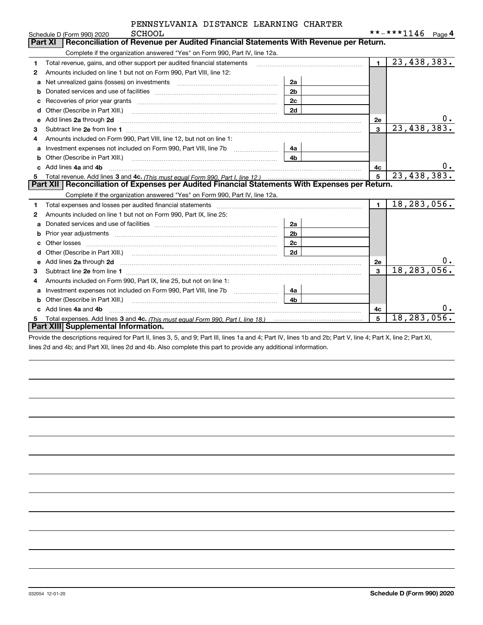|    | SCHOOL<br>Schedule D (Form 990) 2020                                                                                                                                                                                                |                |                | **-***1146<br>Page 4 |
|----|-------------------------------------------------------------------------------------------------------------------------------------------------------------------------------------------------------------------------------------|----------------|----------------|----------------------|
|    | <b>Part XI</b><br>Reconciliation of Revenue per Audited Financial Statements With Revenue per Return.                                                                                                                               |                |                |                      |
|    | Complete if the organization answered "Yes" on Form 990, Part IV, line 12a.                                                                                                                                                         |                |                |                      |
| 1  | Total revenue, gains, and other support per audited financial statements                                                                                                                                                            |                | $\blacksquare$ | 23,438,383.          |
| 2  | Amounts included on line 1 but not on Form 990, Part VIII, line 12:                                                                                                                                                                 |                |                |                      |
| a  | Net unrealized gains (losses) on investments [11] matter contracts and the unrealized gains (losses) on investments                                                                                                                 | 2a             |                |                      |
| b  |                                                                                                                                                                                                                                     | 2 <sub>b</sub> |                |                      |
| c  |                                                                                                                                                                                                                                     | 2 <sub>c</sub> |                |                      |
| d  | Other (Describe in Part XIII.) <b>Construction Contract Construction</b> Chern Construction Construction Construction                                                                                                               | 2d             |                |                      |
| e  | Add lines 2a through 2d                                                                                                                                                                                                             |                | 2e             | 0.                   |
| 3  |                                                                                                                                                                                                                                     |                | $\mathbf{3}$   | 23,438,383.          |
| 4  | Amounts included on Form 990, Part VIII, line 12, but not on line 1:                                                                                                                                                                |                |                |                      |
|    |                                                                                                                                                                                                                                     | 4a             |                |                      |
| b  | Other (Describe in Part XIII.) <b>2006</b> 2006 2010 2010 2010 2010 2011 2012 2013 2014 2015 2016 2017 2018 2019 2016 2016 2017 2018 2019 2016 2017 2018 2019 2016 2017 2018 2019 2018 2019 2016 2017 2018 2019 2018 2019 2018 2019 | 4 <sub>b</sub> |                |                      |
| c. | Add lines 4a and 4b                                                                                                                                                                                                                 |                | 4c             | 0.                   |
| 5  |                                                                                                                                                                                                                                     | 5              | 23,438,383.    |                      |
|    | Part XII   Reconciliation of Expenses per Audited Financial Statements With Expenses per Return.                                                                                                                                    |                |                |                      |
|    | Complete if the organization answered "Yes" on Form 990, Part IV, line 12a.                                                                                                                                                         |                |                |                      |
| 1  | Total expenses and losses per audited financial statements [11] [12] contraction control of the statements [11] [12] and the statements [11] [12] and the statements [12] and the statements [12] and the statements [12] and       |                | $\blacksquare$ | 18, 283, 056.        |
| 2  | Amounts included on line 1 but not on Form 990, Part IX, line 25:                                                                                                                                                                   |                |                |                      |
| a  |                                                                                                                                                                                                                                     | 2a             |                |                      |
| b  |                                                                                                                                                                                                                                     | 2 <sub>b</sub> |                |                      |
| с  |                                                                                                                                                                                                                                     | 2 <sub>c</sub> |                |                      |
| d  |                                                                                                                                                                                                                                     | 2d             |                |                      |
| е  | Add lines 2a through 2d <b>must be a constructed as the constant of the constant of the constant of the construction</b>                                                                                                            |                | <b>2e</b>      | 0.                   |
| з  |                                                                                                                                                                                                                                     |                | 3              | 18, 283, 056.        |
| 4  | Amounts included on Form 990, Part IX, line 25, but not on line 1:                                                                                                                                                                  |                |                |                      |
| a  |                                                                                                                                                                                                                                     | 4a             |                |                      |
| b  | Other (Describe in Part XIII.)                                                                                                                                                                                                      | 4 <sub>b</sub> |                |                      |
| C. | Add lines 4a and 4b                                                                                                                                                                                                                 |                | 4с             |                      |
|    | Part XIII Supplemental Information.                                                                                                                                                                                                 |                | 5              | 18, 283, 056.        |
|    |                                                                                                                                                                                                                                     |                |                |                      |

Provide the descriptions required for Part II, lines 3, 5, and 9; Part III, lines 1a and 4; Part IV, lines 1b and 2b; Part V, line 4; Part X, line 2; Part XI, lines 2d and 4b; and Part XII, lines 2d and 4b. Also complete this part to provide any additional information.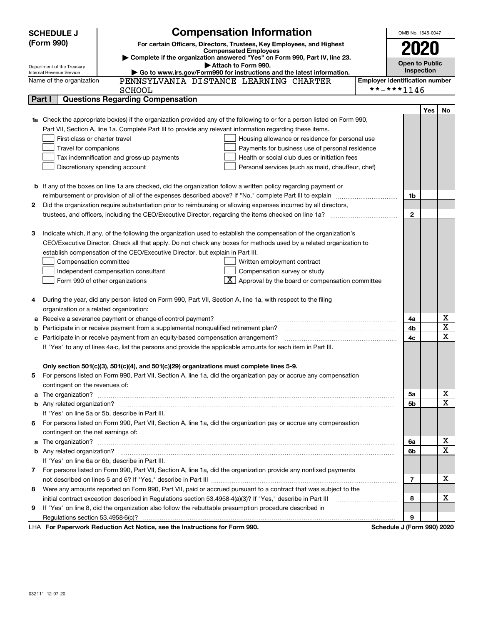|        | <b>SCHEDULE J</b>                                                                                          | <b>Compensation Information</b>                                                                                                                                                                                                      |                                       | OMB No. 1545-0047          |     |                  |
|--------|------------------------------------------------------------------------------------------------------------|--------------------------------------------------------------------------------------------------------------------------------------------------------------------------------------------------------------------------------------|---------------------------------------|----------------------------|-----|------------------|
|        | (Form 990)<br>For certain Officers, Directors, Trustees, Key Employees, and Highest                        |                                                                                                                                                                                                                                      |                                       |                            |     |                  |
|        | <b>Compensated Employees</b><br>Complete if the organization answered "Yes" on Form 990, Part IV, line 23. |                                                                                                                                                                                                                                      |                                       | 2020                       |     |                  |
|        | Department of the Treasury                                                                                 | Attach to Form 990.                                                                                                                                                                                                                  |                                       | <b>Open to Public</b>      |     |                  |
|        | Internal Revenue Service                                                                                   | Go to www.irs.gov/Form990 for instructions and the latest information.                                                                                                                                                               |                                       | Inspection                 |     |                  |
|        | Name of the organization                                                                                   | PENNSYLVANIA DISTANCE LEARNING CHARTER                                                                                                                                                                                               | <b>Employer identification number</b> |                            |     |                  |
|        |                                                                                                            | <b>SCHOOL</b>                                                                                                                                                                                                                        |                                       | **-***1146                 |     |                  |
| Part I |                                                                                                            | <b>Questions Regarding Compensation</b>                                                                                                                                                                                              |                                       |                            |     |                  |
|        |                                                                                                            |                                                                                                                                                                                                                                      |                                       |                            | Yes | No               |
|        |                                                                                                            | Check the appropriate box(es) if the organization provided any of the following to or for a person listed on Form 990,                                                                                                               |                                       |                            |     |                  |
|        |                                                                                                            | Part VII, Section A, line 1a. Complete Part III to provide any relevant information regarding these items.                                                                                                                           |                                       |                            |     |                  |
|        | First-class or charter travel<br>Travel for companions                                                     | Housing allowance or residence for personal use                                                                                                                                                                                      |                                       |                            |     |                  |
|        |                                                                                                            | Payments for business use of personal residence<br>Health or social club dues or initiation fees<br>Tax indemnification and gross-up payments                                                                                        |                                       |                            |     |                  |
|        |                                                                                                            | Discretionary spending account<br>Personal services (such as maid, chauffeur, chef)                                                                                                                                                  |                                       |                            |     |                  |
|        |                                                                                                            |                                                                                                                                                                                                                                      |                                       |                            |     |                  |
| b      |                                                                                                            | If any of the boxes on line 1a are checked, did the organization follow a written policy regarding payment or                                                                                                                        |                                       |                            |     |                  |
|        |                                                                                                            | reimbursement or provision of all of the expenses described above? If "No," complete Part III to explain                                                                                                                             |                                       | 1b                         |     |                  |
| 2      |                                                                                                            | Did the organization require substantiation prior to reimbursing or allowing expenses incurred by all directors,                                                                                                                     |                                       |                            |     |                  |
|        |                                                                                                            |                                                                                                                                                                                                                                      |                                       | $\mathbf{2}$               |     |                  |
|        |                                                                                                            |                                                                                                                                                                                                                                      |                                       |                            |     |                  |
| з      |                                                                                                            | Indicate which, if any, of the following the organization used to establish the compensation of the organization's                                                                                                                   |                                       |                            |     |                  |
|        |                                                                                                            | CEO/Executive Director. Check all that apply. Do not check any boxes for methods used by a related organization to                                                                                                                   |                                       |                            |     |                  |
|        |                                                                                                            | establish compensation of the CEO/Executive Director, but explain in Part III.                                                                                                                                                       |                                       |                            |     |                  |
|        | Compensation committee                                                                                     | Written employment contract                                                                                                                                                                                                          |                                       |                            |     |                  |
|        |                                                                                                            | Compensation survey or study<br>Independent compensation consultant                                                                                                                                                                  |                                       |                            |     |                  |
|        |                                                                                                            | Approval by the board or compensation committee<br>Form 990 of other organizations                                                                                                                                                   |                                       |                            |     |                  |
|        |                                                                                                            |                                                                                                                                                                                                                                      |                                       |                            |     |                  |
| 4      |                                                                                                            | During the year, did any person listed on Form 990, Part VII, Section A, line 1a, with respect to the filing                                                                                                                         |                                       |                            |     |                  |
|        | organization or a related organization:                                                                    |                                                                                                                                                                                                                                      |                                       |                            |     |                  |
| а      |                                                                                                            | Receive a severance payment or change-of-control payment?                                                                                                                                                                            |                                       | 4a                         |     | х                |
| b      |                                                                                                            | Participate in or receive payment from a supplemental nonqualified retirement plan?                                                                                                                                                  |                                       | 4b                         |     | $\mathbf X$      |
|        |                                                                                                            | Participate in or receive payment from an equity-based compensation arrangement?                                                                                                                                                     |                                       | 4с                         |     | $\mathbf X$      |
|        |                                                                                                            | If "Yes" to any of lines 4a-c, list the persons and provide the applicable amounts for each item in Part III.                                                                                                                        |                                       |                            |     |                  |
|        |                                                                                                            |                                                                                                                                                                                                                                      |                                       |                            |     |                  |
|        |                                                                                                            | Only section 501(c)(3), 501(c)(4), and 501(c)(29) organizations must complete lines 5-9.                                                                                                                                             |                                       |                            |     |                  |
| 5      |                                                                                                            | For persons listed on Form 990, Part VII, Section A, line 1a, did the organization pay or accrue any compensation                                                                                                                    |                                       |                            |     |                  |
|        | contingent on the revenues of:                                                                             |                                                                                                                                                                                                                                      |                                       |                            |     |                  |
| a      |                                                                                                            | The organization? <b>With the contract of the contract of the contract of the contract of the contract of the contract of the contract of the contract of the contract of the contract of the contract of the contract of the co</b> |                                       | 5a                         |     | х<br>$\mathbf X$ |
|        |                                                                                                            |                                                                                                                                                                                                                                      |                                       | 5b                         |     |                  |
|        |                                                                                                            | If "Yes" on line 5a or 5b, describe in Part III.                                                                                                                                                                                     |                                       |                            |     |                  |
| 6.     |                                                                                                            | For persons listed on Form 990, Part VII, Section A, line 1a, did the organization pay or accrue any compensation                                                                                                                    |                                       |                            |     |                  |
|        | contingent on the net earnings of:                                                                         |                                                                                                                                                                                                                                      |                                       |                            |     | х                |
| a      |                                                                                                            |                                                                                                                                                                                                                                      |                                       | 6a                         |     | $\mathbf X$      |
|        |                                                                                                            | If "Yes" on line 6a or 6b, describe in Part III.                                                                                                                                                                                     |                                       | 6b                         |     |                  |
|        |                                                                                                            | 7 For persons listed on Form 990, Part VII, Section A, line 1a, did the organization provide any nonfixed payments                                                                                                                   |                                       |                            |     |                  |
|        |                                                                                                            |                                                                                                                                                                                                                                      |                                       | 7                          |     | x                |
| 8      |                                                                                                            | Were any amounts reported on Form 990, Part VII, paid or accrued pursuant to a contract that was subject to the                                                                                                                      |                                       |                            |     |                  |
|        |                                                                                                            | initial contract exception described in Regulations section 53.4958-4(a)(3)? If "Yes," describe in Part III                                                                                                                          |                                       | 8                          |     | х                |
| 9      |                                                                                                            | If "Yes" on line 8, did the organization also follow the rebuttable presumption procedure described in                                                                                                                               |                                       |                            |     |                  |
|        |                                                                                                            |                                                                                                                                                                                                                                      |                                       | 9                          |     |                  |
|        |                                                                                                            | LHA For Paperwork Reduction Act Notice, see the Instructions for Form 990.                                                                                                                                                           |                                       | Schedule J (Form 990) 2020 |     |                  |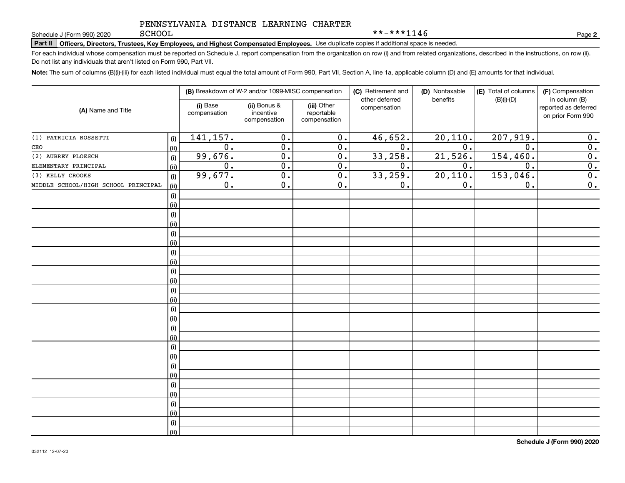**Part II Officers, Directors, Trustees, Key Employees, and Highest Compensated Employees.**  Schedule J (Form 990) 2020 Page Use duplicate copies if additional space is needed.

For each individual whose compensation must be reported on Schedule J, report compensation from the organization on row (i) and from related organizations, described in the instructions, on row (ii). Do not list any individuals that aren't listed on Form 990, Part VII.

**Note:**  The sum of columns (B)(i)-(iii) for each listed individual must equal the total amount of Form 990, Part VII, Section A, line 1a, applicable column (D) and (E) amounts for that individual.

| (A) Name and Title                  |            | (B) Breakdown of W-2 and/or 1099-MISC compensation |                                           |                                           | (C) Retirement and<br>(D) Nontaxable<br>other deferred | (E) Total of columns<br>$(B)(i)-(D)$ | (F) Compensation<br>in column (B) |                                           |
|-------------------------------------|------------|----------------------------------------------------|-------------------------------------------|-------------------------------------------|--------------------------------------------------------|--------------------------------------|-----------------------------------|-------------------------------------------|
|                                     |            | (i) Base<br>compensation                           | (ii) Bonus &<br>incentive<br>compensation | (iii) Other<br>reportable<br>compensation | compensation                                           | benefits                             |                                   | reported as deferred<br>on prior Form 990 |
| (1) PATRICIA ROSSETTI               | (i)        | 141, 157.                                          | 0.                                        | $\mathbf 0$ .                             | 46,652.                                                | 20, 110.                             | 207,919.                          | 0.                                        |
| CEO                                 | (ii)       | $\overline{0}$ .                                   | $\overline{0}$ .                          | $\mathbf 0$ .                             | 0.                                                     | 0.                                   | $\mathbf 0$ .                     | $\overline{0}$ .                          |
| (2) AUBREY PLOESCH                  | (i)        | 99,676.                                            | $\overline{0}$ .                          | $\overline{0}$ .                          | 33,258.                                                | 21,526.                              | 154, 460.                         | $\overline{\mathbf{0}}$ .                 |
| ELEMENTARY PRINCIPAL                | (ii)       | $\overline{0}$ .                                   | $\overline{0}$ .                          | $\mathbf 0$ .                             | 0.                                                     | 0.                                   | 0.                                | $\overline{\mathbf{0}}$ .                 |
| (3) KELLY CROOKS                    | (i)        | 99,677.                                            | $\overline{0}$ .                          | $\mathbf 0$ .                             | 33,259.                                                | 20, 110.                             | 153,046.                          | $\overline{0}$ .                          |
| MIDDLE SCHOOL/HIGH SCHOOL PRINCIPAL | (ii)       | $\overline{0}$ .                                   | $\overline{0}$ .                          | 0.                                        | 0.                                                     | 0.                                   | 0.                                | $\overline{\mathbf{0}}$ .                 |
|                                     | $(\sf{i})$ |                                                    |                                           |                                           |                                                        |                                      |                                   |                                           |
|                                     | (i)        |                                                    |                                           |                                           |                                                        |                                      |                                   |                                           |
|                                     | (i)        |                                                    |                                           |                                           |                                                        |                                      |                                   |                                           |
|                                     | (i)        |                                                    |                                           |                                           |                                                        |                                      |                                   |                                           |
|                                     | (i)        |                                                    |                                           |                                           |                                                        |                                      |                                   |                                           |
|                                     | (i)        |                                                    |                                           |                                           |                                                        |                                      |                                   |                                           |
|                                     | (i)        |                                                    |                                           |                                           |                                                        |                                      |                                   |                                           |
|                                     | (i)        |                                                    |                                           |                                           |                                                        |                                      |                                   |                                           |
|                                     | $(\sf{i})$ |                                                    |                                           |                                           |                                                        |                                      |                                   |                                           |
|                                     | (i)        |                                                    |                                           |                                           |                                                        |                                      |                                   |                                           |
|                                     | $(\sf{i})$ |                                                    |                                           |                                           |                                                        |                                      |                                   |                                           |
|                                     | (i)        |                                                    |                                           |                                           |                                                        |                                      |                                   |                                           |
|                                     | $(\sf{i})$ |                                                    |                                           |                                           |                                                        |                                      |                                   |                                           |
|                                     | (i)        |                                                    |                                           |                                           |                                                        |                                      |                                   |                                           |
|                                     | (i)        |                                                    |                                           |                                           |                                                        |                                      |                                   |                                           |
|                                     | (i)        |                                                    |                                           |                                           |                                                        |                                      |                                   |                                           |
|                                     | (i)        |                                                    |                                           |                                           |                                                        |                                      |                                   |                                           |
|                                     | (i)        |                                                    |                                           |                                           |                                                        |                                      |                                   |                                           |
|                                     | (i)        |                                                    |                                           |                                           |                                                        |                                      |                                   |                                           |
|                                     | (i)        |                                                    |                                           |                                           |                                                        |                                      |                                   |                                           |
|                                     | $(\sf{i})$ |                                                    |                                           |                                           |                                                        |                                      |                                   |                                           |
|                                     | (i)        |                                                    |                                           |                                           |                                                        |                                      |                                   |                                           |
|                                     | $(\sf{i})$ |                                                    |                                           |                                           |                                                        |                                      |                                   |                                           |
|                                     | (i)        |                                                    |                                           |                                           |                                                        |                                      |                                   |                                           |
|                                     | $(\sf{i})$ |                                                    |                                           |                                           |                                                        |                                      |                                   |                                           |
|                                     | (ii)       |                                                    |                                           |                                           |                                                        |                                      |                                   |                                           |

**2**

\*\*-\*\*\*1146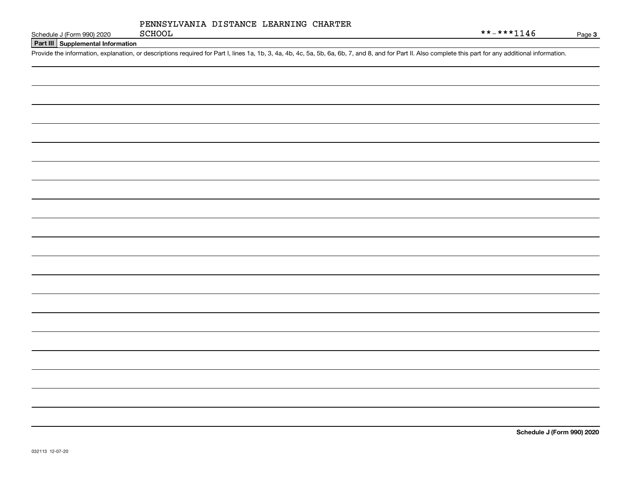| PENNSYLVANIA DISTANCE LEARNING CHARTER |  |
|----------------------------------------|--|
|----------------------------------------|--|

**Part III Supplemental Information**

Schedule J (Form 990) 2020 SCHOOL<br>Part III Supplemental Information<br>Provide the information, explanation, or descriptions required for Part I, lines 1a, 1b, 3, 4a, 4b, 4c, 5a, 5b, 6a, 6b, 7, and 8, and for Part II. Also c

**Schedule J (Form 990) 2020**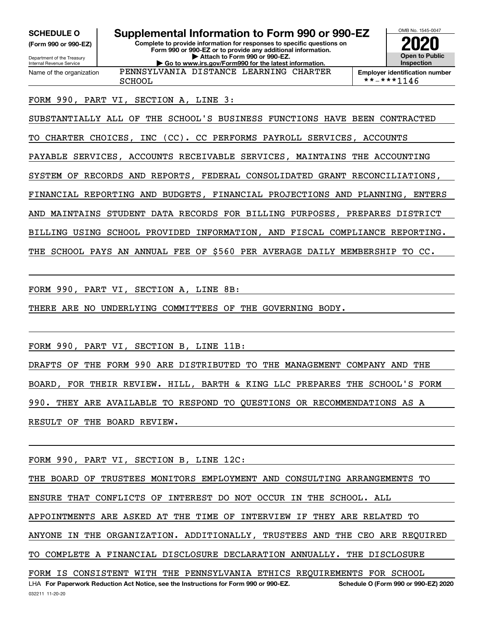**(Form 990 or 990-EZ)**

Department of the Treasury Internal Revenue Service Name of the organization

**Complete to provide information for responses to specific questions on SCHEDULE O Supplemental Information to Form 990 or 990-EZ**

**Form 990 or 990-EZ or to provide any additional information. | Attach to Form 990 or 990-EZ. | Go to www.irs.gov/Form990 for the latest information.** PENNSYLVANIA DISTANCE LEARNING CHARTER



SCHOOL **\*\*-\*\*\*1146** 

# FORM 990, PART VI, SECTION A, LINE 3:

SUBSTANTIALLY ALL OF THE SCHOOL'S BUSINESS FUNCTIONS HAVE BEEN CONTRACTED

TO CHARTER CHOICES, INC (CC). CC PERFORMS PAYROLL SERVICES, ACCOUNTS

PAYABLE SERVICES, ACCOUNTS RECEIVABLE SERVICES, MAINTAINS THE ACCOUNTING

SYSTEM OF RECORDS AND REPORTS, FEDERAL CONSOLIDATED GRANT RECONCILIATIONS,

FINANCIAL REPORTING AND BUDGETS, FINANCIAL PROJECTIONS AND PLANNING, ENTERS

AND MAINTAINS STUDENT DATA RECORDS FOR BILLING PURPOSES, PREPARES DISTRICT

BILLING USING SCHOOL PROVIDED INFORMATION, AND FISCAL COMPLIANCE REPORTING.

THE SCHOOL PAYS AN ANNUAL FEE OF \$560 PER AVERAGE DAILY MEMBERSHIP TO CC.

FORM 990, PART VI, SECTION A, LINE 8B:

THERE ARE NO UNDERLYING COMMITTEES OF THE GOVERNING BODY.

FORM 990, PART VI, SECTION B, LINE 11B:

DRAFTS OF THE FORM 990 ARE DISTRIBUTED TO THE MANAGEMENT COMPANY AND THE BOARD, FOR THEIR REVIEW. HILL, BARTH & KING LLC PREPARES THE SCHOOL'S FORM 990. THEY ARE AVAILABLE TO RESPOND TO QUESTIONS OR RECOMMENDATIONS AS A RESULT OF THE BOARD REVIEW.

FORM 990, PART VI, SECTION B, LINE 12C:

LHA For Paperwork Reduction Act Notice, see the Instructions for Form 990 or 990-EZ. Schedule O (Form 990 or 990-EZ) 2020 THE BOARD OF TRUSTEES MONITORS EMPLOYMENT AND CONSULTING ARRANGEMENTS TO ENSURE THAT CONFLICTS OF INTEREST DO NOT OCCUR IN THE SCHOOL. ALL APPOINTMENTS ARE ASKED AT THE TIME OF INTERVIEW IF THEY ARE RELATED TO ANYONE IN THE ORGANIZATION. ADDITIONALLY, TRUSTEES AND THE CEO ARE REQUIRED TO COMPLETE A FINANCIAL DISCLOSURE DECLARATION ANNUALLY. THE DISCLOSURE FORM IS CONSISTENT WITH THE PENNSYLVANIA ETHICS REQUIREMENTS FOR SCHOOL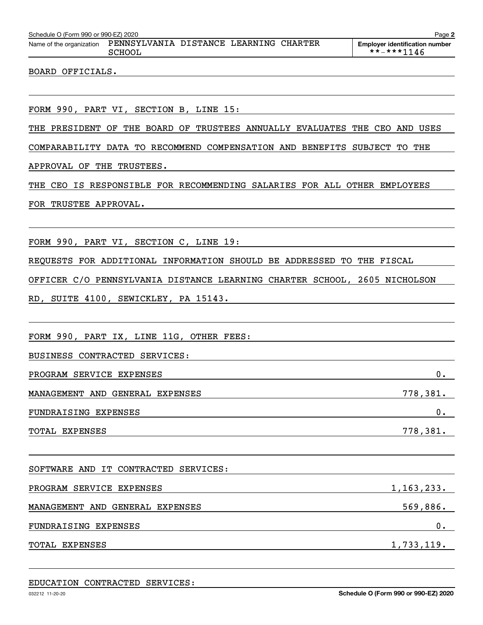| Schedule O (Form 990 or 990-EZ) 2020<br>Page 2 |                                                  |  |  |  |                                                           |  |
|------------------------------------------------|--------------------------------------------------|--|--|--|-----------------------------------------------------------|--|
| Name of the organization                       | PENNSYLVANIA DISTANCE LEARNING CHARTER<br>SCHOOL |  |  |  | <b>Employer identification number</b><br>$***$ $***$ 1146 |  |
|                                                |                                                  |  |  |  |                                                           |  |

### BOARD OFFICIALS.

FORM 990, PART VI, SECTION B, LINE 15:

THE PRESIDENT OF THE BOARD OF TRUSTEES ANNUALLY EVALUATES THE CEO AND USES

COMPARABILITY DATA TO RECOMMEND COMPENSATION AND BENEFITS SUBJECT TO THE

APPROVAL OF THE TRUSTEES.

THE CEO IS RESPONSIBLE FOR RECOMMENDING SALARIES FOR ALL OTHER EMPLOYEES

### FOR TRUSTEE APPROVAL.

FORM 990, PART VI, SECTION C, LINE 19:

REQUESTS FOR ADDITIONAL INFORMATION SHOULD BE ADDRESSED TO THE FISCAL

OFFICER C/O PENNSYLVANIA DISTANCE LEARNING CHARTER SCHOOL, 2605 NICHOLSON

RD, SUITE 4100, SEWICKLEY, PA 15143.

FORM 990, PART IX, LINE 11G, OTHER FEES:

BUSINESS CONTRACTED SERVICES:

PROGRAM SERVICE EXPENSES 0. MANAGEMENT AND GENERAL EXPENSES 778,381. FUNDRAISING EXPENSES 0.

TOTAL EXPENSES 778, 201.

SOFTWARE AND IT CONTRACTED SERVICES: PROGRAM SERVICE EXPENSES 1,163,233. MANAGEMENT AND GENERAL EXPENSES **569,886.** SEPARATE SERVICES SERVICES AND STRINGENT AND SERVICES SERVICES SERVICES FUNDRAISING EXPENSES 0.

TOTAL EXPENSES 1,733,119.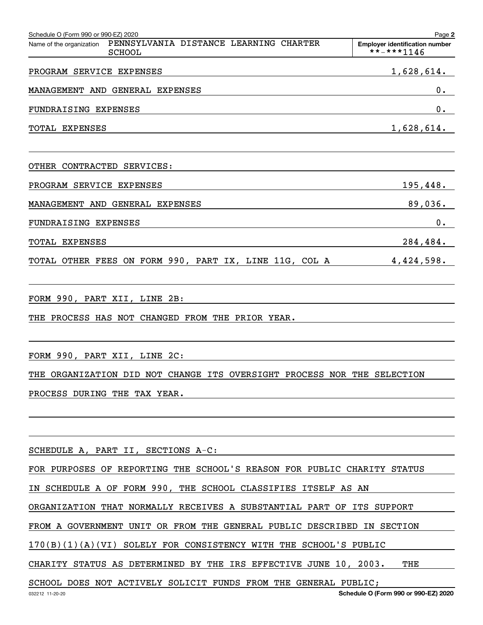| Schedule O (Form 990 or 990-EZ) 2020                                                | Page 2                                              |
|-------------------------------------------------------------------------------------|-----------------------------------------------------|
| PENNSYLVANIA DISTANCE LEARNING CHARTER<br>Name of the organization<br><b>SCHOOL</b> | <b>Employer identification number</b><br>**-***1146 |
| PROGRAM SERVICE EXPENSES                                                            | 1,628,614.                                          |
| MANAGEMENT AND GENERAL EXPENSES                                                     | $0$ .                                               |
| FUNDRAISING EXPENSES                                                                | 0.                                                  |
| TOTAL EXPENSES                                                                      | 1,628,614.                                          |
| OTHER CONTRACTED SERVICES:                                                          |                                                     |
| PROGRAM SERVICE EXPENSES                                                            | 195,448.                                            |
| MANAGEMENT AND GENERAL EXPENSES                                                     | 89,036.                                             |
| <b>FUNDRAISING EXPENSES</b>                                                         | 0.                                                  |
| TOTAL EXPENSES                                                                      | 284,484.                                            |
| TOTAL OTHER FEES ON FORM 990, PART IX, LINE 11G, COL A                              | 4,424,598.                                          |
| FORM 990, PART XII, LINE 2B:                                                        |                                                     |
| THE PROCESS HAS NOT CHANGED FROM THE PRIOR YEAR.                                    |                                                     |
| FORM 990, PART XII, LINE 2C:                                                        |                                                     |
| THE ORGANIZATION DID NOT CHANGE ITS OVERSIGHT PROCESS NOR THE SELECTION             |                                                     |
| PROCESS DURING THE TAX YEAR.                                                        |                                                     |
|                                                                                     |                                                     |
| SCHEDULE A, PART II, SECTIONS A-C:                                                  |                                                     |
| FOR PURPOSES OF REPORTING THE SCHOOL'S REASON FOR PUBLIC CHARITY STATUS             |                                                     |
| IN SCHEDULE A OF FORM 990, THE SCHOOL CLASSIFIES ITSELF AS AN                       |                                                     |
| ORGANIZATION THAT NORMALLY RECEIVES A SUBSTANTIAL PART OF ITS SUPPORT               |                                                     |
| FROM A GOVERNMENT UNIT OR FROM THE GENERAL PUBLIC DESCRIBED IN SECTION              |                                                     |
| $170(B)(1)(A)(VI)$ SOLELY FOR CONSISTENCY WITH THE SCHOOL'S PUBLIC                  |                                                     |
| CHARITY STATUS AS DETERMINED BY THE IRS EFFECTIVE JUNE 10, 2003.                    | THE                                                 |
| SCHOOL DOES NOT ACTIVELY SOLICIT FUNDS FROM THE GENERAL PUBLIC;<br>032212 11-20-20  | Schedule O (Form 990 or 990-EZ) 2020                |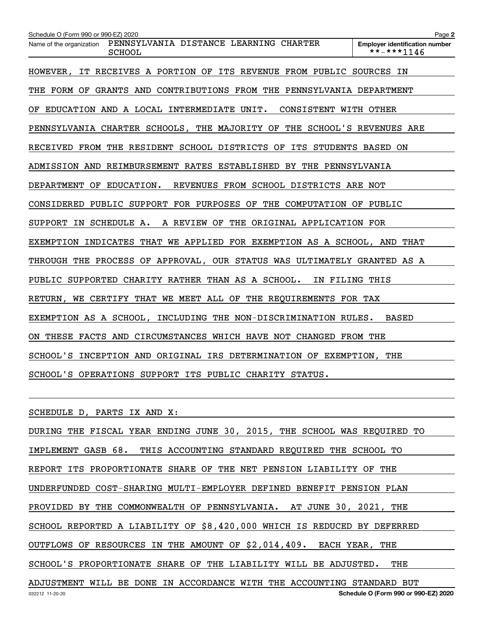| Schedule O (Form 990 or 990-EZ) 2020                                                | Page 2                                              |
|-------------------------------------------------------------------------------------|-----------------------------------------------------|
| PENNSYLVANIA DISTANCE LEARNING CHARTER<br>Name of the organization<br><b>SCHOOL</b> | <b>Employer identification number</b><br>**-***1146 |
| HOWEVER, IT RECEIVES A PORTION OF ITS REVENUE FROM PUBLIC SOURCES IN                |                                                     |
| THE FORM OF GRANTS AND CONTRIBUTIONS FROM THE PENNSYLVANIA DEPARTMENT               |                                                     |
| OF EDUCATION AND A LOCAL INTERMEDIATE UNIT.<br>CONSISTENT WITH OTHER                |                                                     |
| PENNSYLVANIA CHARTER SCHOOLS, THE MAJORITY OF THE SCHOOL'S REVENUES ARE             |                                                     |
| RECEIVED FROM THE RESIDENT SCHOOL DISTRICTS OF ITS STUDENTS BASED ON                |                                                     |
| ADMISSION AND REIMBURSEMENT RATES ESTABLISHED BY THE PENNSYLVANIA                   |                                                     |
| DEPARTMENT OF EDUCATION.<br>REVENUES FROM SCHOOL DISTRICTS ARE NOT                  |                                                     |
| CONSIDERED PUBLIC SUPPORT FOR PURPOSES OF THE COMPUTATION OF PUBLIC                 |                                                     |
| SUPPORT IN SCHEDULE A. A REVIEW OF THE ORIGINAL APPLICATION FOR                     |                                                     |
| EXEMPTION INDICATES THAT WE APPLIED FOR EXEMPTION AS A SCHOOL, AND THAT             |                                                     |
| THROUGH THE PROCESS OF APPROVAL, OUR STATUS WAS ULTIMATELY GRANTED AS A             |                                                     |
| PUBLIC SUPPORTED CHARITY RATHER THAN AS A SCHOOL.<br>IN FILING THIS                 |                                                     |
| WE CERTIFY THAT WE MEET ALL OF THE REQUIREMENTS FOR TAX<br>RETURN,                  |                                                     |
| EXEMPTION AS A SCHOOL, INCLUDING THE NON-DISCRIMINATION RULES.                      | <b>BASED</b>                                        |
| ON THESE FACTS AND CIRCUMSTANCES WHICH HAVE NOT CHANGED FROM THE                    |                                                     |
| SCHOOL'S INCEPTION AND ORIGINAL IRS DETERMINATION OF EXEMPTION, THE                 |                                                     |
| SCHOOL'S OPERATIONS SUPPORT ITS PUBLIC CHARITY STATUS.                              |                                                     |

SCHEDULE D, PARTS IX AND X:

032212 11-20-20 **Schedule O (Form 990 or 990-EZ) 2020** DURING THE FISCAL YEAR ENDING JUNE 30, 2015, THE SCHOOL WAS REQUIRED TO IMPLEMENT GASB 68. THIS ACCOUNTING STANDARD REQUIRED THE SCHOOL TO REPORT ITS PROPORTIONATE SHARE OF THE NET PENSION LIABILITY OF THE UNDERFUNDED COST-SHARING MULTI-EMPLOYER DEFINED BENEFIT PENSION PLAN PROVIDED BY THE COMMONWEALTH OF PENNSYLVANIA. AT JUNE 30, 2021, THE SCHOOL REPORTED A LIABILITY OF \$8,420,000 WHICH IS REDUCED BY DEFERRED OUTFLOWS OF RESOURCES IN THE AMOUNT OF \$2,014,409. EACH YEAR, THE SCHOOL'S PROPORTIONATE SHARE OF THE LIABILITY WILL BE ADJUSTED. THE ADJUSTMENT WILL BE DONE IN ACCORDANCE WITH THE ACCOUNTING STANDARD BUT